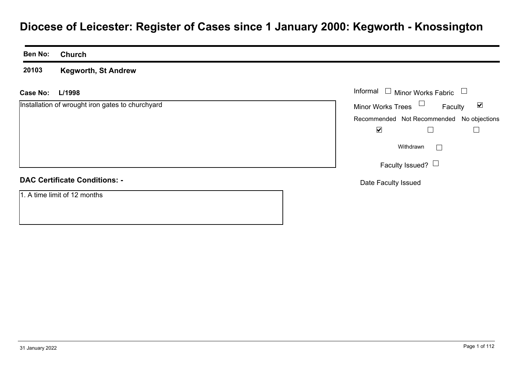# **Diocese of Leicester: Register of Cases since 1 January 2000: Kegworth - Knossington**

**Ben No: Church**

**20103Kegworth, St Andrew**

**L/1998Case No:**Informal

Installation of wrought iron gates to churchyard

| Informal $\;\;\Box\;$ Minor Works Fabric |                                           |         |
|------------------------------------------|-------------------------------------------|---------|
| Minor Works Trees                        |                                           | Faculty |
|                                          | Recommended Not Recommended No objections |         |
|                                          |                                           |         |
|                                          | Withdrawn                                 |         |
|                                          | Faculty Issued? $\Box$                    |         |

# **DAC Certificate Conditions: -**

1. A time limit of 12 months

Date Faculty Issued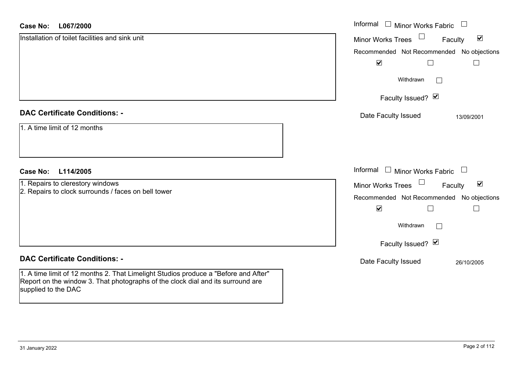### **L067/2000Case No:**

| <b>Case No:</b><br>L067/2000                                                                                                                                                                  | Informal $\Box$ Minor Works Fabric                                    |
|-----------------------------------------------------------------------------------------------------------------------------------------------------------------------------------------------|-----------------------------------------------------------------------|
| Installation of toilet facilities and sink unit                                                                                                                                               | $\blacktriangledown$<br><b>Minor Works Trees</b><br>Faculty           |
|                                                                                                                                                                                               | Recommended Not Recommended No objections                             |
|                                                                                                                                                                                               | $\blacktriangledown$                                                  |
|                                                                                                                                                                                               | Withdrawn<br>$\Box$                                                   |
|                                                                                                                                                                                               | Faculty Issued? Ø                                                     |
| <b>DAC Certificate Conditions: -</b>                                                                                                                                                          | Date Faculty Issued<br>13/09/2001                                     |
| 1. A time limit of 12 months                                                                                                                                                                  |                                                                       |
| <b>Case No:</b><br>L114/2005                                                                                                                                                                  | Informal $\Box$ Minor Works Fabric $\Box$                             |
| 1. Repairs to clerestory windows                                                                                                                                                              | $\Box$<br>$\blacktriangledown$<br><b>Minor Works Trees</b><br>Faculty |
| 2. Repairs to clock surrounds / faces on bell tower                                                                                                                                           | Recommended Not Recommended No objections                             |
|                                                                                                                                                                                               | $\blacktriangledown$<br>$\Box$<br>$\overline{\phantom{a}}$            |
|                                                                                                                                                                                               | Withdrawn                                                             |
|                                                                                                                                                                                               | Faculty Issued? Ø                                                     |
| <b>DAC Certificate Conditions: -</b>                                                                                                                                                          | Date Faculty Issued<br>26/10/2005                                     |
| 1. A time limit of 12 months 2. That Limelight Studios produce a "Before and After"<br>Report on the window 3. That photographs of the clock dial and its surround are<br>supplied to the DAC |                                                                       |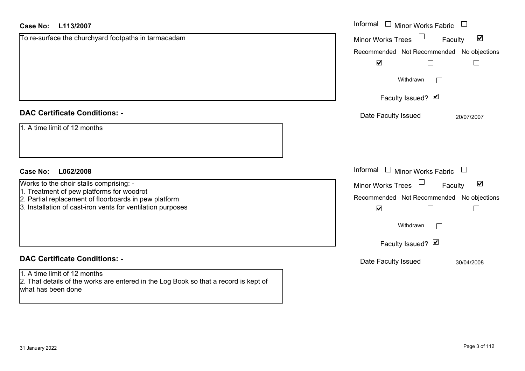| Case No:<br>L113/2007                                                                                                                      | Informal $\Box$ Minor Works Fabric $\Box$                   |
|--------------------------------------------------------------------------------------------------------------------------------------------|-------------------------------------------------------------|
| To re-surface the churchyard footpaths in tarmacadam                                                                                       | Minor Works Trees<br>$\blacktriangledown$<br>Faculty        |
|                                                                                                                                            | Recommended Not Recommended No objections                   |
|                                                                                                                                            | $\blacktriangledown$<br>⊔<br>$\Box$                         |
|                                                                                                                                            | Withdrawn                                                   |
|                                                                                                                                            | Faculty Issued? Ø                                           |
| <b>DAC Certificate Conditions: -</b>                                                                                                       | Date Faculty Issued<br>20/07/2007                           |
| 1. A time limit of 12 months                                                                                                               |                                                             |
| Case No:<br>L062/2008                                                                                                                      | Informal $\Box$ Minor Works Fabric $\Box$                   |
| Works to the choir stalls comprising: -                                                                                                    | $\blacktriangledown$<br><b>Minor Works Trees</b><br>Faculty |
| 1. Treatment of pew platforms for woodrot                                                                                                  | Recommended Not Recommended No objections                   |
| 2. Partial replacement of floorboards in pew platform<br>3. Installation of cast-iron vents for ventilation purposes                       | $\blacktriangledown$<br>$\Box$<br>$\Box$                    |
|                                                                                                                                            | Withdrawn<br>$\Box$                                         |
|                                                                                                                                            | Faculty Issued? Ø                                           |
| <b>DAC Certificate Conditions: -</b>                                                                                                       | Date Faculty Issued<br>30/04/2008                           |
| 1. A time limit of 12 months<br>2. That details of the works are entered in the Log Book so that a record is kept of<br>what has been done |                                                             |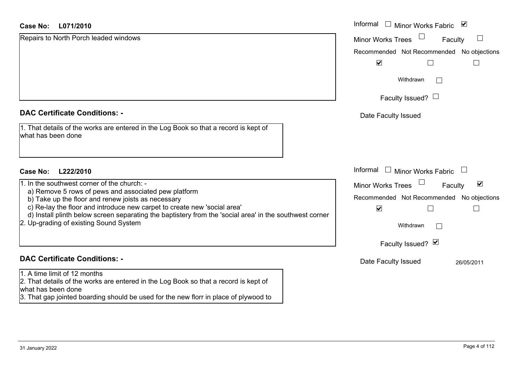### **L071/2010Case No:**

| L071/2010<br>Case No:                                                                                                                             | Informal □ Minor Works Fabric ⊠                             |
|---------------------------------------------------------------------------------------------------------------------------------------------------|-------------------------------------------------------------|
| Repairs to North Porch leaded windows                                                                                                             | $\Box$<br><b>Minor Works Trees</b><br>Faculty               |
|                                                                                                                                                   | Recommended Not Recommended No objections                   |
|                                                                                                                                                   | $\blacktriangledown$                                        |
|                                                                                                                                                   | Withdrawn                                                   |
|                                                                                                                                                   | Faculty Issued? $\Box$                                      |
| <b>DAC Certificate Conditions: -</b>                                                                                                              | Date Faculty Issued                                         |
| 1. That details of the works are entered in the Log Book so that a record is kept of<br>what has been done                                        |                                                             |
| Case No:<br>L222/2010                                                                                                                             | Informal<br>$\Box$ Minor Works Fabric                       |
| 1. In the southwest corner of the church: -<br>a) Remove 5 rows of pews and associated pew platform                                               | $\blacktriangledown$<br><b>Minor Works Trees</b><br>Faculty |
| b) Take up the floor and renew joists as necessary                                                                                                | Recommended Not Recommended No objections                   |
| c) Re-lay the floor and introduce new carpet to create new 'social area'                                                                          | $\blacktriangledown$                                        |
| d) Install plinth below screen separating the baptistery from the 'social area' in the southwest corner<br>2. Up-grading of existing Sound System | Withdrawn<br>$\Box$                                         |
|                                                                                                                                                   | Faculty Issued? Ø                                           |
| <b>DAC Certificate Conditions: -</b>                                                                                                              | Date Faculty Issued<br>26/05/2011                           |
| 1. A time limit of 12 months                                                                                                                      |                                                             |
| 2. That details of the works are entered in the Log Book so that a record is kept of<br>what has been done                                        |                                                             |
| 3. That gap jointed boarding should be used for the new florr in place of plywood to                                                              |                                                             |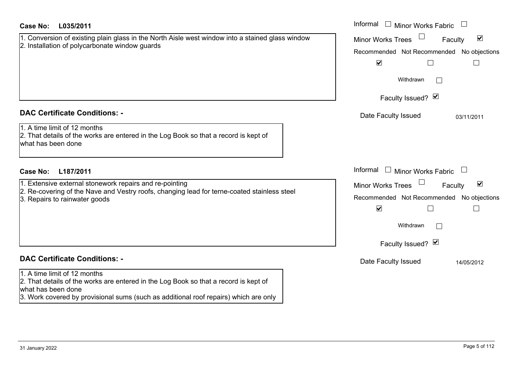| Case No:<br>L035/2011                                                                                                                                                                                                              | Informal<br>$\Box$ Minor Works Fabric                                                                                                                      |
|------------------------------------------------------------------------------------------------------------------------------------------------------------------------------------------------------------------------------------|------------------------------------------------------------------------------------------------------------------------------------------------------------|
| 1. Conversion of existing plain glass in the North Aisle west window into a stained glass window<br>2. Installation of polycarbonate window guards                                                                                 | $\blacktriangledown$<br><b>Minor Works Trees</b><br>Faculty                                                                                                |
|                                                                                                                                                                                                                                    | No objections<br>Recommended Not Recommended<br>$\blacktriangledown$                                                                                       |
|                                                                                                                                                                                                                                    | Withdrawn<br>$\perp$<br>Faculty Issued? Ø                                                                                                                  |
| <b>DAC Certificate Conditions: -</b><br>1. A time limit of 12 months<br>2. That details of the works are entered in the Log Book so that a record is kept of<br>what has been done                                                 | Date Faculty Issued<br>03/11/2011                                                                                                                          |
| <b>Case No:</b><br>L187/2011                                                                                                                                                                                                       | Informal<br>$\Box$ Minor Works Fabric                                                                                                                      |
| 1. Extensive external stonework repairs and re-pointing<br>2. Re-covering of the Nave and Vestry roofs, changing lead for terne-coated stainless steel<br>3. Repairs to rainwater goods                                            | $\blacktriangledown$<br><b>Minor Works Trees</b><br>Faculty<br>Recommended Not Recommended<br>No objections<br>$\blacktriangledown$<br>$\Box$<br>Withdrawn |
|                                                                                                                                                                                                                                    | Faculty Issued? Ø                                                                                                                                          |
| <b>DAC Certificate Conditions: -</b>                                                                                                                                                                                               | Date Faculty Issued<br>14/05/2012                                                                                                                          |
| 1. A time limit of 12 months<br>2. That details of the works are entered in the Log Book so that a record is kept of<br>what has been done<br>3. Work covered by provisional sums (such as additional roof repairs) which are only |                                                                                                                                                            |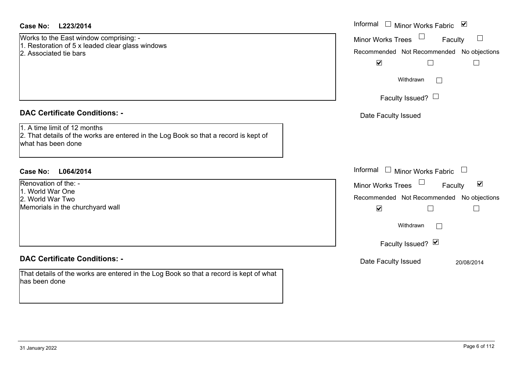Works to the East window comprising: - 1. Restoration of 5 x leaded clear glass windows 2. Associated tie bars

# **DAC Certificate Conditions: -**

1. A time limit of 12 months

 2. That details of the works are entered in the Log Book so that a record is kept of what has been done

# **L064/2014Case No:** Informal

Renovation of the: -1. World War One2. World War TwoMemorials in the churchyard wall

# **DAC Certificate Conditions: -**

That details of the works are entered in the Log Book so that a record is kept of what has been done

| L223/2014                                                                                                      | Informal □ Minor Works Fabric 凶                      |
|----------------------------------------------------------------------------------------------------------------|------------------------------------------------------|
| the East window comprising: -<br>ation of 5 x leaded clear glass windows                                       | $\Box$<br>Minor Works Trees<br>Faculty               |
| ated tie bars                                                                                                  | Recommended Not Recommended No objections            |
|                                                                                                                | $\blacktriangledown$                                 |
|                                                                                                                | Withdrawn                                            |
|                                                                                                                | Faculty Issued? $\Box$                               |
| rtificate Conditions: -                                                                                        | Date Faculty Issued                                  |
| limit of 12 months<br>etails of the works are entered in the Log Book so that a record is kept of<br>been done |                                                      |
| L064/2014                                                                                                      | Informal $\Box$ Minor Works Fabric $\Box$            |
| on of the: -                                                                                                   | Minor Works Trees<br>$\blacktriangledown$<br>Faculty |
| War One<br>War Two                                                                                             | Recommended Not Recommended No objections            |
| Is in the churchyard wall                                                                                      | $\blacktriangledown$                                 |
|                                                                                                                | Withdrawn                                            |
|                                                                                                                | Faculty Issued? Ø                                    |
| rtificate Conditions: -                                                                                        | Date Faculty Issued<br>20/08/2014                    |
| ails of the works are entered in the Log Book so that a record is kept of what<br>$H = 1$                      |                                                      |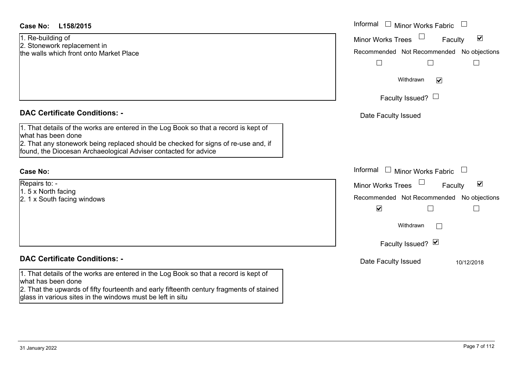| <b>Case No:</b><br>L158/2015                                                                                                                           | Informal $\Box$ Minor Works Fabric $\Box$ |                                 |
|--------------------------------------------------------------------------------------------------------------------------------------------------------|-------------------------------------------|---------------------------------|
| 1. Re-building of                                                                                                                                      | Minor Works Trees                         | $\blacktriangledown$<br>Faculty |
| 2. Stonework replacement in<br>the walls which front onto Market Place                                                                                 | Recommended Not Recommended No objections |                                 |
|                                                                                                                                                        | $\Box$<br>$\Box$                          | $\Box$                          |
|                                                                                                                                                        | Withdrawn<br>$\blacktriangledown$         |                                 |
|                                                                                                                                                        | Faculty Issued? $\Box$                    |                                 |
| <b>DAC Certificate Conditions: -</b>                                                                                                                   | Date Faculty Issued                       |                                 |
| 1. That details of the works are entered in the Log Book so that a record is kept of<br>what has been done                                             |                                           |                                 |
| 2. That any stonework being replaced should be checked for signs of re-use and, if<br>found, the Diocesan Archaeological Adviser contacted for advice  |                                           |                                 |
| <b>Case No:</b>                                                                                                                                        | Informal $\Box$ Minor Works Fabric $\Box$ |                                 |
| Repairs to: -                                                                                                                                          | Minor Works Trees                         | $\blacktriangledown$<br>Faculty |
| 1.5 x North facing<br>2. 1 x South facing windows                                                                                                      | Recommended Not Recommended No objections |                                 |
|                                                                                                                                                        | $\blacktriangledown$<br>$\Box$            |                                 |
|                                                                                                                                                        | Withdrawn                                 |                                 |
|                                                                                                                                                        | Faculty Issued? Ø                         |                                 |
| <b>DAC Certificate Conditions: -</b>                                                                                                                   | Date Faculty Issued                       | 10/12/2018                      |
| 1. That details of the works are entered in the Log Book so that a record is kept of<br>what has been done                                             |                                           |                                 |
| 2. That the upwards of fifty fourteenth and early fifteenth century fragments of stained<br>glass in various sites in the windows must be left in situ |                                           |                                 |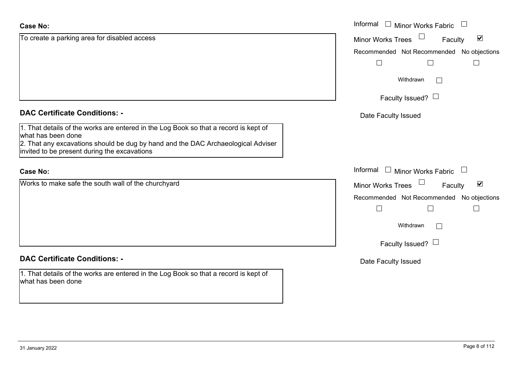| <b>Case No:</b>                                                                                                                                                                                | Informal<br>$\overline{\phantom{a}}$<br><b>Minor Works Fabric</b>                 |
|------------------------------------------------------------------------------------------------------------------------------------------------------------------------------------------------|-----------------------------------------------------------------------------------|
| To create a parking area for disabled access                                                                                                                                                   | $\blacktriangledown$<br><b>Minor Works Trees</b><br>Faculty                       |
|                                                                                                                                                                                                | Recommended Not Recommended No objections<br>$\perp$                              |
|                                                                                                                                                                                                | Withdrawn<br>$\Box$                                                               |
|                                                                                                                                                                                                | Faculty Issued? $\Box$                                                            |
| <b>DAC Certificate Conditions: -</b>                                                                                                                                                           | Date Faculty Issued                                                               |
| 1. That details of the works are entered in the Log Book so that a record is kept of<br>what has been done<br>2. That any excavations should be dug by hand and the DAC Archaeological Adviser |                                                                                   |
| invited to be present during the excavations                                                                                                                                                   |                                                                                   |
| <b>Case No:</b>                                                                                                                                                                                | Informal<br>Minor Works Fabric<br>$\Box$<br>$\begin{array}{c} \hline \end{array}$ |
| Works to make safe the south wall of the churchyard                                                                                                                                            | $\blacktriangledown$<br><b>Minor Works Trees</b><br>Faculty                       |
|                                                                                                                                                                                                | Recommended Not Recommended No objections                                         |
|                                                                                                                                                                                                | Withdrawn<br>$\Box$                                                               |
|                                                                                                                                                                                                | Faculty Issued? $\Box$                                                            |
| <b>DAC Certificate Conditions: -</b>                                                                                                                                                           | Date Faculty Issued                                                               |
| 1. That details of the works are entered in the Log Book so that a record is kept of<br>what has been done                                                                                     |                                                                                   |
|                                                                                                                                                                                                |                                                                                   |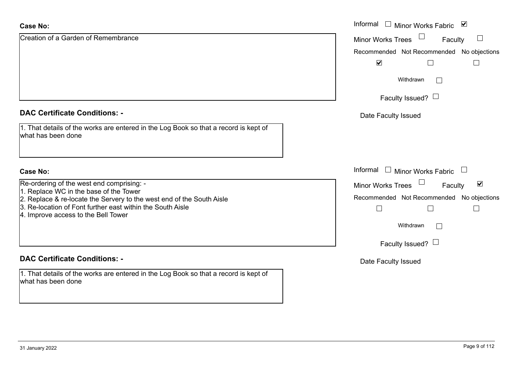| <b>Case No:</b>                                                                                                                                                            | Informal $\square$<br>Minor Works Fabric ⊠                    |
|----------------------------------------------------------------------------------------------------------------------------------------------------------------------------|---------------------------------------------------------------|
| Creation of a Garden of Remembrance                                                                                                                                        | <b>Minor Works Trees</b><br>$\Box$<br>Faculty                 |
|                                                                                                                                                                            | Recommended Not Recommended No objections                     |
|                                                                                                                                                                            | $\blacktriangledown$                                          |
|                                                                                                                                                                            | Withdrawn<br>$\mathbb{R}^n$                                   |
|                                                                                                                                                                            | Faculty Issued? $\Box$                                        |
| <b>DAC Certificate Conditions: -</b>                                                                                                                                       | Date Faculty Issued                                           |
| 1. That details of the works are entered in the Log Book so that a record is kept of<br>what has been done                                                                 |                                                               |
| <b>Case No:</b>                                                                                                                                                            | Informal □ Minor Works Fabric                                 |
| Re-ordering of the west end comprising: -                                                                                                                                  | $\blacktriangledown$<br><b>Minor Works Trees</b><br>Faculty   |
| 1. Replace WC in the base of the Tower                                                                                                                                     |                                                               |
| 2. Replace & re-locate the Servery to the west end of the South Aisle<br>3. Re-location of Font further east within the South Aisle<br>4. Improve access to the Bell Tower | Recommended Not Recommended No objections<br>$\Box$<br>$\Box$ |
|                                                                                                                                                                            | Withdrawn<br>$\mathbb{R}^n$                                   |
|                                                                                                                                                                            | Faculty Issued? $\Box$                                        |
| <b>DAC Certificate Conditions: -</b>                                                                                                                                       | Date Faculty Issued                                           |
| 1. That details of the works are entered in the Log Book so that a record is kept of<br>what has been done                                                                 |                                                               |

L.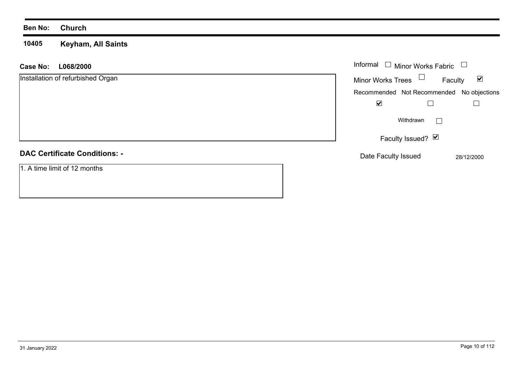## **Ben No: Church**

### **10405 Keyham, All Saints**

| <b>Case No:</b><br>L068/2000         | Informal $\Box$ Minor Works Fabric<br>$\Box$                |
|--------------------------------------|-------------------------------------------------------------|
| Installation of refurbished Organ    | Minor Works Trees $\Box$<br>$\blacktriangledown$<br>Faculty |
|                                      | Recommended Not Recommended No objections                   |
|                                      | $\blacktriangledown$                                        |
|                                      | Withdrawn<br>$\blacksquare$                                 |
|                                      | Faculty Issued? Ø                                           |
| <b>DAC Certificate Conditions: -</b> | Date Faculty Issued<br>28/12/2000                           |
| 1. A time limit of 12 months         |                                                             |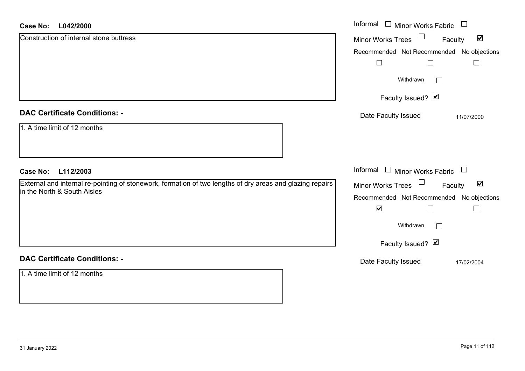### **L042/2000Case No:**

| <b>Case No:</b><br>L042/2000                                                                                                             | Informal □ Minor Works Fabric<br>$\Box$                                         |
|------------------------------------------------------------------------------------------------------------------------------------------|---------------------------------------------------------------------------------|
| Construction of internal stone buttress                                                                                                  | $\blacktriangledown$<br>Minor Works Trees<br>Faculty                            |
|                                                                                                                                          | Recommended Not Recommended No objections<br>$\overline{\phantom{a}}$<br>$\Box$ |
|                                                                                                                                          | Withdrawn<br>$\Box$                                                             |
|                                                                                                                                          | Faculty Issued? Ø                                                               |
| <b>DAC Certificate Conditions: -</b>                                                                                                     | Date Faculty Issued<br>11/07/2000                                               |
| 1. A time limit of 12 months                                                                                                             |                                                                                 |
| <b>Case No:</b><br>L112/2003                                                                                                             | Informal $\Box$ Minor Works Fabric $\Box$                                       |
| External and internal re-pointing of stonework, formation of two lengths of dry areas and glazing repairs<br>in the North & South Aisles | Minor Works Trees <sup>1</sup><br>$\blacktriangledown$<br>Faculty               |
|                                                                                                                                          | Recommended Not Recommended No objections<br>$\blacktriangledown$               |
|                                                                                                                                          | Withdrawn<br>$\Box$                                                             |
|                                                                                                                                          | Faculty Issued? Ø                                                               |
| <b>DAC Certificate Conditions: -</b>                                                                                                     | Date Faculty Issued<br>17/02/2004                                               |
| 1. A time limit of 12 months                                                                                                             |                                                                                 |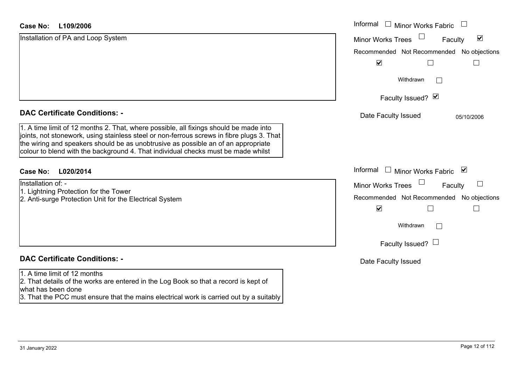### **L109/2006Case No:**

| <b>Case No:</b><br>L109/2006                                                                                                                                                                                                                                                                                                                                 | Informal $\square$<br><b>Minor Works Fabric</b>             |
|--------------------------------------------------------------------------------------------------------------------------------------------------------------------------------------------------------------------------------------------------------------------------------------------------------------------------------------------------------------|-------------------------------------------------------------|
| Installation of PA and Loop System                                                                                                                                                                                                                                                                                                                           | $\blacktriangledown$<br><b>Minor Works Trees</b><br>Faculty |
|                                                                                                                                                                                                                                                                                                                                                              | Recommended Not Recommended No objections                   |
|                                                                                                                                                                                                                                                                                                                                                              | $\blacktriangledown$                                        |
|                                                                                                                                                                                                                                                                                                                                                              | Withdrawn<br>$\mathbf{L}$                                   |
|                                                                                                                                                                                                                                                                                                                                                              | Faculty Issued? Ø                                           |
| <b>DAC Certificate Conditions: -</b>                                                                                                                                                                                                                                                                                                                         | Date Faculty Issued<br>05/10/2006                           |
| 1. A time limit of 12 months 2. That, where possible, all fixings should be made into<br>joints, not stonework, using stainless steel or non-ferrous screws in fibre plugs 3. That<br>the wiring and speakers should be as unobtrusive as possible an of an appropriate<br>colour to blend with the background 4. That individual checks must be made whilst |                                                             |
| <b>Case No:</b><br>L020/2014                                                                                                                                                                                                                                                                                                                                 | Informal<br>Minor Works Fabric ⊠                            |
| Installation of: -                                                                                                                                                                                                                                                                                                                                           | <b>Minor Works Trees</b><br>Faculty                         |
| 1. Lightning Protection for the Tower<br>2. Anti-surge Protection Unit for the Electrical System                                                                                                                                                                                                                                                             | Recommended Not Recommended No objections                   |
|                                                                                                                                                                                                                                                                                                                                                              | $\blacktriangledown$                                        |
|                                                                                                                                                                                                                                                                                                                                                              | Withdrawn                                                   |
|                                                                                                                                                                                                                                                                                                                                                              | Faculty Issued? $\Box$                                      |
| <b>DAC Certificate Conditions: -</b>                                                                                                                                                                                                                                                                                                                         | Date Faculty Issued                                         |
| 1. A time limit of 12 months<br>2. That details of the works are entered in the Log Book so that a record is kept of<br>what has been done                                                                                                                                                                                                                   |                                                             |
| 3. That the PCC must ensure that the mains electrical work is carried out by a suitably                                                                                                                                                                                                                                                                      |                                                             |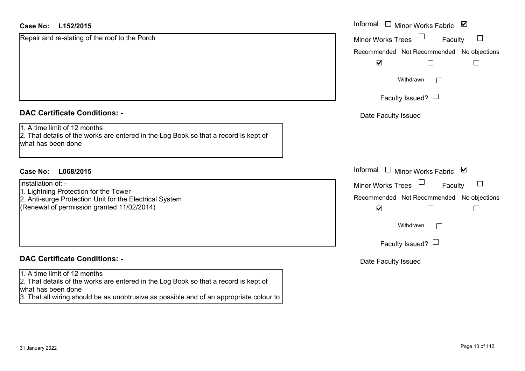|                                                                                                                                                | Minor Works Fabric                                                     |
|------------------------------------------------------------------------------------------------------------------------------------------------|------------------------------------------------------------------------|
| Repair and re-slating of the roof to the Porch                                                                                                 | <b>Minor Works Trees</b><br>$\Box$<br>Faculty                          |
|                                                                                                                                                | Recommended Not Recommended No objections                              |
|                                                                                                                                                | $\blacktriangledown$<br>$\Box$                                         |
|                                                                                                                                                | Withdrawn                                                              |
|                                                                                                                                                | Faculty Issued? $\Box$                                                 |
| <b>DAC Certificate Conditions: -</b>                                                                                                           | Date Faculty Issued                                                    |
| 1. A time limit of 12 months<br>2. That details of the works are entered in the Log Book so that a record is kept of<br>what has been done     |                                                                        |
| L068/2015<br><b>Case No:</b>                                                                                                                   | Informal $\Box$ Minor Works Fabric<br>⊻                                |
| Installation of: -                                                                                                                             | <b>Minor Works Trees</b><br>ப<br>Faculty                               |
| 1. Lightning Protection for the Tower<br>2. Anti-surge Protection Unit for the Electrical System<br>(Renewal of permission granted 11/02/2014) | Recommended Not Recommended No objections<br>$\blacktriangledown$<br>П |
|                                                                                                                                                |                                                                        |
|                                                                                                                                                | Withdrawn                                                              |
|                                                                                                                                                | Faculty Issued? $\Box$                                                 |
| <b>DAC Certificate Conditions: -</b>                                                                                                           | Date Faculty Issued                                                    |
| 1. A time limit of 12 months                                                                                                                   |                                                                        |
| 2. That details of the works are entered in the Log Book so that a record is kept of<br>what has been done                                     |                                                                        |
| 3. That all wiring should be as unobtrusive as possible and of an appropriate colour to                                                        |                                                                        |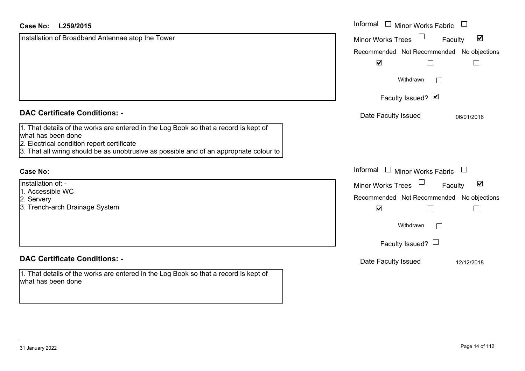| <b>Case No:</b><br>L259/2015                                                                                                                                                                                                                        | Informal □ Minor Works Fabric                               |  |
|-----------------------------------------------------------------------------------------------------------------------------------------------------------------------------------------------------------------------------------------------------|-------------------------------------------------------------|--|
| Installation of Broadband Antennae atop the Tower                                                                                                                                                                                                   | $\blacktriangledown$<br><b>Minor Works Trees</b><br>Faculty |  |
|                                                                                                                                                                                                                                                     | Recommended Not Recommended No objections                   |  |
|                                                                                                                                                                                                                                                     | $\blacktriangledown$                                        |  |
|                                                                                                                                                                                                                                                     | Withdrawn<br>$\mathbf{L}$                                   |  |
|                                                                                                                                                                                                                                                     | Faculty Issued? Ø                                           |  |
| <b>DAC Certificate Conditions: -</b>                                                                                                                                                                                                                | Date Faculty Issued<br>06/01/2016                           |  |
| 1. That details of the works are entered in the Log Book so that a record is kept of<br>what has been done<br>2. Electrical condition report certificate<br>3. That all wiring should be as unobtrusive as possible and of an appropriate colour to |                                                             |  |
| <b>Case No:</b>                                                                                                                                                                                                                                     | Informal □ Minor Works Fabric                               |  |
| Installation of: -                                                                                                                                                                                                                                  | Minor Works Trees<br>$\blacktriangledown$<br>Faculty        |  |
| 1. Accessible WC<br>2. Servery                                                                                                                                                                                                                      | Recommended Not Recommended No objections                   |  |
| 3. Trench-arch Drainage System                                                                                                                                                                                                                      | $\blacktriangledown$                                        |  |
|                                                                                                                                                                                                                                                     | Withdrawn<br>$\Box$                                         |  |
|                                                                                                                                                                                                                                                     | Faculty Issued? $\Box$                                      |  |
| <b>DAC Certificate Conditions: -</b>                                                                                                                                                                                                                | Date Faculty Issued<br>12/12/2018                           |  |
| 1. That details of the works are entered in the Log Book so that a record is kept of<br>what has been done                                                                                                                                          |                                                             |  |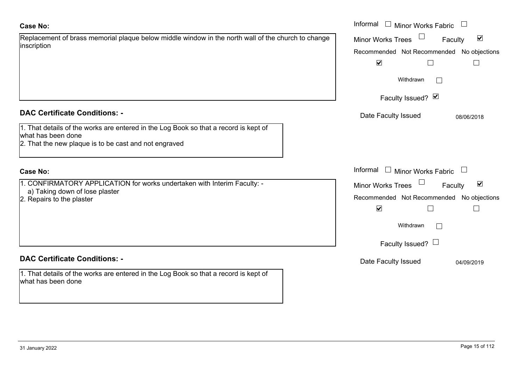# **Case No:**

| Replacement of brass memorial plaque below middle window in the north wall of the church to change |  |
|----------------------------------------------------------------------------------------------------|--|
| inscription                                                                                        |  |
|                                                                                                    |  |
|                                                                                                    |  |

# **DAC Certificate Conditions: -**

| 1. That details of the works are entered in the Log Book so that a record is kept of |
|--------------------------------------------------------------------------------------|
| what has been done                                                                   |
| 0 That the new planue is to be east and not engraved                                 |

2. That the new plaque is to be cast and not engraved

# **Case No:**

1. CONFIRMATORY APPLICATION for works undertaken with Interim Faculty: a) Taking down of lose plaster

2. Repairs to the plaster

# **DAC Certificate Conditions: -**

| 1. That details of the works are entered in the Log Book so that a record is kept of |  |
|--------------------------------------------------------------------------------------|--|
| what has been done                                                                   |  |

|                                                                                                  | Informal □ Minor Works Fabric                        |
|--------------------------------------------------------------------------------------------------|------------------------------------------------------|
| nent of brass memorial plaque below middle window in the north wall of the church to change<br>n | $\blacktriangledown$<br>Minor Works Trees<br>Faculty |
|                                                                                                  | Recommended Not Recommended No objections            |
|                                                                                                  | $\blacktriangledown$                                 |
|                                                                                                  | Withdrawn                                            |
|                                                                                                  | Faculty Issued? Ø                                    |
| rtificate Conditions: -                                                                          | Date Faculty Issued<br>08/06/2018                    |
| etails of the works are entered in the Log Book so that a record is kept of                      |                                                      |
| been done<br>e new plaque is to be cast and not engraved                                         |                                                      |
|                                                                                                  |                                                      |
|                                                                                                  | Informal $\Box$ Minor Works Fabric<br>$\Box$         |
| IRMATORY APPLICATION for works undertaken with Interim Faculty: -                                | $\blacktriangledown$<br>Minor Works Trees<br>Faculty |
| ing down of lose plaster<br>s to the plaster                                                     | Recommended Not Recommended No objections            |
|                                                                                                  | $\overline{\mathbf{v}}$                              |
|                                                                                                  | Withdrawn                                            |
|                                                                                                  | Faculty Issued? $\Box$                               |
| rtificate Conditions: -                                                                          | Date Faculty Issued<br>04/09/2019                    |
| etails of the works are entered in the Log Book so that a record is kept of                      |                                                      |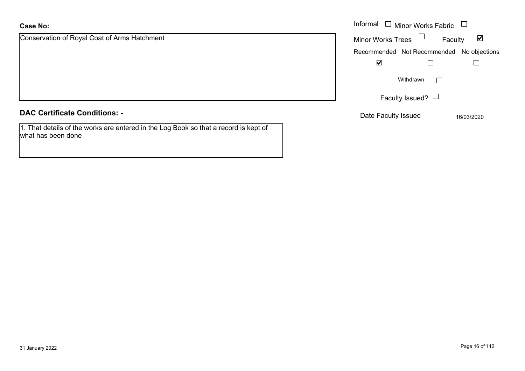# **Case No:**

what has been done

| <b>Case No:</b>                                                                      | Informal<br><b>Minor Works Fabric</b>     |                                 |
|--------------------------------------------------------------------------------------|-------------------------------------------|---------------------------------|
| Conservation of Royal Coat of Arms Hatchment                                         | <b>Minor Works Trees</b>                  | $\blacktriangledown$<br>Faculty |
|                                                                                      | Recommended Not Recommended No objections |                                 |
|                                                                                      | ⊻                                         |                                 |
|                                                                                      | Withdrawn                                 |                                 |
|                                                                                      | Faculty Issued? $\Box$                    |                                 |
| <b>DAC Certificate Conditions: -</b>                                                 | Date Faculty Issued                       | 16/03/2020                      |
| 1. That details of the works are entered in the Log Book so that a record is kept of |                                           |                                 |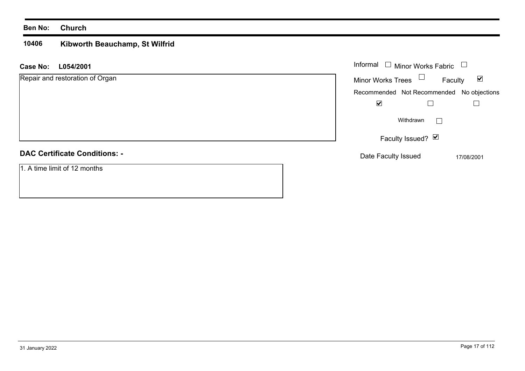## **Ben No: Church**

### **10406 Kibworth Beauchamp, St Wilfrid**

| L054/2001<br><b>Case No:</b>         | Informal $\Box$ Minor Works Fabric<br>⊔                     |
|--------------------------------------|-------------------------------------------------------------|
| Repair and restoration of Organ      | Minor Works Trees $\Box$<br>$\blacktriangledown$<br>Faculty |
|                                      | Recommended Not Recommended No objections                   |
|                                      | $\blacktriangledown$                                        |
|                                      | Withdrawn<br>$\perp$                                        |
|                                      | Faculty Issued? Ø                                           |
| <b>DAC Certificate Conditions: -</b> | Date Faculty Issued<br>17/08/2001                           |
| 1. A time limit of 12 months         |                                                             |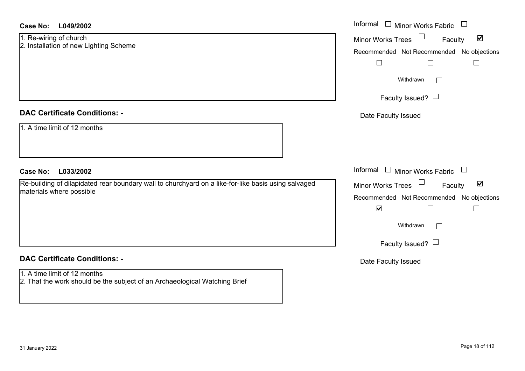| L049/2002<br><b>Case No:</b>                                                                                                    | Informal $\Box$ Minor Works Fabric $\Box$                                                                                                        |
|---------------------------------------------------------------------------------------------------------------------------------|--------------------------------------------------------------------------------------------------------------------------------------------------|
| 1. Re-wiring of church<br>2. Installation of new Lighting Scheme                                                                | $\blacktriangledown$<br>Minor Works Trees<br>Faculty<br>Recommended Not Recommended No objections<br>$\Box$<br>$\Box$                            |
|                                                                                                                                 | Withdrawn<br>$\vert \hspace{.06cm} \vert$<br>Faculty Issued? $\Box$                                                                              |
| <b>DAC Certificate Conditions: -</b>                                                                                            | Date Faculty Issued                                                                                                                              |
| 1. A time limit of 12 months                                                                                                    |                                                                                                                                                  |
| L033/2002<br><b>Case No:</b>                                                                                                    | Informal<br>$\Box$ Minor Works Fabric $\Box$                                                                                                     |
| Re-building of dilapidated rear boundary wall to churchyard on a like-for-like basis using salvaged<br>materials where possible | $\Box$<br>$\blacktriangledown$<br>Minor Works Trees<br>Faculty<br>Recommended Not Recommended No objections<br>$\blacktriangledown$<br>Withdrawn |
|                                                                                                                                 |                                                                                                                                                  |
|                                                                                                                                 | Faculty Issued? $\Box$                                                                                                                           |
| <b>DAC Certificate Conditions: -</b>                                                                                            | Date Faculty Issued                                                                                                                              |
| 1. A time limit of 12 months<br>2. That the work should be the subject of an Archaeological Watching Brief                      |                                                                                                                                                  |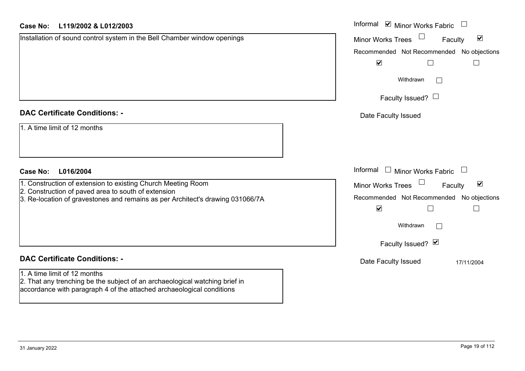|  | <b>Case No:</b> |  | L119/2002 & L012/2003 |
|--|-----------------|--|-----------------------|
|--|-----------------|--|-----------------------|

| <b>Case No:</b><br>L119/2002 & L012/2003                                       | Informal ⊠ Minor Works Fabric                               |
|--------------------------------------------------------------------------------|-------------------------------------------------------------|
| Installation of sound control system in the Bell Chamber window openings       | $\blacktriangledown$<br><b>Minor Works Trees</b><br>Faculty |
|                                                                                | Recommended Not Recommended No objections                   |
|                                                                                | $\blacktriangledown$                                        |
|                                                                                | Withdrawn                                                   |
|                                                                                | Faculty Issued? $\Box$                                      |
| <b>DAC Certificate Conditions: -</b>                                           | Date Faculty Issued                                         |
| 1. A time limit of 12 months                                                   |                                                             |
| <b>Case No:</b><br>L016/2004                                                   | Informal<br>$\Box$<br>Minor Works Fabric<br>$\Box$          |
| 1. Construction of extension to existing Church Meeting Room                   | $\blacktriangledown$<br>Minor Works Trees<br>Faculty        |
| 2. Construction of paved area to south of extension                            | Recommended Not Recommended No objections                   |
| 3. Re-location of gravestones and remains as per Architect's drawing 031066/7A | $\blacktriangledown$                                        |
|                                                                                | Withdrawn<br>$\mathbb{R}$                                   |
|                                                                                | Faculty Issued? Ø                                           |
| <b>DAC Certificate Conditions: -</b>                                           | Date Faculty Issued<br>17/11/2004                           |
| 1. A time limit of 12 months                                                   |                                                             |
| 2. That any trenching be the subject of an archaeological watching brief in    |                                                             |

31 January 2022 Page 19 of 112

accordance with paragraph 4 of the attached archaeological conditions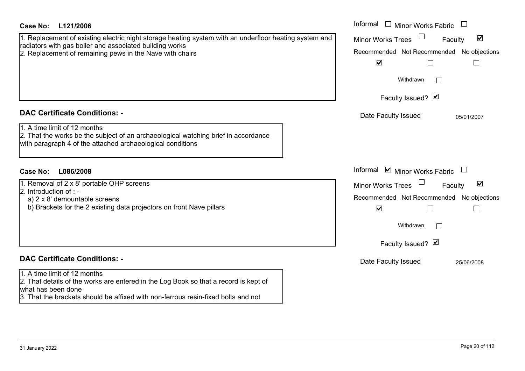| <b>Case No:</b><br>L121/2006<br>1. Replacement of existing electric night storage heating system with an underfloor heating system and<br>radiators with gas boiler and associated building works<br>2. Replacement of remaining pews in the Nave with chairs | Informal<br>$\Box$ Minor Works Fabric<br>$\blacktriangledown$<br><b>Minor Works Trees</b><br>Faculty<br>Recommended Not Recommended No objections<br>$\blacktriangledown$<br>Withdrawn |
|---------------------------------------------------------------------------------------------------------------------------------------------------------------------------------------------------------------------------------------------------------------|----------------------------------------------------------------------------------------------------------------------------------------------------------------------------------------|
|                                                                                                                                                                                                                                                               | Faculty Issued? Ø                                                                                                                                                                      |
| <b>DAC Certificate Conditions: -</b><br>1. A time limit of 12 months<br>2. That the works be the subject of an archaeological watching brief in accordance<br>with paragraph 4 of the attached archaeological conditions                                      | Date Faculty Issued<br>05/01/2007                                                                                                                                                      |
| <b>Case No:</b><br>L086/2008                                                                                                                                                                                                                                  | Informal $\blacksquare$ Minor Works Fabric                                                                                                                                             |
| 1. Removal of 2 x 8' portable OHP screens<br>2. Introduction of $: -$<br>a) 2 x 8' demountable screens<br>b) Brackets for the 2 existing data projectors on front Nave pillars                                                                                | $\blacktriangledown$<br><b>Minor Works Trees</b><br>Faculty<br>Recommended Not Recommended No objections<br>$\blacktriangledown$<br>Withdrawn<br>Faculty Issued? Ø                     |
| <b>DAC Certificate Conditions: -</b>                                                                                                                                                                                                                          | Date Faculty Issued<br>25/06/2008                                                                                                                                                      |
| 1. A time limit of 12 months<br>2. That details of the works are entered in the Log Book so that a record is kept of<br>what has been done<br>3. That the brackets should be affixed with non-ferrous resin-fixed bolts and not                               |                                                                                                                                                                                        |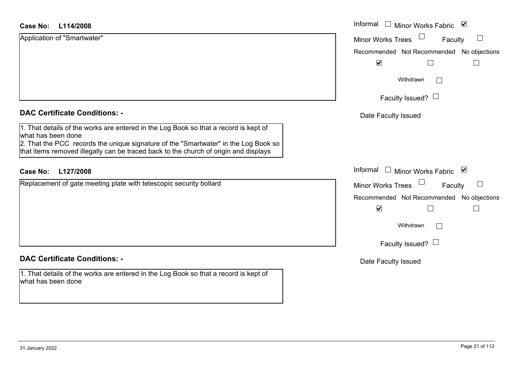| <b>Minor Works Trees</b><br>Faculty<br>Recommended Not Recommended N |
|----------------------------------------------------------------------|
|                                                                      |
|                                                                      |
| $\blacktriangledown$                                                 |
| Withdrawn                                                            |
| Faculty Issued? $\Box$                                               |
| Date Faculty Issued                                                  |
|                                                                      |
| Informal<br>Minor Works Fabric <b>▽</b>                              |
| <b>Minor Works Trees</b><br>Faculty                                  |
| Recommended Not Recommended N                                        |
| $\blacktriangledown$                                                 |
| Withdrawn                                                            |
| Faculty Issued? $\Box$                                               |
|                                                                      |

## **DAC Certificate Conditions: -**

1. That details of the works are entered in the Log Book so that a record is kept of what has been done

# Date Faculty Issued

No objections

 $\Box$ 

 $\Box$ 

 $\blacktriangledown$ 

No objections

 $\Box$ 

 $\Box$ 

 $\blacktriangledown$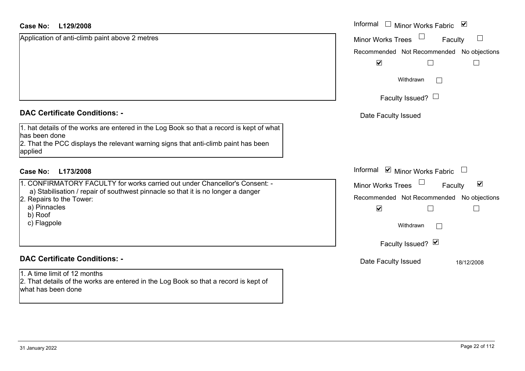### **L129/2008Case No:**

| Case No:<br>L129/2008                                                                                                                                                                                                                 | Informal $\square$<br>Minor Works Fabric ⊠                                                                                                                         |
|---------------------------------------------------------------------------------------------------------------------------------------------------------------------------------------------------------------------------------------|--------------------------------------------------------------------------------------------------------------------------------------------------------------------|
| Application of anti-climb paint above 2 metres                                                                                                                                                                                        | $\Box$<br><b>Minor Works Trees</b><br>Faculty                                                                                                                      |
|                                                                                                                                                                                                                                       | Recommended Not Recommended No objections                                                                                                                          |
|                                                                                                                                                                                                                                       | $\blacktriangledown$                                                                                                                                               |
|                                                                                                                                                                                                                                       | Withdrawn                                                                                                                                                          |
|                                                                                                                                                                                                                                       | Faculty Issued? $\Box$                                                                                                                                             |
| <b>DAC Certificate Conditions: -</b>                                                                                                                                                                                                  | Date Faculty Issued                                                                                                                                                |
| 1. hat details of the works are entered in the Log Book so that a record is kept of what<br>has been done<br>2. That the PCC displays the relevant warning signs that anti-climb paint has been<br>applied                            |                                                                                                                                                                    |
| <b>Case No:</b><br>L173/2008                                                                                                                                                                                                          | Informal $\blacksquare$ Minor Works Fabric $\blacksquare$                                                                                                          |
| 1. CONFIRMATORY FACULTY for works carried out under Chancellor's Consent: -<br>a) Stabilisation / repair of southwest pinnacle so that it is no longer a danger<br>2. Repairs to the Tower:<br>a) Pinnacles<br>b) Roof<br>c) Flagpole | $\blacktriangledown$<br><b>Minor Works Trees</b><br>Faculty<br>Recommended Not Recommended No objections<br>$\blacktriangledown$<br>Withdrawn<br>Faculty Issued? Ø |
| <b>DAC Certificate Conditions: -</b>                                                                                                                                                                                                  | Date Faculty Issued                                                                                                                                                |
| 1. A time limit of 12 months<br>2. That details of the works are entered in the Log Book so that a record is kept of<br>what has been done                                                                                            | 18/12/2008                                                                                                                                                         |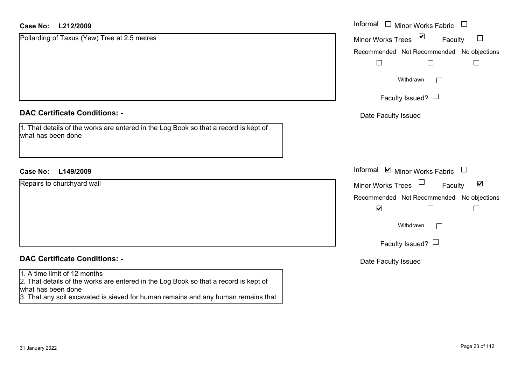| <b>Case No:</b><br>L212/2009                                                                                                               | Informal $\quad \Box$ Minor Works Fabric<br>$\Box$        |
|--------------------------------------------------------------------------------------------------------------------------------------------|-----------------------------------------------------------|
| Pollarding of Taxus (Yew) Tree at 2.5 metres                                                                                               | Minor Works Trees ⊠<br>$\Box$<br>Faculty                  |
|                                                                                                                                            | Recommended Not Recommended No objections                 |
|                                                                                                                                            | $\Box$                                                    |
|                                                                                                                                            | Withdrawn<br>$\mathbf{I}$                                 |
|                                                                                                                                            | Faculty Issued? $\Box$                                    |
| <b>DAC Certificate Conditions: -</b>                                                                                                       | Date Faculty Issued                                       |
| 1. That details of the works are entered in the Log Book so that a record is kept of<br>what has been done                                 |                                                           |
| <b>Case No:</b><br>L149/2009                                                                                                               | Informal $\blacksquare$ Minor Works Fabric $\blacksquare$ |
| Repairs to churchyard wall                                                                                                                 | $\blacktriangledown$<br>Minor Works Trees<br>Faculty      |
|                                                                                                                                            | Recommended Not Recommended No objections                 |
|                                                                                                                                            | $\blacktriangledown$<br>$\perp$                           |
|                                                                                                                                            | Withdrawn<br>Г                                            |
|                                                                                                                                            | Faculty Issued? $\Box$                                    |
| <b>DAC Certificate Conditions: -</b>                                                                                                       | Date Faculty Issued                                       |
| 1. A time limit of 12 months<br>2. That details of the works are entered in the Log Book so that a record is kept of<br>what has been done |                                                           |
| 3. That any soil excavated is sieved for human remains and any human remains that                                                          |                                                           |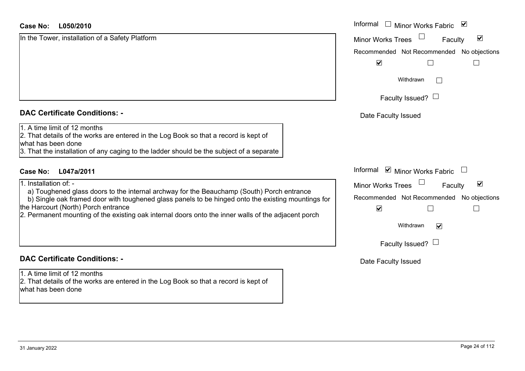| <b>DAC Certificate Conditions: -</b> |  |  |
|--------------------------------------|--|--|
|--------------------------------------|--|--|

# **DAC Certificate Conditions: -**

1. A time limit of 12 months2. That details of the works are entered in the Log Book so that a record is kept of what has been done

| <b>Case No:</b><br>L050/2010                                                                                                                                                                                                                                                                                                                                           | Informal □ Minor Works Fabric<br>$\blacktriangledown$                                                                                                          |
|------------------------------------------------------------------------------------------------------------------------------------------------------------------------------------------------------------------------------------------------------------------------------------------------------------------------------------------------------------------------|----------------------------------------------------------------------------------------------------------------------------------------------------------------|
| In the Tower, installation of a Safety Platform                                                                                                                                                                                                                                                                                                                        | $\Box$<br>$\blacktriangledown$<br>Minor Works Trees<br>Faculty<br>Recommended Not Recommended No objections<br>$\blacktriangledown$                            |
|                                                                                                                                                                                                                                                                                                                                                                        | Withdrawn<br>Faculty Issued? $\Box$                                                                                                                            |
| <b>DAC Certificate Conditions: -</b>                                                                                                                                                                                                                                                                                                                                   | Date Faculty Issued                                                                                                                                            |
| 1. A time limit of 12 months<br>2. That details of the works are entered in the Log Book so that a record is kept of<br>what has been done<br>3. That the installation of any caging to the ladder should be the subject of a separate                                                                                                                                 |                                                                                                                                                                |
| L047a/2011<br>Case No:                                                                                                                                                                                                                                                                                                                                                 | Informal ☑ Minor Works Fabric                                                                                                                                  |
| 1. Installation of: -<br>a) Toughened glass doors to the internal archway for the Beauchamp (South) Porch entrance<br>b) Single oak framed door with toughened glass panels to be hinged onto the existing mountings for<br>the Harcourt (North) Porch entrance<br>2. Permanent mounting of the existing oak internal doors onto the inner walls of the adjacent porch | $\blacktriangledown$<br>Minor Works Trees<br>Faculty<br>Recommended Not Recommended No objections<br>$\blacktriangledown$<br>Withdrawn<br>$\blacktriangledown$ |
|                                                                                                                                                                                                                                                                                                                                                                        | Faculty Issued? $L$                                                                                                                                            |

Date Faculty Issued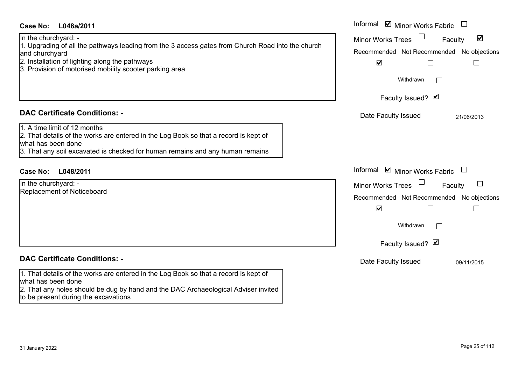| <b>Case No:</b><br>L048a/2011                                                                                                                                                                                                                                                    | Informal ☑ Minor Works Fabric                                                                                                                                                                           |
|----------------------------------------------------------------------------------------------------------------------------------------------------------------------------------------------------------------------------------------------------------------------------------|---------------------------------------------------------------------------------------------------------------------------------------------------------------------------------------------------------|
| In the churchyard: -<br>1. Upgrading of all the pathways leading from the 3 access gates from Church Road into the church<br>and churchyard<br>2. Installation of lighting along the pathways<br>3. Provision of motorised mobility scooter parking area                         | $\blacktriangledown$<br><b>Minor Works Trees</b><br>Faculty<br>Recommended Not Recommended No objections<br>$\blacktriangledown$<br>Withdrawn<br>Faculty Issued? Ø                                      |
| <b>DAC Certificate Conditions: -</b><br>1. A time limit of 12 months<br>2. That details of the works are entered in the Log Book so that a record is kept of<br>what has been done<br>3. That any soil excavated is checked for human remains and any human remains              | Date Faculty Issued<br>21/06/2013                                                                                                                                                                       |
| <b>Case No:</b><br>L048/2011<br>In the churchyard: -<br>Replacement of Noticeboard                                                                                                                                                                                               | Informal<br>$\triangleright$ Minor Works Fabric<br>$\Box$<br><b>Minor Works Trees</b><br>Faculty<br>Recommended Not Recommended No objections<br>$\blacktriangledown$<br>Withdrawn<br>Faculty Issued? Ø |
| <b>DAC Certificate Conditions: -</b><br>1. That details of the works are entered in the Log Book so that a record is kept of<br>what has been done<br>2. That any holes should be dug by hand and the DAC Archaeological Adviser invited<br>to be present during the excavations | Date Faculty Issued<br>09/11/2015                                                                                                                                                                       |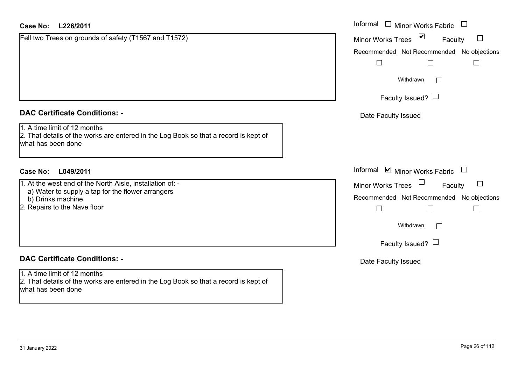| <b>Case No:</b><br>L226/2011                                                                                                               | Informal □ Minor Works Fabric                               |
|--------------------------------------------------------------------------------------------------------------------------------------------|-------------------------------------------------------------|
| Fell two Trees on grounds of safety (T1567 and T1572)                                                                                      | $\blacktriangledown$<br><b>Minor Works Trees</b><br>Faculty |
|                                                                                                                                            | Recommended Not Recommended No objections                   |
|                                                                                                                                            |                                                             |
|                                                                                                                                            | Withdrawn<br>$\mathbb{R}^n$                                 |
|                                                                                                                                            | Faculty Issued? $\Box$                                      |
| <b>DAC Certificate Conditions: -</b>                                                                                                       | Date Faculty Issued                                         |
| 1. A time limit of 12 months<br>2. That details of the works are entered in the Log Book so that a record is kept of<br>what has been done |                                                             |
| <b>Case No:</b><br>L049/2011                                                                                                               | Informal ☑ Minor Works Fabric<br>$\overline{\phantom{a}}$   |
| 1. At the west end of the North Aisle, installation of: -                                                                                  | Faculty<br><b>Minor Works Trees</b>                         |
| a) Water to supply a tap for the flower arrangers<br>b) Drinks machine                                                                     | Recommended Not Recommended No objections                   |
| 2. Repairs to the Nave floor                                                                                                               | $\overline{\phantom{a}}$                                    |
|                                                                                                                                            | Withdrawn<br>$\mathbb{R}^n$                                 |
|                                                                                                                                            | Faculty Issued? $\Box$                                      |
| <b>DAC Certificate Conditions: -</b>                                                                                                       | Date Faculty Issued                                         |
| 1. A time limit of 12 months<br>2. That details of the works are entered in the Log Book so that a record is kept of<br>what has been done |                                                             |
|                                                                                                                                            |                                                             |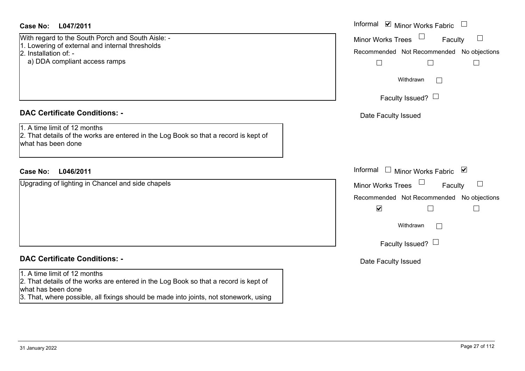# **L047/2011Case No:** Informal

With regard to the South Porch and South Aisle: - 1. Lowering of external and internal thresholds 2. Installation of: -

a) DDA compliant access ramps

# **DAC Certificate Conditions: -**

1. A time limit of 12 months2. That details of the works are entered in the Log Book so that a record is kept of what has been done

# **L046/2011Case No:** Informal

Upgrading of lighting in Chancel and side chapels

# **DAC Certificate Conditions: -**

# 1. A time limit of 12 months

2. That details of the works are entered in the Log Book so that a record is kept of what has been done

3. That, where possible, all fixings should be made into joints, not stonework, using

| Informal<br>$\triangleright$ Minor Works Fabric |
|-------------------------------------------------|
| <b>Minor Works Trees</b><br>Faculty             |
| Recommended Not Recommended No objections       |
|                                                 |
| Withdrawn                                       |
| Faculty Issued? I                               |
| Date Faculty Issued                             |
|                                                 |
|                                                 |
| Informal<br>Minor Works Fabric ⊠                |
| <b>Minor Works Trees</b><br>Faculty             |
| Recommended Not Recommended No objections       |
| $\blacktriangledown$                            |
| Withdrawn                                       |
| Faculty Issued? $\Box$                          |
| Date Faculty Issued                             |
|                                                 |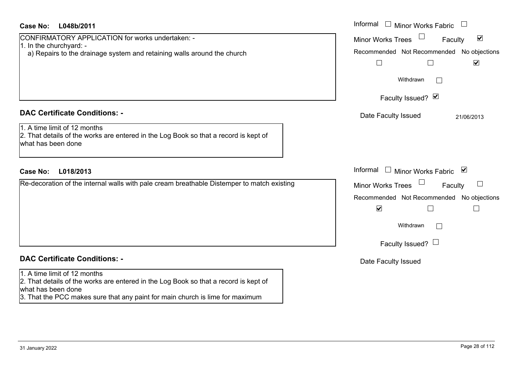# **L048b/2011Case No:** Informal

1. In the churchyard: -

| <b>DAC Certificate Conditions: -</b> |  |
|--------------------------------------|--|

CONFIRMATORY APPLICATION for works undertaken: -

## 1. A time limit of 12 months

2. That details of the works are entered in the Log Book so that a record is kept of what has been done

a) Repairs to the drainage system and retaining walls around the church

# **L018/2013Case No:** Informal

Re-decoration of the internal walls with pale cream breathable Distemper to match existing

# **DAC Certificate Conditions: -**

## 1. A time limit of 12 months

2. That details of the works are entered in the Log Book so that a record is kept of what has been done

3. That the PCC makes sure that any paint for main church is lime for maximum

| Informal<br><b>Minor Works Fabric</b>                                                                                               |
|-------------------------------------------------------------------------------------------------------------------------------------|
| $\blacktriangledown$<br><b>Minor Works Trees</b><br>Faculty<br>Recommended Not Recommended No objections<br>$\overline{\mathbf{v}}$ |
| Withdrawn                                                                                                                           |
| Faculty Issued? Ø                                                                                                                   |
| Date Faculty Issued<br>21/06/2013                                                                                                   |
| Informal<br>$\blacktriangledown$<br><b>Minor Works Fabric</b>                                                                       |
| <b>Minor Works Trees</b><br>Faculty                                                                                                 |
| Recommended Not Recommended No objections<br>$\blacktriangledown$                                                                   |
| Withdrawn                                                                                                                           |
| Faculty Issued?                                                                                                                     |
| Date Faculty Issued                                                                                                                 |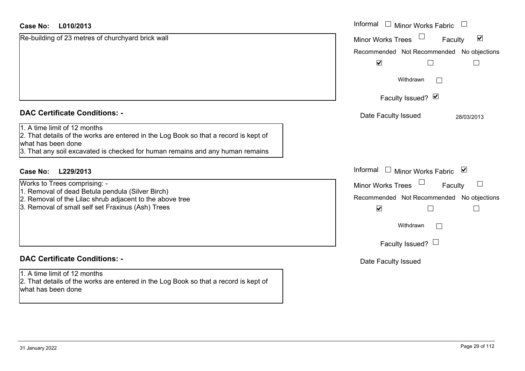| <b>Case No:</b><br>L010/2013                                                                                                                                                                                                | Informal $\Box$ Minor Works Fabric $\Box$                                    |
|-----------------------------------------------------------------------------------------------------------------------------------------------------------------------------------------------------------------------------|------------------------------------------------------------------------------|
| Re-building of 23 metres of churchyard brick wall                                                                                                                                                                           | $\blacktriangledown$<br><b>Minor Works Trees</b><br>Faculty                  |
|                                                                                                                                                                                                                             | Recommended Not Recommended No objections                                    |
|                                                                                                                                                                                                                             | $\blacktriangledown$                                                         |
|                                                                                                                                                                                                                             | Withdrawn                                                                    |
|                                                                                                                                                                                                                             | Faculty Issued? Ø                                                            |
| <b>DAC Certificate Conditions: -</b>                                                                                                                                                                                        | Date Faculty Issued<br>28/03/2013                                            |
| 1. A time limit of 12 months<br>2. That details of the works are entered in the Log Book so that a record is kept of<br>what has been done<br>3. That any soil excavated is checked for human remains and any human remains |                                                                              |
| L229/2013<br><b>Case No:</b>                                                                                                                                                                                                | Informal □ Minor Works Fabric ⊠                                              |
| Works to Trees comprising: -                                                                                                                                                                                                | <b>Minor Works Trees</b><br>$\begin{array}{c} \hline \end{array}$<br>Faculty |
| 1. Removal of dead Betula pendula (Silver Birch)<br>2. Removal of the Lilac shrub adjacent to the above tree<br>3. Removal of small self set Fraxinus (Ash) Trees                                                           | Recommended Not Recommended No objections<br>$\blacktriangledown$            |
|                                                                                                                                                                                                                             | Withdrawn<br>$\overline{\phantom{0}}$                                        |
|                                                                                                                                                                                                                             | Faculty Issued? $\Box$                                                       |
| <b>DAC Certificate Conditions: -</b>                                                                                                                                                                                        | Date Faculty Issued                                                          |
| 1. A time limit of 12 months<br>2. That details of the works are entered in the Log Book so that a record is kept of<br>what has been done                                                                                  |                                                                              |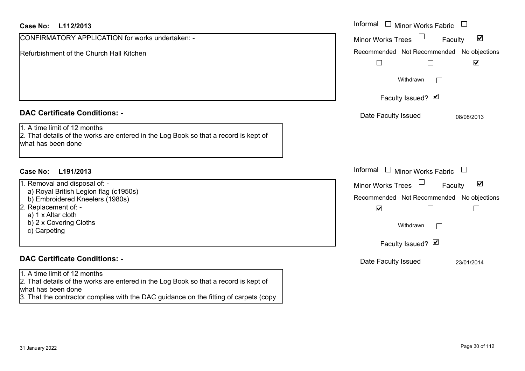| Case No:<br>L112/2013                                                                                                                                                                                                               | Informal $\Box$ Minor Works Fabric                                                                                                                                                   |
|-------------------------------------------------------------------------------------------------------------------------------------------------------------------------------------------------------------------------------------|--------------------------------------------------------------------------------------------------------------------------------------------------------------------------------------|
| CONFIRMATORY APPLICATION for works undertaken: -                                                                                                                                                                                    | $\blacktriangledown$<br><b>Minor Works Trees</b><br>Faculty                                                                                                                          |
| Refurbishment of the Church Hall Kitchen                                                                                                                                                                                            | Recommended Not Recommended<br>No objections<br>$\blacktriangledown$<br>$\Box$                                                                                                       |
|                                                                                                                                                                                                                                     | Withdrawn<br>$\mathbb{R}^n$                                                                                                                                                          |
|                                                                                                                                                                                                                                     | Faculty Issued? Ø                                                                                                                                                                    |
| <b>DAC Certificate Conditions: -</b>                                                                                                                                                                                                | Date Faculty Issued<br>08/08/2013                                                                                                                                                    |
| 1. A time limit of 12 months<br>2. That details of the works are entered in the Log Book so that a record is kept of<br>what has been done                                                                                          |                                                                                                                                                                                      |
| <b>Case No:</b><br>L191/2013                                                                                                                                                                                                        | Informal $\Box$ Minor Works Fabric                                                                                                                                                   |
| 1. Removal and disposal of: -<br>a) Royal British Legion flag (c1950s)<br>b) Embroidered Kneelers (1980s)<br>2. Replacement of: -<br>a) 1 x Altar cloth<br>b) 2 x Covering Cloths<br>c) Carpeting                                   | $\blacktriangledown$<br><b>Minor Works Trees</b><br>Faculty<br>Recommended Not Recommended<br>No objections<br>$\blacktriangledown$<br>П<br>$\Box$<br>Withdrawn<br>Faculty Issued? Ø |
| <b>DAC Certificate Conditions: -</b>                                                                                                                                                                                                | Date Faculty Issued<br>23/01/2014                                                                                                                                                    |
| 1. A time limit of 12 months<br>2. That details of the works are entered in the Log Book so that a record is kept of<br>what has been done<br>3. That the contractor complies with the DAC guidance on the fitting of carpets (copy |                                                                                                                                                                                      |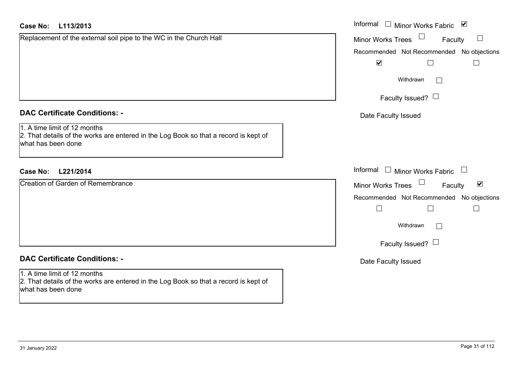| <b>Case No:</b><br>L113/2013                                                                                                               | Informal □ Minor Works Fabric ⊠                      |
|--------------------------------------------------------------------------------------------------------------------------------------------|------------------------------------------------------|
| Replacement of the external soil pipe to the WC in the Church Hall                                                                         | $\Box$<br><b>Minor Works Trees</b><br>Faculty        |
|                                                                                                                                            | Recommended Not Recommended No objections            |
|                                                                                                                                            | $\blacktriangledown$<br>Г                            |
|                                                                                                                                            | Withdrawn                                            |
|                                                                                                                                            | Faculty Issued? $\Box$                               |
| <b>DAC Certificate Conditions: -</b>                                                                                                       | Date Faculty Issued                                  |
| 1. A time limit of 12 months<br>2. That details of the works are entered in the Log Book so that a record is kept of<br>what has been done |                                                      |
| <b>Case No:</b><br>L221/2014                                                                                                               | Informal $\Box$ Minor Works Fabric $\Box$            |
| <b>Creation of Garden of Remembrance</b>                                                                                                   | Minor Works Trees<br>$\blacktriangledown$<br>Faculty |
|                                                                                                                                            | Recommended Not Recommended No objections            |
|                                                                                                                                            | $\Box$                                               |
|                                                                                                                                            | Withdrawn                                            |
|                                                                                                                                            | Faculty Issued? $\Box$                               |
| <b>DAC Certificate Conditions: -</b>                                                                                                       | Date Faculty Issued                                  |
| 1. A time limit of 12 months<br>2. That details of the works are entered in the Log Book so that a record is kept of<br>what has been done |                                                      |
|                                                                                                                                            |                                                      |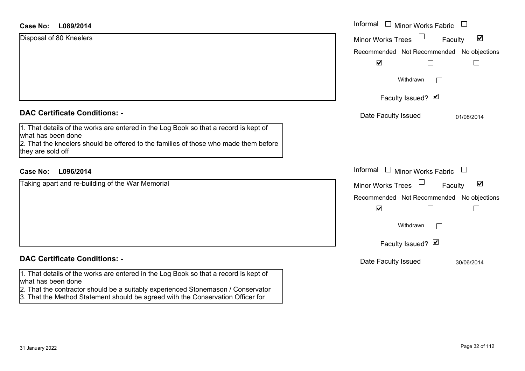| Case No: | L089/2014 |
|----------|-----------|
|----------|-----------|

| <b>Case No:</b><br>L089/2014                                                                                                                                                                                            | Informal □ Minor Works Fabric                                  |
|-------------------------------------------------------------------------------------------------------------------------------------------------------------------------------------------------------------------------|----------------------------------------------------------------|
| Disposal of 80 Kneelers                                                                                                                                                                                                 | $\Box$<br>$\blacktriangledown$<br>Minor Works Trees<br>Faculty |
|                                                                                                                                                                                                                         | Recommended Not Recommended No objections                      |
|                                                                                                                                                                                                                         | $\blacktriangledown$<br>$\sqcup$                               |
|                                                                                                                                                                                                                         | Withdrawn                                                      |
|                                                                                                                                                                                                                         | Faculty Issued? Ø                                              |
| <b>DAC Certificate Conditions: -</b>                                                                                                                                                                                    | Date Faculty Issued<br>01/08/2014                              |
| 1. That details of the works are entered in the Log Book so that a record is kept of<br>what has been done<br>2. That the kneelers should be offered to the families of those who made them before<br>they are sold off |                                                                |
| L096/2014<br><b>Case No:</b>                                                                                                                                                                                            | Informal $\Box$ Minor Works Fabric $\Box$                      |
| Taking apart and re-building of the War Memorial                                                                                                                                                                        | $\Box$<br>$\blacktriangledown$<br>Minor Works Trees<br>Faculty |
|                                                                                                                                                                                                                         | Recommended Not Recommended No objections                      |
|                                                                                                                                                                                                                         | $\blacktriangledown$<br>$\Box$<br>$\overline{\phantom{a}}$     |
|                                                                                                                                                                                                                         | Withdrawn                                                      |
|                                                                                                                                                                                                                         | Faculty Issued? Ø                                              |
| <b>DAC Certificate Conditions: -</b>                                                                                                                                                                                    | Date Faculty Issued<br>30/06/2014                              |
| 1. That details of the works are entered in the Log Book so that a record is kept of<br>what has been done<br>2. That the contractor should be a suitably experienced Stonemason / Conservator                          |                                                                |

3. That the Method Statement should be agreed with the Conservation Officer for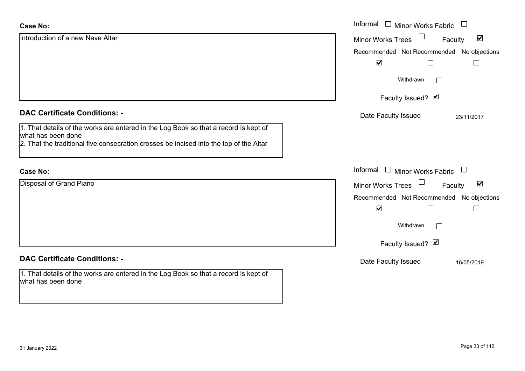| <b>Case No:</b>                                                                                                                                                                                      | Informal<br>$\overline{\phantom{a}}$<br><b>Minor Works Fabric</b> |
|------------------------------------------------------------------------------------------------------------------------------------------------------------------------------------------------------|-------------------------------------------------------------------|
| Introduction of a new Nave Altar                                                                                                                                                                     | $\blacktriangledown$<br><b>Minor Works Trees</b><br>Faculty       |
|                                                                                                                                                                                                      | Recommended Not Recommended No objections                         |
|                                                                                                                                                                                                      | $\blacktriangledown$                                              |
|                                                                                                                                                                                                      | Withdrawn                                                         |
|                                                                                                                                                                                                      | Faculty Issued? Ø                                                 |
| <b>DAC Certificate Conditions: -</b>                                                                                                                                                                 | Date Faculty Issued<br>23/11/2017                                 |
| 1. That details of the works are entered in the Log Book so that a record is kept of<br>what has been done<br>2. That the traditional five consecration crosses be incised into the top of the Altar |                                                                   |
| <b>Case No:</b>                                                                                                                                                                                      | Informal<br>Minor Works Fabric $\Box$<br>$\Box$                   |
| Disposal of Grand Piano                                                                                                                                                                              | $\blacktriangledown$<br><b>Minor Works Trees</b><br>Faculty       |
|                                                                                                                                                                                                      | Recommended Not Recommended No objections                         |
|                                                                                                                                                                                                      | $\blacktriangledown$                                              |
|                                                                                                                                                                                                      | Withdrawn                                                         |
|                                                                                                                                                                                                      | Faculty Issued? Ø                                                 |
| <b>DAC Certificate Conditions: -</b>                                                                                                                                                                 | Date Faculty Issued<br>16/05/2019                                 |
| 1. That details of the works are entered in the Log Book so that a record is kept of<br>what has been done                                                                                           |                                                                   |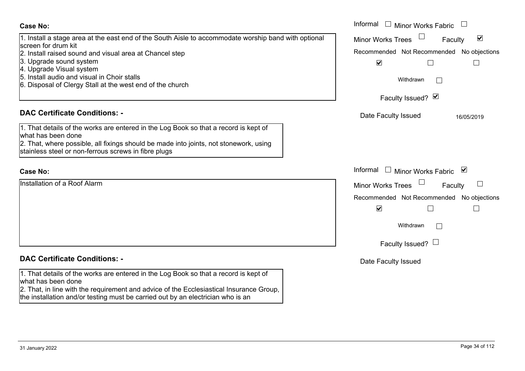### Informal  $\Box$  Minor Works Fabric  $\Box$  Informal **Case No:**Minor Works Trees<sup>1</sup> 1. Install a stage area at the east end of the South Aisle to accommodate worship band with optional  $\blacktriangledown$ Faculty screen for drum kit2. Install raised sound and visual area at Chancel step Recommended Not Recommended No objections 3. Upgrade sound system  $\overline{\mathbf{v}}$  $\Box$  $\Box$ 4. Upgrade Visual system 5. Install audio and visual in Choir stallsWithdrawn $\Box$ 6. Disposal of Clergy Stall at the west end of the church Faculty Issued? Ø **DAC Certificate Conditions: -**Date Faculty Issued 16/05/2019 1. That details of the works are entered in the Log Book so that a record is kept of what has been done2. That, where possible, all fixings should be made into joints, not stonework, using stainless steel or non-ferrous screws in fibre plugs Informal  $\Box$  Minor Works Fabric  $\Box$  Informal **Case No:**Installation of a Roof AlarmFaculty  $\Box$ Minor Works Trees Recommended Not Recommended No objections  $\overline{\mathbf{v}}$  $\Box$  $\Box$ Withdrawn $\Box$ Faculty Issued?  $\Box$ **DAC Certificate Conditions: -**Date Faculty Issued 1. That details of the works are entered in the Log Book so that a record is kept of what has been done 2. That, in line with the requirement and advice of the Ecclesiastical Insurance Group, the installation and/or testing must be carried out by an electrician who is an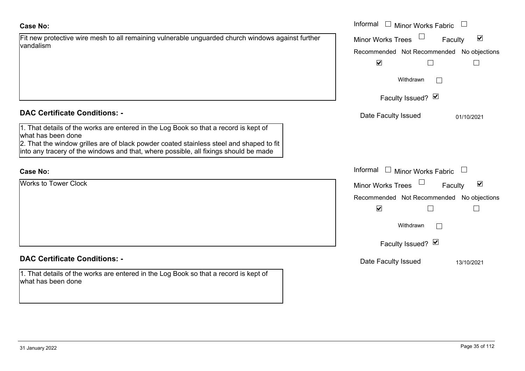## **Case No:**

| Fit new protective wire mesh to all remaining vulnerable unguarded church windows against further |  |
|---------------------------------------------------------------------------------------------------|--|
| vandalism                                                                                         |  |

# **DAC Certificate Conditions: -**

1. That details of the works are entered in the Log Book so that a record is kept of what has been done

2. That the window grilles are of black powder coated stainless steel and shaped to fit into any tracery of the windows and that, where possible, all fixings should be made

# **Case No:**

Works to Tower Clock

# **DAC Certificate Conditions: -**

1. That details of the works are entered in the Log Book so that a record is kept of what has been done

|                                                                                                                                                             | Informal<br>$\Box$<br><b>Minor Works Fabric</b>             |
|-------------------------------------------------------------------------------------------------------------------------------------------------------------|-------------------------------------------------------------|
| rotective wire mesh to all remaining vulnerable unguarded church windows against further                                                                    | $\blacktriangledown$<br><b>Minor Works Trees</b><br>Faculty |
|                                                                                                                                                             | Recommended Not Recommended No objections                   |
|                                                                                                                                                             | $\blacktriangledown$                                        |
|                                                                                                                                                             | Withdrawn                                                   |
|                                                                                                                                                             | Faculty Issued? Ø                                           |
| rtificate Conditions: -                                                                                                                                     | Date Faculty Issued<br>01/10/2021                           |
| etails of the works are entered in the Log Book so that a record is kept of<br>been done                                                                    |                                                             |
| e window grilles are of black powder coated stainless steel and shaped to fit<br>racery of the windows and that, where possible, all fixings should be made |                                                             |
|                                                                                                                                                             | Informal<br>Minor Works Fabric<br>$\Box$                    |
| Tower Clock                                                                                                                                                 | $\blacktriangledown$<br>Minor Works Trees<br>Faculty        |
|                                                                                                                                                             | Recommended Not Recommended No objections                   |
|                                                                                                                                                             | $\blacktriangledown$<br>Г                                   |
|                                                                                                                                                             | Withdrawn                                                   |
|                                                                                                                                                             | Faculty Issued? Ø                                           |
| rtificate Conditions: -                                                                                                                                     | Date Faculty Issued<br>13/10/2021                           |
| etails of the works are entered in the Log Book so that a record is kept of<br>been done                                                                    |                                                             |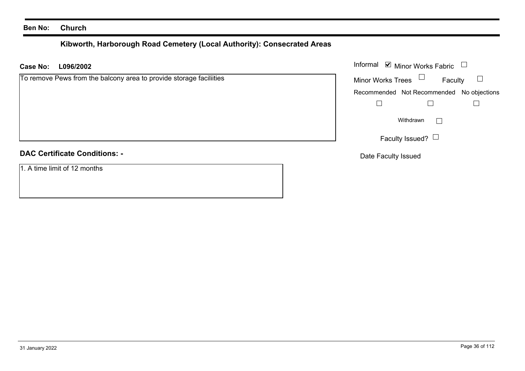## **Ben No: Church**

# **Kibworth, Harborough Road Cemetery (Local Authority): Consecrated Areas**

**L096/2002 Case No:** Informal

| To remove Pews from the balcony area to provide storage faciliities | <b>Minor Works Trees</b><br>Faculty       |
|---------------------------------------------------------------------|-------------------------------------------|
|                                                                     | Recommended Not Recommended No objections |
|                                                                     |                                           |
|                                                                     | Withdrawn                                 |
|                                                                     | Faculty Issued? $\Box$                    |
| <b>DAC Certificate Conditions: -</b>                                | Date Faculty Issued                       |

1. A time limit of 12 months

Minor Works Fabric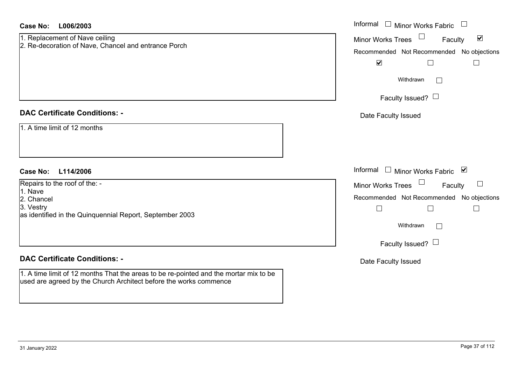| <b>Case No:</b><br>L006/2003                                                                                                                                                                       | Informal<br>$\mathbb{R}$<br>Minor Works Fabric<br>$\Box$                                                                                                                                                                 |
|----------------------------------------------------------------------------------------------------------------------------------------------------------------------------------------------------|--------------------------------------------------------------------------------------------------------------------------------------------------------------------------------------------------------------------------|
| 1. Replacement of Nave ceiling<br>2. Re-decoration of Nave, Chancel and entrance Porch                                                                                                             | $\blacktriangledown$<br><b>Minor Works Trees</b><br>Faculty<br>Recommended Not Recommended No objections<br>$\blacktriangledown$<br>$\Box$<br>$\Box$                                                                     |
|                                                                                                                                                                                                    | Withdrawn<br>$\Box$<br>Faculty Issued? $\Box$                                                                                                                                                                            |
| <b>DAC Certificate Conditions: -</b><br>1. A time limit of 12 months                                                                                                                               | Date Faculty Issued                                                                                                                                                                                                      |
| <b>Case No:</b><br>L114/2006<br>Repairs to the roof of the: -<br>1. Nave<br>2. Chancel<br>3. Vestry<br>as identified in the Quinquennial Report, September 2003                                    | Informal<br>$\perp$<br>Minor Works Fabric ⊠<br><b>Minor Works Trees</b><br>$\Box$<br>Faculty<br>Recommended Not Recommended No objections<br>$\Box$<br>$\Box$<br>$\Box$<br>Withdrawn<br>$\Box$<br>Faculty Issued? $\Box$ |
| <b>DAC Certificate Conditions: -</b><br>1. A time limit of 12 months That the areas to be re-pointed and the mortar mix to be<br>used are agreed by the Church Architect before the works commence | Date Faculty Issued                                                                                                                                                                                                      |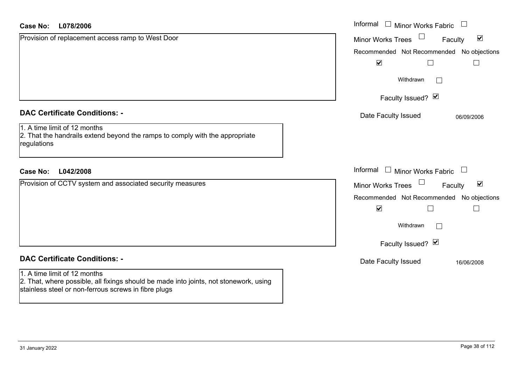| Case No: L078/2006                                                                          | Informal |
|---------------------------------------------------------------------------------------------|----------|
| Provision of replacement access ramp to West Door                                           | Minor W  |
|                                                                                             | Recomm   |
|                                                                                             | ľ        |
|                                                                                             |          |
|                                                                                             |          |
|                                                                                             |          |
| <b>DAC Certificate Conditions: -</b>                                                        | Date I   |
| 1. A time limit of 12 months                                                                |          |
| 2. That the handrails extend beyond the ramps to comply with the appropriate<br>regulations |          |
|                                                                                             |          |
| <b>Case No:</b><br>L042/2008                                                                | Informal |
| Provision of CCTV system and associated security measures                                   | Minor W  |
|                                                                                             | Recomm   |
|                                                                                             |          |

### **DAC Certificate Conditions: -**

### 1. A time limit of 12 months

2. That, where possible, all fixings should be made into joints, not stonework, using stainless steel or non-ferrous screws in fibre plugs

| Informal<br><b>Minor Works Fabric</b>                       |
|-------------------------------------------------------------|
| $\blacktriangledown$<br><b>Minor Works Trees</b><br>Faculty |
| Recommended Not Recommended No objections                   |
| $\blacktriangledown$                                        |
| Withdrawn                                                   |
| Faculty Issued? Ø                                           |
| Date Faculty Issued<br>06/09/2006                           |
|                                                             |
|                                                             |
| Informal<br>$\Box$ Minor Works Fabric                       |
| ☑<br><b>Minor Works Trees</b><br>Faculty                    |
| Recommended Not Recommended No objections                   |
| $\blacktriangledown$                                        |
| Withdrawn                                                   |
|                                                             |
| Faculty Issued? Ø                                           |
| Date Faculty Issued<br>16/06/2008                           |
|                                                             |
|                                                             |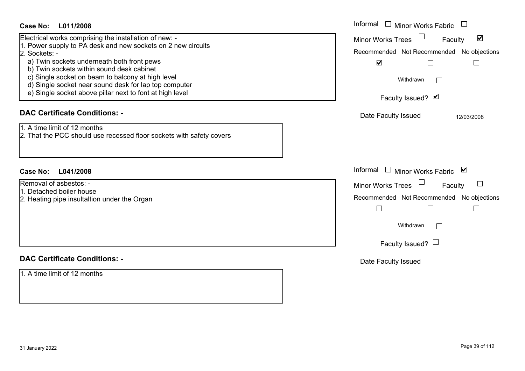| <b>Case No:</b><br>L011/2008                                                                                                                                                                                                                                                                                                                                                                                                                        | Informal<br>$\Box$ Minor Works Fabric                                                                                                                                                                      |
|-----------------------------------------------------------------------------------------------------------------------------------------------------------------------------------------------------------------------------------------------------------------------------------------------------------------------------------------------------------------------------------------------------------------------------------------------------|------------------------------------------------------------------------------------------------------------------------------------------------------------------------------------------------------------|
| Electrical works comprising the installation of new: -<br>. Power supply to PA desk and new sockets on 2 new circuits<br>2. Sockets: -<br>a) Twin sockets underneath both front pews<br>b) Twin sockets within sound desk cabinet<br>c) Single socket on beam to balcony at high level<br>d) Single socket near sound desk for lap top computer<br>e) Single socket above pillar next to font at high level<br><b>DAC Certificate Conditions: -</b> | Minor Works Trees<br>$\blacktriangledown$<br>Faculty<br>Recommended Not Recommended No objections<br>$\blacktriangledown$<br>$\Box$<br>Withdrawn<br>Faculty Issued? Ø<br>Date Faculty Issued<br>12/03/2008 |
| 1. A time limit of 12 months<br>2. That the PCC should use recessed floor sockets with safety covers                                                                                                                                                                                                                                                                                                                                                |                                                                                                                                                                                                            |
| <b>Case No:</b><br>L041/2008                                                                                                                                                                                                                                                                                                                                                                                                                        | Informal $\Box$ Minor Works Fabric<br>⊻                                                                                                                                                                    |
| Removal of asbestos: -<br>1. Detached boiler house<br>2. Heating pipe insultaltion under the Organ                                                                                                                                                                                                                                                                                                                                                  | Minor Works Trees<br>Faculty<br>Recommended Not Recommended No objections<br>$\Box$<br>$\Box$<br>$\mathbb{R}^n$<br>Withdrawn<br>Faculty Issued? $\Box$                                                     |
| <b>DAC Certificate Conditions: -</b>                                                                                                                                                                                                                                                                                                                                                                                                                | Date Faculty Issued                                                                                                                                                                                        |
| 1. A time limit of 12 months                                                                                                                                                                                                                                                                                                                                                                                                                        |                                                                                                                                                                                                            |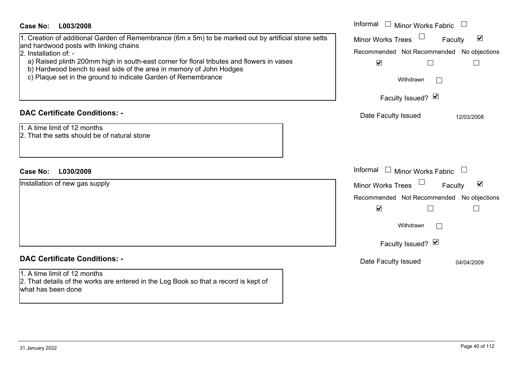| <b>Case No:</b><br>L003/2008                                                                                                                                                                                                                                                                                                                                                                                 | Informal □ Minor Works Fabric                                                                                                                                                           |
|--------------------------------------------------------------------------------------------------------------------------------------------------------------------------------------------------------------------------------------------------------------------------------------------------------------------------------------------------------------------------------------------------------------|-----------------------------------------------------------------------------------------------------------------------------------------------------------------------------------------|
| 1. Creation of additional Garden of Remembrance (6m x 5m) to be marked out by artificial stone setts<br>and hardwood posts with linking chains<br>2. Installation of: -<br>a) Raised plinth 200mm high in south-east corner for floral tributes and flowers in vases<br>b) Hardwood bench to east side of the area in memory of John Hodges<br>c) Plaque set in the ground to indicate Garden of Remembrance | $\blacktriangledown$<br><b>Minor Works Trees</b><br>Faculty<br>Recommended Not Recommended No objections<br>$\blacktriangledown$<br>⊔<br>$\mathbf{L}$<br>Withdrawn<br>Faculty Issued? Ø |
| <b>DAC Certificate Conditions: -</b><br>1. A time limit of 12 months<br>2. That the setts should be of natural stone                                                                                                                                                                                                                                                                                         | Date Faculty Issued<br>12/03/2008                                                                                                                                                       |
| <b>Case No:</b><br>L030/2009                                                                                                                                                                                                                                                                                                                                                                                 | Informal<br>Minor Works Fabric $\;\;\sqcup\;\;$                                                                                                                                         |
| Installation of new gas supply                                                                                                                                                                                                                                                                                                                                                                               | $\blacktriangledown$<br><b>Minor Works Trees</b><br>Faculty<br>Recommended Not Recommended No objections<br>$\blacktriangledown$<br>$\Box$<br>$\Box$<br>Withdrawn<br>Faculty Issued? Ø  |
| <b>DAC Certificate Conditions: -</b>                                                                                                                                                                                                                                                                                                                                                                         | Date Faculty Issued<br>04/04/2009                                                                                                                                                       |
| 1. A time limit of 12 months<br>2. That details of the works are entered in the Log Book so that a record is kept of<br>what has been done                                                                                                                                                                                                                                                                   |                                                                                                                                                                                         |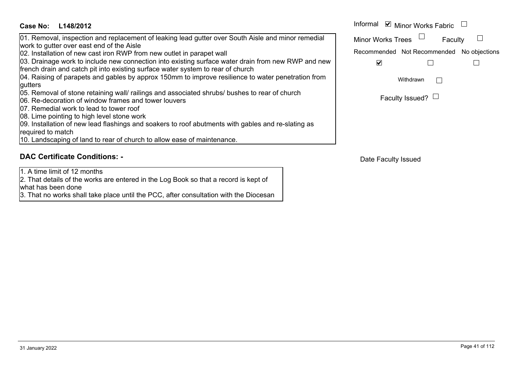| Case No:<br>L148/2012                                                                                                                                                                 | Informal <b>☑</b> Minor Works Fabric      |                        |  |
|---------------------------------------------------------------------------------------------------------------------------------------------------------------------------------------|-------------------------------------------|------------------------|--|
| 01. Removal, inspection and replacement of leaking lead gutter over South Aisle and minor remedial<br>work to gutter over east end of the Aisle                                       | Minor Works Trees                         | Faculty                |  |
| 02. Installation of new cast iron RWP from new outlet in parapet wall                                                                                                                 | Recommended Not Recommended No objections |                        |  |
| 03. Drainage work to include new connection into existing surface water drain from new RWP and new<br>french drain and catch pit into existing surface water system to rear of church | ✓                                         |                        |  |
| 04. Raising of parapets and gables by approx 150mm to improve resilience to water penetration from                                                                                    |                                           | Withdrawn              |  |
| gutters                                                                                                                                                                               |                                           |                        |  |
| 05. Removal of stone retaining wall/ railings and associated shrubs/ bushes to rear of church<br>06. Re-decoration of window frames and tower louvers                                 |                                           | Faculty Issued? $\Box$ |  |
| <b>07.</b> Remedial work to lead to tower roof                                                                                                                                        |                                           |                        |  |
| 08. Lime pointing to high level stone work                                                                                                                                            |                                           |                        |  |
| 09. Installation of new lead flashings and soakers to roof abutments with gables and re-slating as                                                                                    |                                           |                        |  |
| required to match                                                                                                                                                                     |                                           |                        |  |
| 10. Landscaping of land to rear of church to allow ease of maintenance.                                                                                                               |                                           |                        |  |

# **DAC Certificate Conditions: -**

1. A time limit of 12 months

2. That details of the works are entered in the Log Book so that a record is kept of what has been done

3. That no works shall take place until the PCC, after consultation with the Diocesan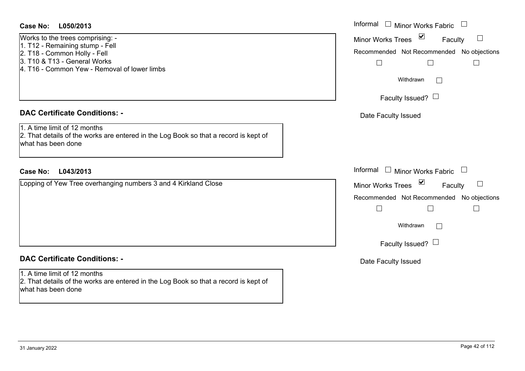### **L050/2013Case No:** Informal

Works to the trees comprising: - 1. T12 - Remaining stump - Fell 2. T18 - Common Holly - Fell 3. T10 & T13 - General Works4. T16 - Common Yew - Removal of lower limbs

### **DAC Certificate Conditions: -**

1. A time limit of 12 months2. That details of the works are entered in the Log Book so that a record is kept of what has been done

### **L043/2013Case No:** Informal

Lopping of Yew Tree overhanging numbers 3 and 4 Kirkland Close

# **DAC Certificate Conditions: -**

1. A time limit of 12 months 2. That details of the works are entered in the Log Book so that a record is kept of what has been done

| Informal<br><b>Minor Works Fabric</b>     |
|-------------------------------------------|
| ⊻<br><b>Minor Works Trees</b><br>Faculty  |
| Recommended Not Recommended No objections |
| Withdrawn                                 |
| Faculty Issued? L                         |
| Date Faculty Issued                       |
|                                           |
|                                           |
| Informal<br>$\Box$<br>Minor Works Fabric  |
| ⊻<br><b>Minor Works Trees</b><br>Faculty  |
| Recommended Not Recommended No objections |
| Withdrawn                                 |
| Faculty Issued? $\Box$                    |
| Date Faculty Issued                       |
|                                           |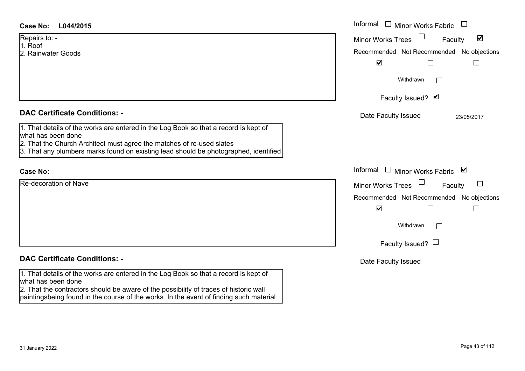Repairs to: - 1. Roof2. Rainwater Goods

**DAC Certificate Conditions: -**

1. That details of the works are entered in the Log Book so that a record is kept of what has been done

- 2. That the Church Architect must agree the matches of re-used slates
- 3. That any plumbers marks found on existing lead should be photographed, identified

### **Case No:**

Re-decoration of Nave

# **DAC Certificate Conditions: -**

1. That details of the works are entered in the Log Book so that a record is kept of what has been done

2. That the contractors should be aware of the possibility of traces of historic wall paintingsbeing found in the course of the works. In the event of finding such material

| L044/2015                                                                                                                                                                                                                              | Informal □ Minor Works Fabric                               |  |  |
|----------------------------------------------------------------------------------------------------------------------------------------------------------------------------------------------------------------------------------------|-------------------------------------------------------------|--|--|
| 0. -                                                                                                                                                                                                                                   | $\blacktriangledown$<br><b>Minor Works Trees</b><br>Faculty |  |  |
| ater Goods                                                                                                                                                                                                                             | Recommended Not Recommended No objections                   |  |  |
|                                                                                                                                                                                                                                        | $\blacktriangledown$                                        |  |  |
|                                                                                                                                                                                                                                        | Withdrawn<br>$\mathbb{R}^n$                                 |  |  |
|                                                                                                                                                                                                                                        | Faculty Issued? Ø                                           |  |  |
| rtificate Conditions: -                                                                                                                                                                                                                | Date Faculty Issued<br>23/05/2017                           |  |  |
| etails of the works are entered in the Log Book so that a record is kept of<br>been done<br>e Church Architect must agree the matches of re-used slates<br>ny plumbers marks found on existing lead should be photographed, identified |                                                             |  |  |
|                                                                                                                                                                                                                                        | Informal □ Minor Works Fabric ⊠                             |  |  |
| ation of Nave                                                                                                                                                                                                                          | Minor Works Trees<br>$\Box$<br>Faculty                      |  |  |
|                                                                                                                                                                                                                                        | Recommended Not Recommended No objections                   |  |  |
|                                                                                                                                                                                                                                        | $\blacktriangledown$                                        |  |  |
|                                                                                                                                                                                                                                        | Withdrawn<br>$\sim$                                         |  |  |
|                                                                                                                                                                                                                                        | Faculty Issued? $\Box$                                      |  |  |
| rtificate Conditions: -                                                                                                                                                                                                                | Date Faculty Issued                                         |  |  |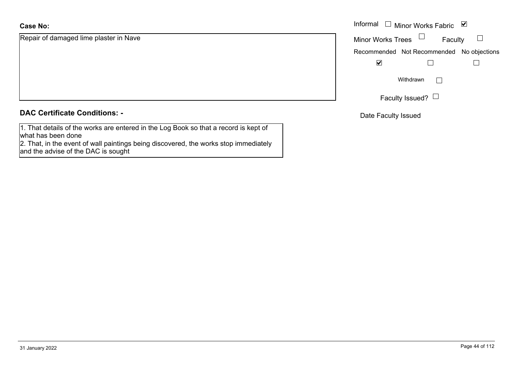### **Case No:**

Repair of damaged lime plaster in Nave

### **DAC Certificate Conditions: -**

1. That details of the works are entered in the Log Book so that a record is kept of what has been done

 2. That, in the event of wall paintings being discovered, the works stop immediately and the advise of the DAC is sought

|                              |                   | Informal $\Box$ Minor Works Fabric $\Box$ |  |
|------------------------------|-------------------|-------------------------------------------|--|
| damaged lime plaster in Nave | Minor Works Trees | Faculty                                   |  |
|                              |                   | Recommended Not Recommended No objections |  |
|                              | ⊻                 |                                           |  |
|                              |                   | Withdrawn                                 |  |
|                              |                   | Faculty Issued? $\Box$                    |  |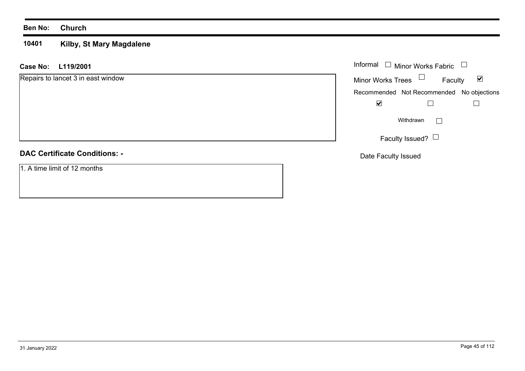### **10401Kilby, St Mary Magdalene**

**L119/2001 Case No:** Informal

Repairs to lancet 3 in east window

# **DAC Certificate Conditions: -**

1. A time limit of 12 months

| Informal $\Box$ Minor Works Fabric |                                           |   |  |
|------------------------------------|-------------------------------------------|---|--|
| <b>Minor Works Trees</b>           | Faculty                                   | V |  |
|                                    | Recommended Not Recommended No objections |   |  |
|                                    |                                           |   |  |
|                                    | Withdrawn                                 |   |  |
|                                    | Faculty Issued?                           |   |  |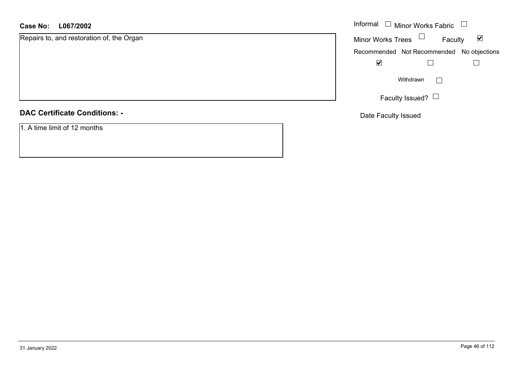### **L067/2002 Case No:** Informal

Repairs to, and restoration of, the Organ

**DAC Certificate Conditions: -**

1. A time limit of 12 months

| Informal                 | Minor Works Fabric                        |   |
|--------------------------|-------------------------------------------|---|
| <b>Minor Works Trees</b> | Faculty                                   | V |
|                          | Recommended Not Recommended No objections |   |
|                          |                                           |   |
|                          | Withdrawn                                 |   |
|                          | Faculty Issued?                           |   |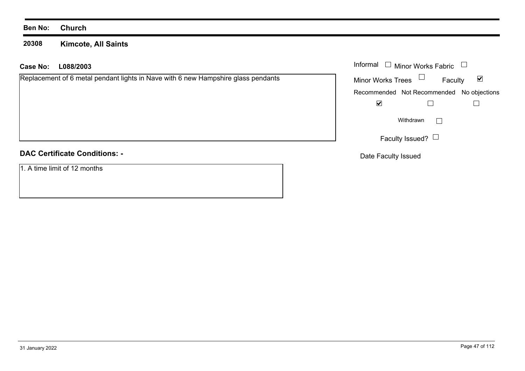**20308 Kimcote, All Saints**

| <b>Case No:</b><br>L088/2003                                                      | Informal             | Minor Works Fabric     |                                           |
|-----------------------------------------------------------------------------------|----------------------|------------------------|-------------------------------------------|
| Replacement of 6 metal pendant lights in Nave with 6 new Hampshire glass pendants | Minor Works Trees    |                        | $\overline{\mathbf{v}}$<br>Faculty        |
|                                                                                   |                      |                        | Recommended Not Recommended No objections |
|                                                                                   | $\blacktriangledown$ |                        |                                           |
|                                                                                   |                      | Withdrawn              |                                           |
|                                                                                   |                      | Faculty Issued? $\Box$ |                                           |
| <b>DAC Certificate Conditions: -</b>                                              | Date Faculty Issued  |                        |                                           |
| 1. A time limit of 12 months                                                      |                      |                        |                                           |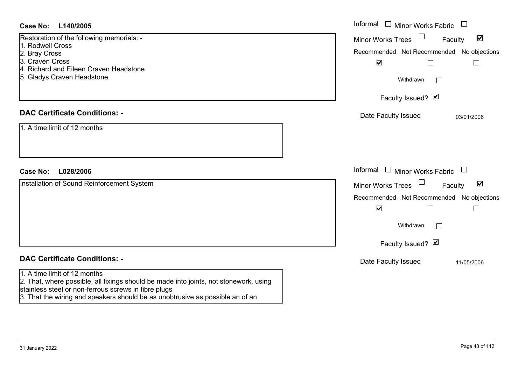| Case No: L140/2005                                                                                                                                                                                                                 | Informal $\Box$ Minor Works Fabric $\Box$                                                                                                                                              |
|------------------------------------------------------------------------------------------------------------------------------------------------------------------------------------------------------------------------------------|----------------------------------------------------------------------------------------------------------------------------------------------------------------------------------------|
| Restoration of the following memorials: -<br>1. Rodwell Cross<br>2. Bray Cross<br>3. Craven Cross<br>4. Richard and Eileen Craven Headstone<br>5. Gladys Craven Headstone                                                          | $\blacktriangledown$<br><b>Minor Works Trees</b><br>Faculty<br>Recommended Not Recommended No objections<br>$\blacktriangledown$<br>$\Box$<br>$\Box$<br>Withdrawn<br>Faculty Issued? Ø |
| <b>DAC Certificate Conditions: -</b><br>1. A time limit of 12 months                                                                                                                                                               | Date Faculty Issued<br>03/01/2006                                                                                                                                                      |
| L028/2006<br><b>Case No:</b>                                                                                                                                                                                                       | Informal $\Box$ Minor Works Fabric $\Box$                                                                                                                                              |
| Installation of Sound Reinforcement System                                                                                                                                                                                         | $\blacktriangledown$<br><b>Minor Works Trees</b><br>Faculty<br>Recommended Not Recommended No objections<br>$\blacktriangledown$<br>$\Box$<br>$\Box$                                   |
|                                                                                                                                                                                                                                    | Withdrawn<br>Faculty Issued? Ø                                                                                                                                                         |
| <b>DAC Certificate Conditions: -</b><br>1. A time limit of $\overline{12}$ months<br>2. That, where possible, all fixings should be made into joints, not stonework, using<br>stainless steel or non-ferrous screws in fibre plugs | Date Faculty Issued<br>11/05/2006                                                                                                                                                      |

3. That the wiring and speakers should be as unobtrusive as possible an of an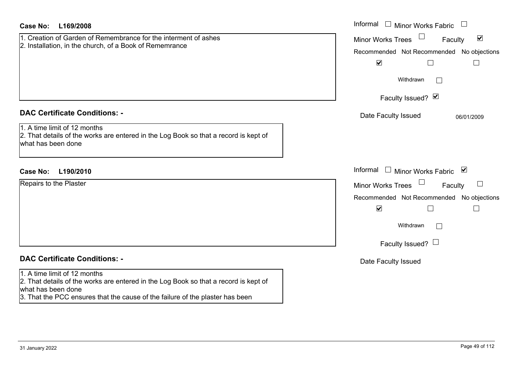| Case No:<br>L169/2008                                                                                                                                                                                                       | Informal<br>Minor Works Fabric $\Box$                                                                                                                                               |
|-----------------------------------------------------------------------------------------------------------------------------------------------------------------------------------------------------------------------------|-------------------------------------------------------------------------------------------------------------------------------------------------------------------------------------|
| 1. Creation of Garden of Remembrance for the interment of ashes<br>2. Installation, in the church, of a Book of Rememrance                                                                                                  | $\blacktriangledown$<br><b>Minor Works Trees</b><br>Faculty<br>Recommended Not Recommended No objections<br>$\blacktriangledown$<br>$\Box$<br>$\overline{\phantom{a}}$<br>Withdrawn |
|                                                                                                                                                                                                                             | Faculty Issued? Ø                                                                                                                                                                   |
| <b>DAC Certificate Conditions: -</b><br>1. A time limit of 12 months<br>2. That details of the works are entered in the Log Book so that a record is kept of<br>what has been done                                          | Date Faculty Issued<br>06/01/2009                                                                                                                                                   |
| <b>Case No:</b><br>L190/2010                                                                                                                                                                                                | Informal<br>Minor Works Fabric ⊠                                                                                                                                                    |
| Repairs to the Plaster                                                                                                                                                                                                      | Minor Works Trees<br>$\Box$<br>Faculty<br>Recommended Not Recommended No objections<br>$\blacktriangledown$<br>Withdrawn<br>$\mathbf{L}$<br>Faculty Issued? $\Box$                  |
| <b>DAC Certificate Conditions: -</b>                                                                                                                                                                                        | Date Faculty Issued                                                                                                                                                                 |
| 1. A time limit of 12 months<br>2. That details of the works are entered in the Log Book so that a record is kept of<br>what has been done<br>3. That the PCC ensures that the cause of the failure of the plaster has been |                                                                                                                                                                                     |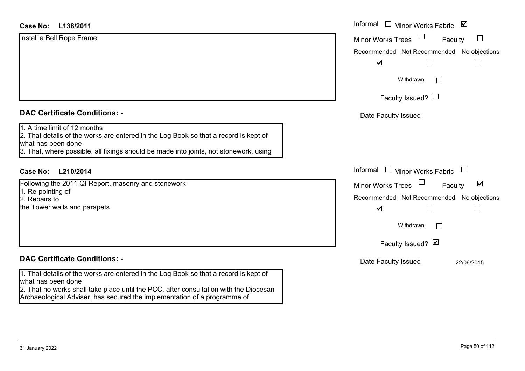#### **L138/2011Case No:**Informal

| Install a Bell Rope Frame |  |  |
|---------------------------|--|--|
|                           |  |  |
|                           |  |  |
|                           |  |  |
|                           |  |  |

### **DAC Certificate Conditions: -**

# 1. A time limit of 12 months

2. That details of the works are entered in the Log Book so that a record is kept of what has been done

3. That, where possible, all fixings should be made into joints, not stonework, using

# **L210/2014Case No:** Informal

Following the 2011 QI Report, masonry and stonework 1. Re-pointing of 2. Repairs to the Tower walls and parapets

### **DAC Certificate Conditions: -**

1. That details of the works are entered in the Log Book so that a record is kept of what has been done

2. That no works shall take place until the PCC, after consultation with the Diocesan Archaeological Adviser, has secured the implementation of a programme of

| Informal<br>$\blacktriangledown$<br>Minor Works Fabric             |
|--------------------------------------------------------------------|
| <b>Minor Works Trees</b><br>Faculty                                |
| Recommended Not Recommended No objections<br>⊻                     |
| Withdrawn                                                          |
| Faculty Issued? $\Box$                                             |
| Date Faculty Issued                                                |
|                                                                    |
|                                                                    |
| Informal<br><b>Minor Works Fabric</b>                              |
| $\vert\bm{\mathsf{v}}\vert$<br><b>Minor Works Trees</b><br>Faculty |
| Recommended Not Recommended No objections<br>$\blacktriangledown$  |
| Withdrawn                                                          |
| Faculty Issued? Ø                                                  |
| Date Faculty Issued<br>22/06/2015                                  |
|                                                                    |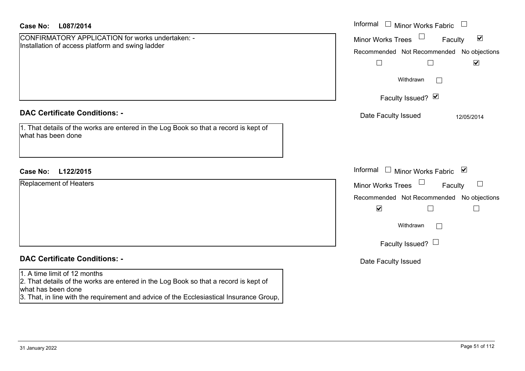| Case No:<br>L087/2014                                                                                                                                                                                                                 | Informal<br>$\Box$ Minor Works Fabric                                                                    |
|---------------------------------------------------------------------------------------------------------------------------------------------------------------------------------------------------------------------------------------|----------------------------------------------------------------------------------------------------------|
| CONFIRMATORY APPLICATION for works undertaken: -<br>Installation of access platform and swing ladder                                                                                                                                  | $\blacktriangledown$<br><b>Minor Works Trees</b><br>Faculty<br>Recommended Not Recommended No objections |
|                                                                                                                                                                                                                                       | $\blacktriangledown$<br>$\Box$                                                                           |
|                                                                                                                                                                                                                                       | Withdrawn<br>$\perp$                                                                                     |
|                                                                                                                                                                                                                                       | Faculty Issued? Ø                                                                                        |
| <b>DAC Certificate Conditions: -</b>                                                                                                                                                                                                  | Date Faculty Issued<br>12/05/2014                                                                        |
| 1. That details of the works are entered in the Log Book so that a record is kept of<br>what has been done                                                                                                                            |                                                                                                          |
| <b>Case No:</b><br>L122/2015                                                                                                                                                                                                          | Informal<br>$\Box$ Minor Works Fabric $\Box$                                                             |
| Replacement of Heaters                                                                                                                                                                                                                | <b>Minor Works Trees</b><br>$\Box$<br>Faculty                                                            |
|                                                                                                                                                                                                                                       | Recommended Not Recommended No objections                                                                |
|                                                                                                                                                                                                                                       | $\blacktriangledown$<br>$\Box$                                                                           |
|                                                                                                                                                                                                                                       | Withdrawn                                                                                                |
|                                                                                                                                                                                                                                       | Faculty Issued? $\Box$                                                                                   |
| <b>DAC Certificate Conditions: -</b>                                                                                                                                                                                                  | Date Faculty Issued                                                                                      |
| 1. A time limit of 12 months<br>2. That details of the works are entered in the Log Book so that a record is kept of<br>what has been done<br>3. That, in line with the requirement and advice of the Ecclesiastical Insurance Group, |                                                                                                          |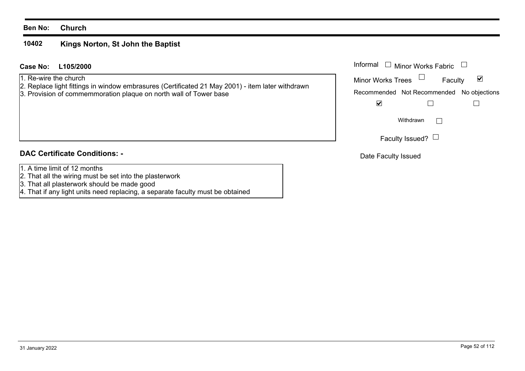#### **10402Kings Norton, St John the Baptist**

### **L105/2000Case No:** Informal

1. Re-wire the church

- 2. Replace light fittings in window embrasures (Certificated 21 May 2001) item later withdrawn
- 3. Provision of commemmoration plaque on north wall of Tower base

### **DAC Certificate Conditions: -**

- 1. A time limit of 12 months
- 2. That all the wiring must be set into the plasterwork
- 3. That all plasterwork should be made good
- 4. That if any light units need replacing, a separate faculty must be obtained

| Informal<br>$\Box$ Minor Works Fabric     |                 |         |   |
|-------------------------------------------|-----------------|---------|---|
| <b>Minor Works Trees</b>                  |                 | Faculty | M |
| Recommended Not Recommended No objections |                 |         |   |
|                                           |                 |         |   |
|                                           | Withdrawn       |         |   |
|                                           | Faculty Issued? |         |   |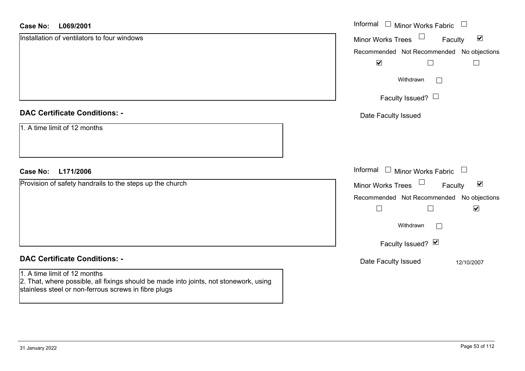#### **L069/2001Case No:**

| <b>Case No:</b><br>L069/2001                                                                                                                                                  | Informal □ Minor Works Fabric □                                       |
|-------------------------------------------------------------------------------------------------------------------------------------------------------------------------------|-----------------------------------------------------------------------|
| Installation of ventilators to four windows                                                                                                                                   | $\Box$<br>$\blacktriangledown$<br><b>Minor Works Trees</b><br>Faculty |
|                                                                                                                                                                               | Recommended Not Recommended No objections                             |
|                                                                                                                                                                               | $\blacktriangledown$<br>$\Box$                                        |
|                                                                                                                                                                               | Withdrawn                                                             |
|                                                                                                                                                                               | Faculty Issued? $\Box$                                                |
| <b>DAC Certificate Conditions: -</b>                                                                                                                                          | Date Faculty Issued                                                   |
| 1. A time limit of 12 months                                                                                                                                                  |                                                                       |
| L171/2006<br><b>Case No:</b>                                                                                                                                                  | Informal $\Box$ Minor Works Fabric $\Box$                             |
| Provision of safety handrails to the steps up the church                                                                                                                      | $\Box$<br>$\blacktriangledown$<br>Minor Works Trees<br>Faculty        |
|                                                                                                                                                                               | Recommended Not Recommended No objections                             |
|                                                                                                                                                                               | $\blacktriangledown$<br>$\Box$<br>$\Box$                              |
|                                                                                                                                                                               | Withdrawn                                                             |
|                                                                                                                                                                               | Faculty Issued? Ø                                                     |
| <b>DAC Certificate Conditions: -</b>                                                                                                                                          | Date Faculty Issued<br>12/10/2007                                     |
| 1. A time limit of 12 months<br>2. That, where possible, all fixings should be made into joints, not stonework, using<br>stainless steel or non-ferrous screws in fibre plugs |                                                                       |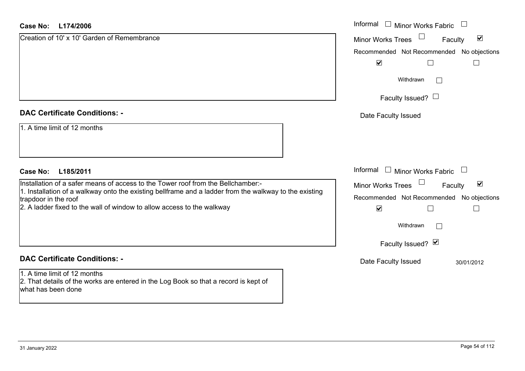| <b>Case No:</b><br>L174/2006                                                                                                               | Informal<br>$\Box$<br><b>Minor Works Fabric</b>                       |
|--------------------------------------------------------------------------------------------------------------------------------------------|-----------------------------------------------------------------------|
| Creation of 10' x 10' Garden of Remembrance                                                                                                | $\Box$<br>$\blacktriangledown$<br><b>Minor Works Trees</b><br>Faculty |
|                                                                                                                                            | Recommended Not Recommended No objections                             |
|                                                                                                                                            | $\blacktriangledown$<br>$\Box$                                        |
|                                                                                                                                            | Withdrawn<br>$\vert \ \ \vert$                                        |
|                                                                                                                                            | Faculty Issued? $\Box$                                                |
| <b>DAC Certificate Conditions: -</b>                                                                                                       | Date Faculty Issued                                                   |
| 1. A time limit of 12 months                                                                                                               |                                                                       |
| L185/2011<br><b>Case No:</b>                                                                                                               | Informal<br>$\Box$ Minor Works Fabric                                 |
| Installation of a safer means of access to the Tower roof from the Bellchamber:-                                                           | $\Box$<br>$\blacktriangledown$<br>Minor Works Trees<br>Faculty        |
| 1. Installation of a walkway onto the existing bellframe and a ladder from the walkway to the existing<br>trapdoor in the roof             | Recommended Not Recommended<br>No objections                          |
| 2. A ladder fixed to the wall of window to allow access to the walkway                                                                     | $\blacktriangledown$<br>$\Box$                                        |
|                                                                                                                                            | Withdrawn<br>$\overline{\phantom{a}}$                                 |
|                                                                                                                                            | Faculty Issued? Ø                                                     |
| <b>DAC Certificate Conditions: -</b>                                                                                                       | Date Faculty Issued<br>30/01/2012                                     |
| 1. A time limit of 12 months<br>2. That details of the works are entered in the Log Book so that a record is kept of<br>what has been done |                                                                       |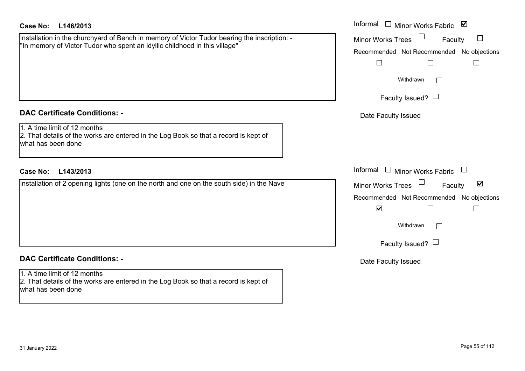| Case No: |  | L146/2013 |
|----------|--|-----------|
|----------|--|-----------|

Installation in the churchyard of Bench in memory of Victor Tudor bearing the inscription: -"In memory of Victor Tudor who spent an idyllic childhood in this village"

### **DAC Certificate Conditions: -**

# 1. A time limit of 12 months

2. That details of the works are entered in the Log Book so that a record is kept of what has been done

### **L143/2013Case No:** Informal

Installation of 2 opening lights (one on the north and one on the south side) in the Nave

# **DAC Certificate Conditions: -**

1. A time limit of 12 months2. That details of the works are entered in the Log Book so that a record is kept of what has been done

| L146/2013                                                                                                                                                 | Informal $\square$<br>$\blacktriangledown$<br>Minor Works Fabric         |
|-----------------------------------------------------------------------------------------------------------------------------------------------------------|--------------------------------------------------------------------------|
| on in the churchyard of Bench in memory of Victor Tudor bearing the inscription: -<br>bry of Victor Tudor who spent an idyllic childhood in this village" | Minor Works Trees<br>Faculty                                             |
|                                                                                                                                                           | Recommended Not Recommended No objections<br>$\mathcal{L}_{\mathcal{A}}$ |
|                                                                                                                                                           | Withdrawn                                                                |
|                                                                                                                                                           | Faculty Issued? $\Box$                                                   |
| rtificate Conditions: -                                                                                                                                   | Date Faculty Issued                                                      |
| limit of 12 months<br>etails of the works are entered in the Log Book so that a record is kept of<br>been done                                            |                                                                          |
| L143/2013                                                                                                                                                 | Informal $\Box$<br><b>Minor Works Fabric</b>                             |
| on of 2 opening lights (one on the north and one on the south side) in the Nave                                                                           | $\blacktriangledown$<br>Minor Works Trees<br>Faculty                     |
|                                                                                                                                                           | Recommended Not Recommended No objections<br>$\blacktriangledown$        |
|                                                                                                                                                           | Withdrawn                                                                |
|                                                                                                                                                           | Faculty Issued? $\Box$                                                   |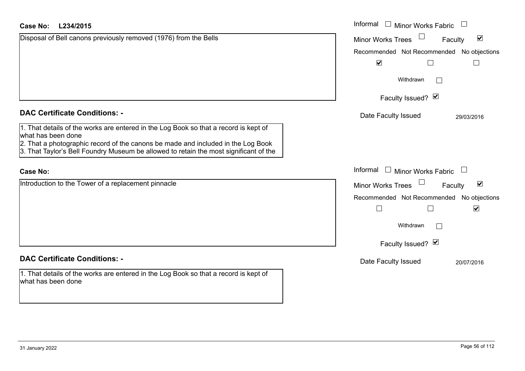| <b>Case No:</b><br>L234/2015                                                                                                                                                                                                                                                            | Informal<br>$\Box$ Minor Works Fabric                       |
|-----------------------------------------------------------------------------------------------------------------------------------------------------------------------------------------------------------------------------------------------------------------------------------------|-------------------------------------------------------------|
| Disposal of Bell canons previously removed (1976) from the Bells                                                                                                                                                                                                                        | $\blacktriangledown$<br><b>Minor Works Trees</b><br>Faculty |
|                                                                                                                                                                                                                                                                                         | Recommended Not Recommended No objections                   |
|                                                                                                                                                                                                                                                                                         | $\blacktriangledown$<br>$\Box$<br>$\Box$                    |
|                                                                                                                                                                                                                                                                                         | Withdrawn                                                   |
|                                                                                                                                                                                                                                                                                         | Faculty Issued? Ø                                           |
| <b>DAC Certificate Conditions: -</b>                                                                                                                                                                                                                                                    | Date Faculty Issued<br>29/03/2016                           |
| 1. That details of the works are entered in the Log Book so that a record is kept of<br>what has been done<br>2. That a photographic record of the canons be made and included in the Log Book<br>3. That Taylor's Bell Foundry Museum be allowed to retain the most significant of the |                                                             |
| <b>Case No:</b>                                                                                                                                                                                                                                                                         | Informal<br>$\Box$ Minor Works Fabric                       |
| Introduction to the Tower of a replacement pinnacle                                                                                                                                                                                                                                     | $\blacktriangledown$<br><b>Minor Works Trees</b><br>Faculty |
|                                                                                                                                                                                                                                                                                         | Recommended Not Recommended No objections                   |
|                                                                                                                                                                                                                                                                                         | $\blacktriangledown$<br>$\Box$<br>$\sqcup$                  |
|                                                                                                                                                                                                                                                                                         | Withdrawn                                                   |
|                                                                                                                                                                                                                                                                                         | Faculty Issued? Ø                                           |
| <b>DAC Certificate Conditions: -</b>                                                                                                                                                                                                                                                    | Date Faculty Issued<br>20/07/2016                           |
| 1. That details of the works are entered in the Log Book so that a record is kept of<br>what has been done                                                                                                                                                                              |                                                             |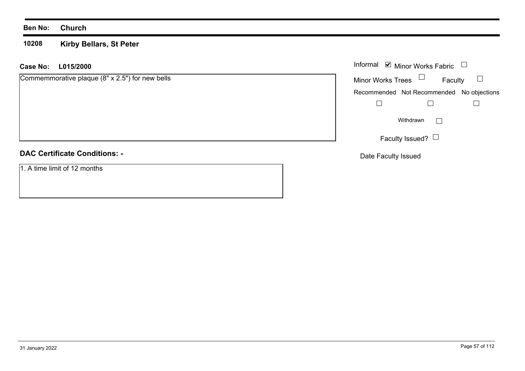#### **10208 Kirby Bellars, St Peter**

### **L015/2000 Case No:** Informal

| Commemmorative plaque (8" x 2.5") for new bells |  |  |  |  |
|-------------------------------------------------|--|--|--|--|
|-------------------------------------------------|--|--|--|--|

### **DAC Certificate Conditions: -**

1. A time limit of 12 months

|                          | Informal Ø Minor Works Fabric             |  |
|--------------------------|-------------------------------------------|--|
| <b>Minor Works Trees</b> | Faculty                                   |  |
|                          | Recommended Not Recommended No objections |  |
|                          |                                           |  |
|                          | Withdrawn                                 |  |
|                          | Faculty Issued?                           |  |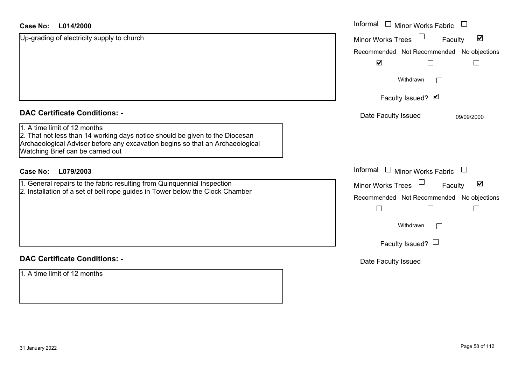| <b>Case No:</b><br>L014/2000                                                                                                                                                                                                       | Informal<br><b>Minor Works Fabric</b>                       |
|------------------------------------------------------------------------------------------------------------------------------------------------------------------------------------------------------------------------------------|-------------------------------------------------------------|
| Up-grading of electricity supply to church                                                                                                                                                                                         | $\blacktriangledown$<br><b>Minor Works Trees</b><br>Faculty |
|                                                                                                                                                                                                                                    | Recommended Not Recommended No objections                   |
|                                                                                                                                                                                                                                    | $\blacktriangledown$                                        |
|                                                                                                                                                                                                                                    | Withdrawn                                                   |
|                                                                                                                                                                                                                                    | Faculty Issued? Ø                                           |
| <b>DAC Certificate Conditions: -</b>                                                                                                                                                                                               | Date Faculty Issued<br>09/09/2000                           |
| 1. A time limit of 12 months<br>2. That not less than 14 working days notice should be given to the Diocesan<br>Archaeological Adviser before any excavation begins so that an Archaeological<br>Watching Brief can be carried out |                                                             |
| <b>Case No:</b><br>L079/2003                                                                                                                                                                                                       | Informal<br>$\Box$ Minor Works Fabric                       |
| 1. General repairs to the fabric resulting from Quinquennial Inspection                                                                                                                                                            | $\blacktriangledown$<br>Minor Works Trees<br>Faculty        |
| 2. Installation of a set of bell rope guides in Tower below the Clock Chamber                                                                                                                                                      | Recommended Not Recommended No objections                   |
|                                                                                                                                                                                                                                    |                                                             |
|                                                                                                                                                                                                                                    | Withdrawn<br>$\Box$                                         |
|                                                                                                                                                                                                                                    | Faculty Issued? $\Box$                                      |
| <b>DAC Certificate Conditions: -</b>                                                                                                                                                                                               | Date Faculty Issued                                         |
| 1. A time limit of 12 months                                                                                                                                                                                                       |                                                             |

ш.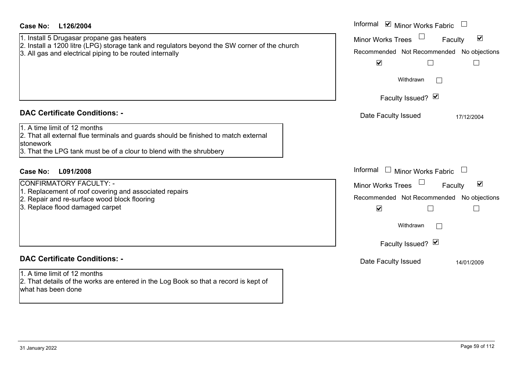| <b>Case No:</b><br>L126/2004                                                                                                                                                                            | Informal ⊠ Minor Works Fabric $\Box$                                                                                                                                                              |
|---------------------------------------------------------------------------------------------------------------------------------------------------------------------------------------------------------|---------------------------------------------------------------------------------------------------------------------------------------------------------------------------------------------------|
| 1. Install 5 Drugasar propane gas heaters<br>2. Install a 1200 litre (LPG) storage tank and regulators beyond the SW corner of the church<br>3. All gas and electrical piping to be routed internally   | Minor Works Trees $\Box$<br>$\blacktriangledown$<br>Faculty<br>Recommended Not Recommended No objections<br>$\blacktriangledown$<br>Ш<br>$\Box$<br>Withdrawn<br>$\mathbf{L}$<br>Faculty Issued? Ø |
| <b>DAC Certificate Conditions: -</b>                                                                                                                                                                    | Date Faculty Issued<br>17/12/2004                                                                                                                                                                 |
| 1. A time limit of 12 months<br>2. That all external flue terminals and guards should be finished to match external<br>stonework<br>3. That the LPG tank must be of a clour to blend with the shrubbery |                                                                                                                                                                                                   |
| <b>Case No:</b><br>L091/2008                                                                                                                                                                            | Informal $\Box$ Minor Works Fabric $\Box$                                                                                                                                                         |
| CONFIRMATORY FACULTY: -<br>1. Replacement of roof covering and associated repairs<br>2. Repair and re-surface wood block flooring<br>3. Replace flood damaged carpet                                    | Minor Works Trees<br>$\blacktriangledown$<br>Faculty<br>Recommended Not Recommended No objections<br>$\blacktriangledown$<br>Withdrawn<br>$\mathbf{L}$<br>Faculty Issued? Ø                       |
| <b>DAC Certificate Conditions: -</b>                                                                                                                                                                    | Date Faculty Issued<br>14/01/2009                                                                                                                                                                 |
| 1. A time limit of 12 months<br>2. That details of the works are entered in the Log Book so that a record is kept of<br>what has been done                                                              |                                                                                                                                                                                                   |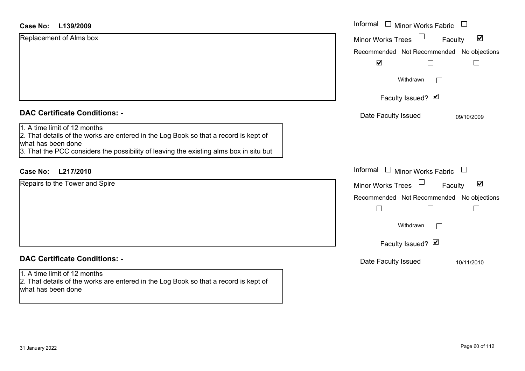| L139/2009<br><b>Case No:</b>                                                                                                                                                                                                         | Informal $\Box$ Minor Works Fabric                   |
|--------------------------------------------------------------------------------------------------------------------------------------------------------------------------------------------------------------------------------------|------------------------------------------------------|
| Replacement of Alms box                                                                                                                                                                                                              | $\blacktriangledown$<br>Minor Works Trees<br>Faculty |
|                                                                                                                                                                                                                                      | Recommended Not Recommended No objections            |
|                                                                                                                                                                                                                                      | $\blacktriangledown$<br>$\perp$                      |
|                                                                                                                                                                                                                                      | Withdrawn<br>Г                                       |
|                                                                                                                                                                                                                                      | Faculty Issued? $\vee$                               |
| <b>DAC Certificate Conditions: -</b>                                                                                                                                                                                                 | Date Faculty Issued<br>09/10/2009                    |
| 1. A time limit of 12 months<br>2. That details of the works are entered in the Log Book so that a record is kept of<br>what has been done<br>3. That the PCC considers the possibility of leaving the existing alms box in situ but |                                                      |
| L217/2010<br>Case No:                                                                                                                                                                                                                | Informal $\Box$ Minor Works Fabric<br>$\Box$         |
| Repairs to the Tower and Spire                                                                                                                                                                                                       | $\blacktriangledown$<br>Minor Works Trees<br>Faculty |
|                                                                                                                                                                                                                                      | Recommended Not Recommended No objections            |
|                                                                                                                                                                                                                                      |                                                      |
|                                                                                                                                                                                                                                      | Withdrawn                                            |
|                                                                                                                                                                                                                                      | Faculty Issued? Ø                                    |
| <b>DAC Certificate Conditions: -</b>                                                                                                                                                                                                 | Date Faculty Issued<br>10/11/2010                    |
| 1. A time limit of 12 months<br>2. That details of the works are entered in the Log Book so that a record is kept of<br>what has been done                                                                                           |                                                      |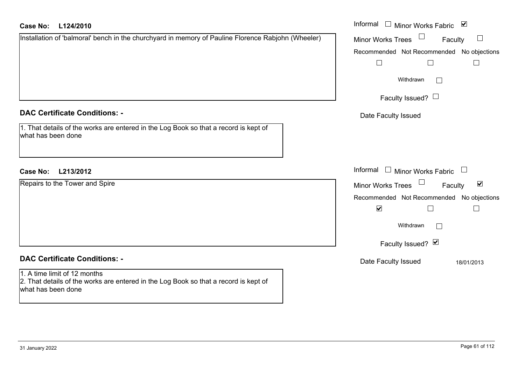#### **L124/2010Case No:**

| Case No: L124/2010                                                                                                                         |  | Informal □ Minor Works Fabric ☑              |                                 |
|--------------------------------------------------------------------------------------------------------------------------------------------|--|----------------------------------------------|---------------------------------|
| Installation of 'balmoral' bench in the churchyard in memory of Pauline Florence Rabjohn (Wheeler)                                         |  | $\Box$<br>Minor Works Trees                  | $\Box$<br>Faculty               |
|                                                                                                                                            |  | Recommended Not Recommended No objections    |                                 |
|                                                                                                                                            |  | $\Box$                                       | $\Box$<br>$\Box$                |
|                                                                                                                                            |  | Withdrawn                                    | $\mathbb{R}^n$                  |
|                                                                                                                                            |  | Faculty Issued? $\Box$                       |                                 |
| <b>DAC Certificate Conditions: -</b>                                                                                                       |  | Date Faculty Issued                          |                                 |
| 1. That details of the works are entered in the Log Book so that a record is kept of<br>what has been done                                 |  |                                              |                                 |
| L213/2012<br><b>Case No:</b>                                                                                                               |  | Informal<br>$\Box$ Minor Works Fabric $\Box$ |                                 |
| Repairs to the Tower and Spire                                                                                                             |  | Minor Works Trees                            | $\blacktriangledown$<br>Faculty |
|                                                                                                                                            |  | Recommended Not Recommended No objections    |                                 |
|                                                                                                                                            |  | $\blacktriangledown$                         | П                               |
|                                                                                                                                            |  | Withdrawn                                    |                                 |
|                                                                                                                                            |  | Faculty Issued? Ø                            |                                 |
| <b>DAC Certificate Conditions: -</b>                                                                                                       |  | Date Faculty Issued                          | 18/01/2013                      |
| 1. A time limit of 12 months<br>2. That details of the works are entered in the Log Book so that a record is kept of<br>what has been done |  |                                              |                                 |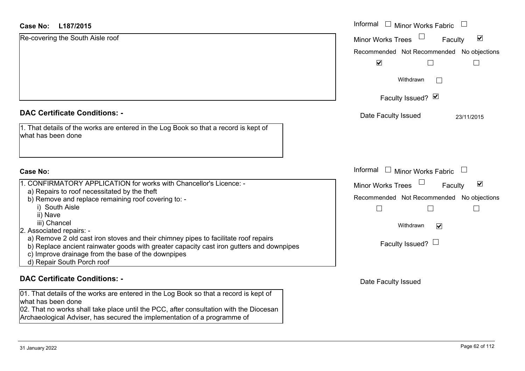| <b>Case No:</b><br>L187/2015                                                                                                                                                                                                                                        | Informal □ Minor Works Fabric                               |
|---------------------------------------------------------------------------------------------------------------------------------------------------------------------------------------------------------------------------------------------------------------------|-------------------------------------------------------------|
| Re-covering the South Aisle roof                                                                                                                                                                                                                                    | $\blacktriangledown$<br><b>Minor Works Trees</b><br>Faculty |
|                                                                                                                                                                                                                                                                     | Recommended Not Recommended No objections                   |
|                                                                                                                                                                                                                                                                     | $\blacktriangledown$                                        |
|                                                                                                                                                                                                                                                                     | Withdrawn<br>$\mathbf{1}$                                   |
|                                                                                                                                                                                                                                                                     | Faculty Issued? Ø                                           |
| <b>DAC Certificate Conditions: -</b>                                                                                                                                                                                                                                | Date Faculty Issued<br>23/11/2015                           |
| 1. That details of the works are entered in the Log Book so that a record is kept of<br>what has been done                                                                                                                                                          |                                                             |
| <b>Case No:</b>                                                                                                                                                                                                                                                     | Informal<br>$\Box$ Minor Works Fabric                       |
| 1. CONFIRMATORY APPLICATION for works with Chancellor's Licence: -                                                                                                                                                                                                  | $\blacktriangledown$<br><b>Minor Works Trees</b><br>Faculty |
| a) Repairs to roof necessitated by the theft                                                                                                                                                                                                                        | Recommended Not Recommended No objections                   |
| b) Remove and replace remaining roof covering to: -<br>i) South Aisle                                                                                                                                                                                               |                                                             |
| ii) Nave                                                                                                                                                                                                                                                            |                                                             |
| iii) Chancel                                                                                                                                                                                                                                                        | Withdrawn<br>$\blacktriangledown$                           |
| 2. Associated repairs: -                                                                                                                                                                                                                                            |                                                             |
| a) Remove 2 old cast iron stoves and their chimney pipes to facilitate roof repairs<br>b) Replace ancient rainwater goods with greater capacity cast iron gutters and downpipes<br>c) Improve drainage from the base of the downpipes<br>d) Repair South Porch roof | Faculty Issued? $\Box$                                      |
| <b>DAC Certificate Conditions: -</b>                                                                                                                                                                                                                                | Date Faculty Issued                                         |

01. That details of the works are entered in the Log Book so that a record is kept of what has been done 02. That no works shall take place until the PCC, after consultation with the Diocesan

Archaeological Adviser, has secured the implementation of a programme of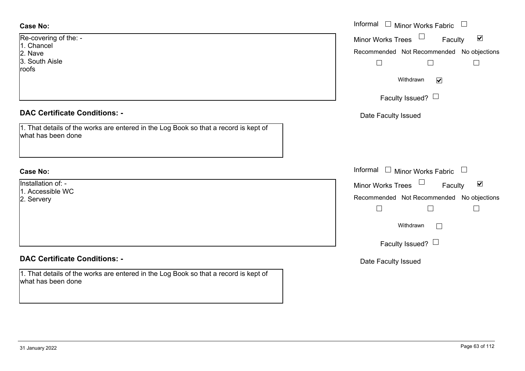# **Case No:**

| <b>Case No:</b>                                                                                            | Informal □ Minor Works Fabric                                                                     |
|------------------------------------------------------------------------------------------------------------|---------------------------------------------------------------------------------------------------|
| Re-covering of the: -<br>1. Chancel<br>2. Nave                                                             | $\blacktriangledown$<br>Minor Works Trees<br>Faculty<br>Recommended Not Recommended No objections |
| 3. South Aisle<br>roofs                                                                                    | $\vert \ \ \vert$<br>$\mathbf{L}$                                                                 |
|                                                                                                            | Withdrawn<br>$\blacktriangledown$                                                                 |
|                                                                                                            | Faculty Issued? $\Box$                                                                            |
| <b>DAC Certificate Conditions: -</b>                                                                       | Date Faculty Issued                                                                               |
| 1. That details of the works are entered in the Log Book so that a record is kept of<br>what has been done |                                                                                                   |
| <b>Case No:</b>                                                                                            | Informal<br>$\Box$ Minor Works Fabric                                                             |
| Installation of: -<br>1. Accessible WC                                                                     | $\Box$<br>$\blacktriangledown$<br><b>Minor Works Trees</b><br>Faculty                             |
| 2. Servery                                                                                                 | Recommended Not Recommended No objections                                                         |
|                                                                                                            | $\mathcal{L}_{\mathcal{A}}$<br>$\mathbf{I}$                                                       |
|                                                                                                            | Withdrawn<br>$\Box$                                                                               |
|                                                                                                            | Faculty Issued? $\Box$                                                                            |
| <b>DAC Certificate Conditions: -</b>                                                                       | Date Faculty Issued                                                                               |
| 1. That details of the works are entered in the Log Book so that a record is kept of<br>what has been done |                                                                                                   |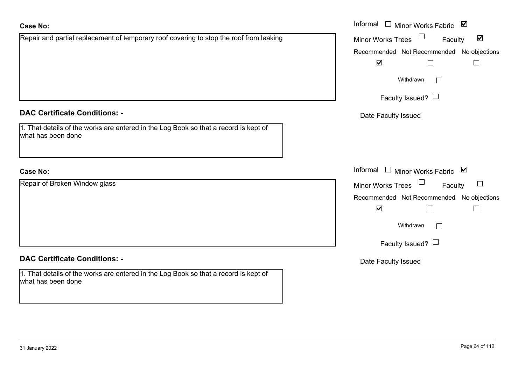| <b>Case No:</b>                                                                                            | Informal □ Minor Works Fabric ☑                           |
|------------------------------------------------------------------------------------------------------------|-----------------------------------------------------------|
| Repair and partial replacement of temporary roof covering to stop the roof from leaking                    | Minor Works Trees<br>$\blacktriangledown$<br>Faculty      |
|                                                                                                            | Recommended Not Recommended No objections                 |
|                                                                                                            | $\blacktriangledown$<br>$\Box$                            |
|                                                                                                            | Withdrawn<br>$\vert \ \ \vert$                            |
|                                                                                                            | Faculty Issued? $\Box$                                    |
| <b>DAC Certificate Conditions: -</b>                                                                       | Date Faculty Issued                                       |
| 1. That details of the works are entered in the Log Book so that a record is kept of<br>what has been done |                                                           |
| <b>Case No:</b>                                                                                            | Informal<br>□ Minor Works Fabric $\vert \mathbf{v} \vert$ |
| Repair of Broken Window glass                                                                              | Minor Works Trees<br>Faculty<br>$\Box$                    |
|                                                                                                            | Recommended Not Recommended No objections                 |
|                                                                                                            | $\blacktriangledown$<br>$\Box$<br>П                       |
|                                                                                                            | Withdrawn<br>$\overline{\phantom{0}}$                     |
|                                                                                                            | Faculty Issued? $\Box$                                    |
| <b>DAC Certificate Conditions: -</b>                                                                       | Date Faculty Issued                                       |
| 1. That details of the works are entered in the Log Book so that a record is kept of<br>what has been done |                                                           |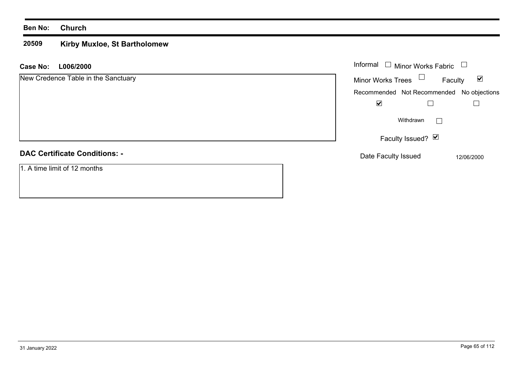#### **20509 Kirby Muxloe, St Bartholomew**

**L006/2000 Case No:** Informal

| New Credence Table in the Sanctuary  | <b>Minor Works Trees</b>                  | Faculty      | $\blacktriangledown$ |
|--------------------------------------|-------------------------------------------|--------------|----------------------|
|                                      | Recommended Not Recommended No objections |              |                      |
|                                      | $\blacktriangledown$                      |              |                      |
|                                      | Withdrawn                                 | $\mathbf{I}$ |                      |
|                                      | Faculty Issued? Ø                         |              |                      |
| <b>DAC Certificate Conditions: -</b> | Date Faculty Issued                       |              | 12/06/2000           |
| 1. A time limit of 12 months         |                                           |              |                      |

Minor Works Fabric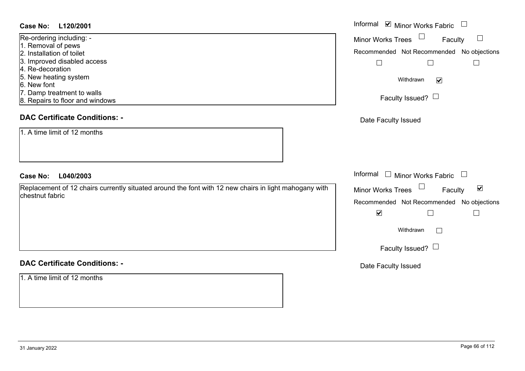### **L120/2001Case No:** Informal

| Re-ordering including: -        |  |
|---------------------------------|--|
| 1. Removal of pews              |  |
| 2. Installation of toilet       |  |
| 3. Improved disabled access     |  |
| 4. Re-decoration                |  |
| 5. New heating system           |  |
| 6. New font                     |  |
| 7. Damp treatment to walls      |  |
| 8. Repairs to floor and windows |  |
|                                 |  |

# **DAC Certificate Conditions: -**

1. A time limit of 12 months

### **L040/2003Case No:** Informal

Replacement of 12 chairs currently situated around the font with 12 new chairs in light mahogany with chestnut fabric

### **DAC Certificate Conditions: -**

1. A time limit of 12 months

| Informal ☑ Minor Works Fabric                                     |
|-------------------------------------------------------------------|
| <b>Minor Works Trees</b><br>Faculty                               |
| Recommended Not Recommended No objections                         |
|                                                                   |
| Withdrawn<br>V                                                    |
| Faculty Issued? $\Box$                                            |
| Date Faculty Issued                                               |
|                                                                   |
|                                                                   |
| Informal<br><b>Minor Works Fabric</b>                             |
| $\overline{\mathbf{v}}$<br><b>Minor Works Trees</b><br>Faculty    |
| Recommended Not Recommended No objections<br>$\blacktriangledown$ |
| Withdrawn                                                         |
| Faculty Issued?                                                   |
| Date Faculty Issued                                               |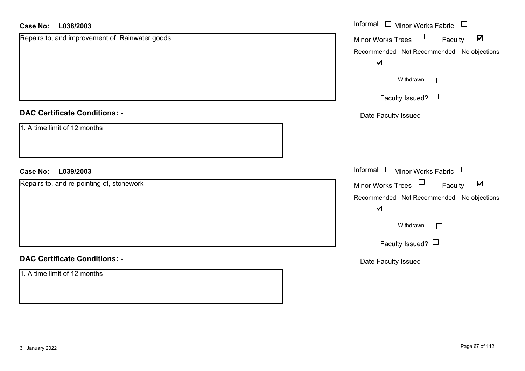| <b>Case No:</b><br>L038/2003                    | Informal □ Minor Works Fabric □                                   |
|-------------------------------------------------|-------------------------------------------------------------------|
| Repairs to, and improvement of, Rainwater goods | Minor Works Trees <sup>1</sup><br>$\blacktriangledown$<br>Faculty |
|                                                 | Recommended Not Recommended No objections                         |
|                                                 | $\blacktriangledown$<br>$\Box$                                    |
|                                                 | Withdrawn                                                         |
|                                                 | Faculty Issued?                                                   |
| <b>DAC Certificate Conditions: -</b>            | Date Faculty Issued                                               |
| 1. A time limit of 12 months                    |                                                                   |
| L039/2003<br><b>Case No:</b>                    | Informal $\Box$ Minor Works Fabric $\Box$                         |
| Repairs to, and re-pointing of, stonework       | $\blacktriangledown$<br>Minor Works Trees<br>Faculty              |
|                                                 | Recommended Not Recommended No objections                         |
|                                                 | $\blacktriangledown$<br>$\mathbf{L}$                              |
|                                                 | Withdrawn                                                         |
|                                                 | Faculty Issued? $\Box$                                            |
| <b>DAC Certificate Conditions: -</b>            | Date Faculty Issued                                               |
| 1. A time limit of 12 months                    |                                                                   |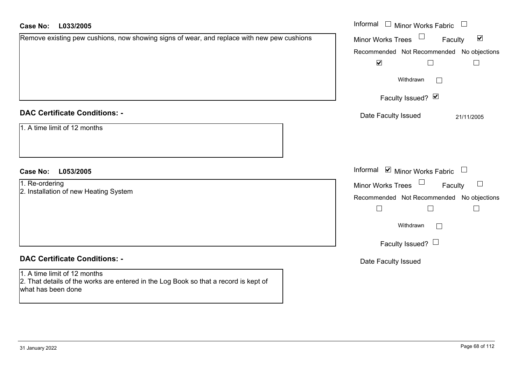| <b>Case No:</b><br>L033/2005                                                                                                               | Informal $\Box$ Minor Works Fabric $\Box$                   |
|--------------------------------------------------------------------------------------------------------------------------------------------|-------------------------------------------------------------|
| Remove existing pew cushions, now showing signs of wear, and replace with new pew cushions                                                 | $\blacktriangledown$<br>Faculty<br><b>Minor Works Trees</b> |
|                                                                                                                                            | Recommended Not Recommended No objections                   |
|                                                                                                                                            | $\blacktriangledown$<br>$\Box$<br>$\overline{\phantom{a}}$  |
|                                                                                                                                            | Withdrawn                                                   |
|                                                                                                                                            | Faculty Issued? Ø                                           |
| <b>DAC Certificate Conditions: -</b>                                                                                                       | Date Faculty Issued<br>21/11/2005                           |
| 1. A time limit of 12 months                                                                                                               |                                                             |
| L053/2005<br><b>Case No:</b>                                                                                                               | Informal $\blacksquare$ Minor Works Fabric $\blacksquare$   |
| 1. Re-ordering                                                                                                                             | $\Box$<br><b>Minor Works Trees</b><br>Faculty               |
| 2. Installation of new Heating System                                                                                                      | Recommended Not Recommended No objections                   |
|                                                                                                                                            | $\overline{\phantom{a}}$<br>$\Box$                          |
|                                                                                                                                            | Withdrawn                                                   |
|                                                                                                                                            | Faculty Issued? $\Box$                                      |
| <b>DAC Certificate Conditions: -</b>                                                                                                       | Date Faculty Issued                                         |
| 1. A time limit of 12 months<br>2. That details of the works are entered in the Log Book so that a record is kept of<br>what has been done |                                                             |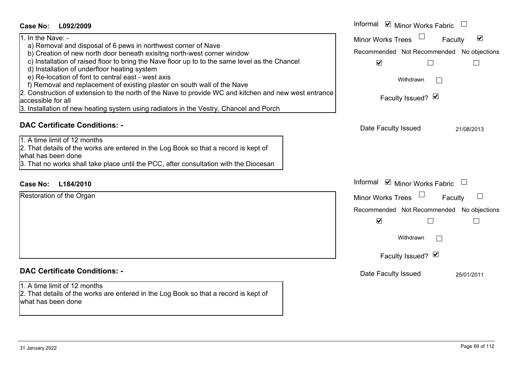| Case No:<br>L092/2009                                                                                                                                                                                                                                                                                                                                                                                                                                                                                                                                                                                                                                                      | Informal ☑ Minor Works Fabric                                                                                                                                                   |
|----------------------------------------------------------------------------------------------------------------------------------------------------------------------------------------------------------------------------------------------------------------------------------------------------------------------------------------------------------------------------------------------------------------------------------------------------------------------------------------------------------------------------------------------------------------------------------------------------------------------------------------------------------------------------|---------------------------------------------------------------------------------------------------------------------------------------------------------------------------------|
| 1. In the Nave: -<br>a) Removal and disposal of 6 pews in northwest corner of Nave<br>b) Creation of new north door beneath exisitng north-west corner window<br>c) Installation of raised floor to bring the Nave floor up to to the same level as the Chancel<br>d) Installation of underfloor heating system<br>e) Re-location of font to central east - west axis<br>f) Removal and replacement of existing plaster on south wall of the Nave<br>2. Construction of extension to the north of the Nave to provide WC and kitchen and new west entrance<br>accessible for all<br>3. Installation of new heating system using radiators in the Vestry, Chancel and Porch | $\blacktriangledown$<br>Minor Works Trees<br>Faculty<br>Recommended Not Recommended No objections<br>$\blacktriangledown$<br>$\Box$<br>$\Box$<br>Withdrawn<br>Faculty Issued? Ø |
| <b>DAC Certificate Conditions: -</b><br>1. A time limit of 12 months<br>2. That details of the works are entered in the Log Book so that a record is kept of<br>what has been done<br>3. That no works shall take place until the PCC, after consultation with the Diocesan                                                                                                                                                                                                                                                                                                                                                                                                | Date Faculty Issued<br>21/08/2013                                                                                                                                               |
| <b>Case No:</b><br>L184/2010                                                                                                                                                                                                                                                                                                                                                                                                                                                                                                                                                                                                                                               | Informal ☑ Minor Works Fabric                                                                                                                                                   |
| Restoration of the Organ                                                                                                                                                                                                                                                                                                                                                                                                                                                                                                                                                                                                                                                   | <b>Minor Works Trees</b><br>Faculty<br>Recommended Not Recommended No objections<br>$\blacktriangledown$<br>$\Box$<br>$\Box$<br>Withdrawn<br>Faculty Issued? V                  |
| <b>DAC Certificate Conditions: -</b><br>1. A time limit of 12 months<br>2. That details of the works are entered in the Log Book so that a record is kept of<br>what has been done                                                                                                                                                                                                                                                                                                                                                                                                                                                                                         | Date Faculty Issued<br>25/01/2011                                                                                                                                               |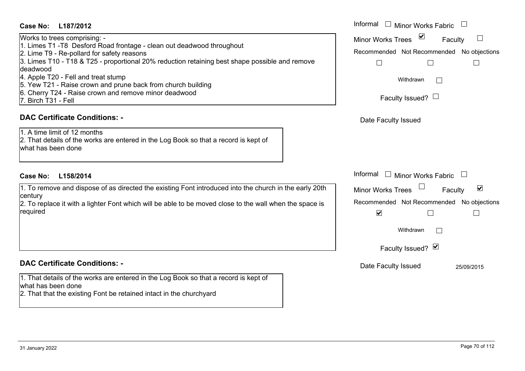### **L187/2012Case No:** Informal

Works to trees comprising: - 1. Limes T1 -T8 Desford Road frontage - clean out deadwood throughout 2. Lime T9 - Re-pollard for safety reasons 3. Limes T10 - T18 & T25 - proportional 20% reduction retaining best shape possible and remove deadwood4. Apple T20 - Fell and treat stump 5. Yew T21 - Raise crown and prune back from church building 6. Cherry T24 - Raise crown and remove minor deadwood

7. Birch T31 - Fell

### **DAC Certificate Conditions: -**

1. A time limit of 12 months 2. That details of the works are entered in the Log Book so that a record is kept of what has been done

### **L158/2014Case No:** Informal

1. To remove and dispose of as directed the existing Font introduced into the church in the early 20th century

2. To replace it with a lighter Font which will be able to be moved close to the wall when the space is required

### **DAC Certificate Conditions: -**

1. That details of the works are entered in the Log Book so that a record is kept of what has been done

2. That that the existing Font be retained intact in the churchyard

| Informal Minor Works Fabric               |            |
|-------------------------------------------|------------|
| ⊻<br><b>Minor Works Trees</b><br>Faculty  |            |
| Recommended Not Recommended No objections |            |
|                                           |            |
| Withdrawn                                 |            |
| Faculty Issued? I                         |            |
| Date Faculty Issued                       |            |
|                                           |            |
|                                           |            |
|                                           |            |
| Informal<br><b>Minor Works Fabric</b>     |            |
| <b>Minor Works Trees</b><br>Faculty       | ⊻          |
| Recommended Not Recommended No objections |            |
| $\blacktriangledown$                      |            |
| Withdrawn                                 |            |
| Faculty Issued? Ø                         |            |
| Date Faculty Issued                       | 25/09/2015 |
|                                           |            |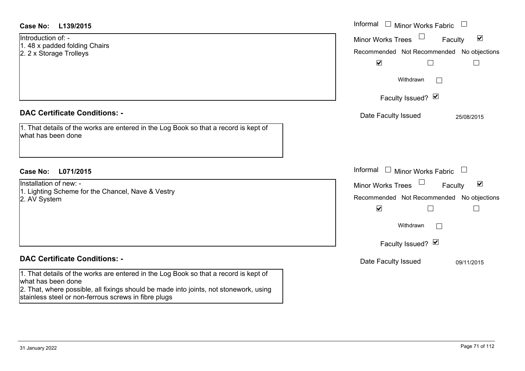| <b>Case No:</b><br>L139/2015                                                                                                                                                                                                                                | Informal $\Box$ Minor Works Fabric<br>$\Box$                                                                                                       |
|-------------------------------------------------------------------------------------------------------------------------------------------------------------------------------------------------------------------------------------------------------------|----------------------------------------------------------------------------------------------------------------------------------------------------|
| Introduction of: -<br>1.48 x padded folding Chairs<br>2. 2 x Storage Trolleys                                                                                                                                                                               | $\blacktriangledown$<br><b>Minor Works Trees</b><br>Faculty<br>Recommended Not Recommended No objections<br>$\blacktriangledown$<br>$\Box$         |
|                                                                                                                                                                                                                                                             | Withdrawn                                                                                                                                          |
|                                                                                                                                                                                                                                                             | Faculty Issued? Ø                                                                                                                                  |
| <b>DAC Certificate Conditions: -</b><br>1. That details of the works are entered in the Log Book so that a record is kept of<br>what has been done                                                                                                          | Date Faculty Issued<br>25/08/2015                                                                                                                  |
| <b>Case No:</b><br>L071/2015                                                                                                                                                                                                                                | Informal<br><b>Minor Works Fabric</b>                                                                                                              |
| Installation of new: -<br>1. Lighting Scheme for the Chancel, Nave & Vestry<br>2. AV System                                                                                                                                                                 | $\blacktriangledown$<br><b>Minor Works Trees</b><br>Faculty<br>Recommended Not Recommended No objections<br>$\blacktriangledown$<br>Г<br>Withdrawn |
|                                                                                                                                                                                                                                                             | Faculty Issued? Ø                                                                                                                                  |
| <b>DAC Certificate Conditions: -</b>                                                                                                                                                                                                                        | Date Faculty Issued<br>09/11/2015                                                                                                                  |
| 1. That details of the works are entered in the Log Book so that a record is kept of<br>what has been done<br>2. That, where possible, all fixings should be made into joints, not stonework, using<br>stainless steel or non-ferrous screws in fibre plugs |                                                                                                                                                    |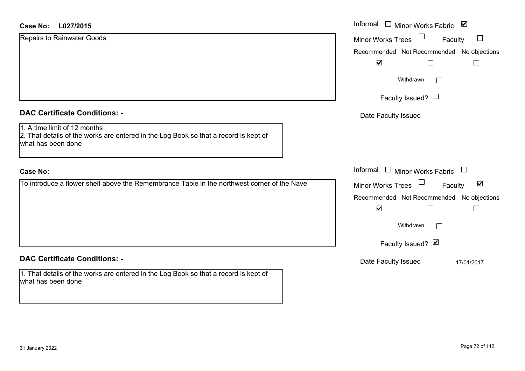| L027/2015<br>Case No:                                                                                                                      | Informal □ Minor Works Fabric ⊠                      |
|--------------------------------------------------------------------------------------------------------------------------------------------|------------------------------------------------------|
| Repairs to Rainwater Goods                                                                                                                 | Minor Works Trees<br>$\Box$<br>Faculty               |
|                                                                                                                                            | Recommended Not Recommended No objections            |
|                                                                                                                                            | $\blacktriangledown$                                 |
|                                                                                                                                            | Withdrawn<br>$\mathbf{1}$                            |
|                                                                                                                                            | Faculty Issued? $\Box$                               |
| <b>DAC Certificate Conditions: -</b>                                                                                                       | Date Faculty Issued                                  |
| 1. A time limit of 12 months<br>2. That details of the works are entered in the Log Book so that a record is kept of<br>what has been done |                                                      |
| <b>Case No:</b>                                                                                                                            | Informal $\Box$ Minor Works Fabric $\Box$            |
| To introduce a flower shelf above the Remembrance Table in the northwest corner of the Nave                                                | Minor Works Trees<br>$\blacktriangledown$<br>Faculty |
|                                                                                                                                            | Recommended Not Recommended No objections            |
|                                                                                                                                            | $\blacktriangledown$                                 |
|                                                                                                                                            | Withdrawn<br>$\sqrt{2}$                              |
|                                                                                                                                            | Faculty Issued? Ø                                    |
| <b>DAC Certificate Conditions: -</b>                                                                                                       | Date Faculty Issued<br>17/01/2017                    |
| 1. That details of the works are entered in the Log Book so that a record is kept of<br>what has been done                                 |                                                      |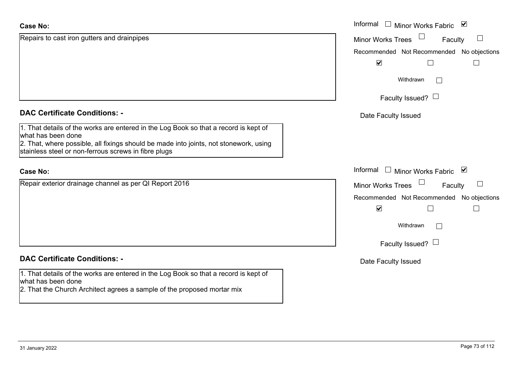| <b>Case No:</b>                                                                                                                                                                                                                                             | Informal $\Box$ Minor Works Fabric $\Box$      |
|-------------------------------------------------------------------------------------------------------------------------------------------------------------------------------------------------------------------------------------------------------------|------------------------------------------------|
| Repairs to cast iron gutters and drainpipes                                                                                                                                                                                                                 | Minor Works Trees<br>$\mathbb{R}^n$<br>Faculty |
|                                                                                                                                                                                                                                                             | Recommended Not Recommended No objections      |
|                                                                                                                                                                                                                                                             | $\blacktriangledown$                           |
|                                                                                                                                                                                                                                                             | Withdrawn<br>$\mathbb{R}^n$                    |
|                                                                                                                                                                                                                                                             | Faculty Issued? $\Box$                         |
| <b>DAC Certificate Conditions: -</b>                                                                                                                                                                                                                        | Date Faculty Issued                            |
| 1. That details of the works are entered in the Log Book so that a record is kept of<br>what has been done<br>2. That, where possible, all fixings should be made into joints, not stonework, using<br>stainless steel or non-ferrous screws in fibre plugs |                                                |
| <b>Case No:</b>                                                                                                                                                                                                                                             | Informal □ Minor Works Fabric ⊠                |
| Repair exterior drainage channel as per QI Report 2016                                                                                                                                                                                                      | Minor Works Trees<br>$\mathbb{R}^n$<br>Faculty |
|                                                                                                                                                                                                                                                             | Recommended Not Recommended No objections      |
|                                                                                                                                                                                                                                                             | $\blacktriangledown$<br>$\perp$                |
|                                                                                                                                                                                                                                                             | Withdrawn<br>$\mathbb{R}^n$                    |
|                                                                                                                                                                                                                                                             | Faculty Issued? $\Box$                         |
| <b>DAC Certificate Conditions: -</b>                                                                                                                                                                                                                        | Date Faculty Issued                            |
| 1. That details of the works are entered in the Log Book so that a record is kept of<br>what has been done<br>2. That the Church Architect agrees a sample of the proposed mortar mix                                                                       |                                                |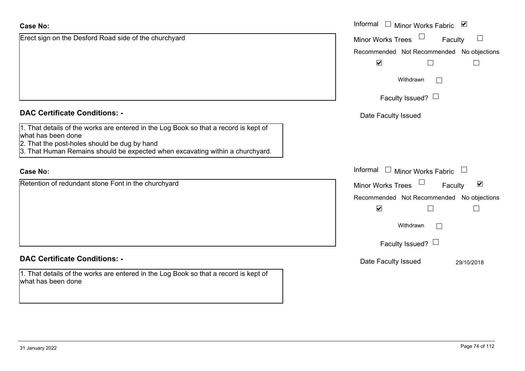| <b>Case No:</b>                                                                                                                                            | Informal $\square$<br>Minor Works Fabric ⊠           |
|------------------------------------------------------------------------------------------------------------------------------------------------------------|------------------------------------------------------|
| Erect sign on the Desford Road side of the churchyard                                                                                                      | Minor Works Trees<br>Faculty                         |
|                                                                                                                                                            | Recommended Not Recommended No objections            |
|                                                                                                                                                            | $\blacktriangledown$<br>$\Box$<br>$\Box$             |
|                                                                                                                                                            | Withdrawn                                            |
|                                                                                                                                                            | Faculty Issued? $\Box$                               |
| <b>DAC Certificate Conditions: -</b>                                                                                                                       | Date Faculty Issued                                  |
| 1. That details of the works are entered in the Log Book so that a record is kept of<br>what has been done<br>2. That the post-holes should be dug by hand |                                                      |
| 3. That Human Remains should be expected when excavating within a churchyard.                                                                              |                                                      |
| <b>Case No:</b>                                                                                                                                            | Informal $\Box$ Minor Works Fabric $\Box$            |
| Retention of redundant stone Font in the churchyard                                                                                                        | $\blacktriangledown$<br>Minor Works Trees<br>Faculty |
|                                                                                                                                                            | Recommended Not Recommended No objections            |
|                                                                                                                                                            | $\blacktriangledown$<br>$\Box$                       |
|                                                                                                                                                            | Withdrawn<br>$\perp$                                 |
|                                                                                                                                                            | Faculty Issued? $\Box$                               |
| <b>DAC Certificate Conditions: -</b>                                                                                                                       | Date Faculty Issued<br>29/10/2018                    |
| 1. That details of the works are entered in the Log Book so that a record is kept of<br>what has been done                                                 |                                                      |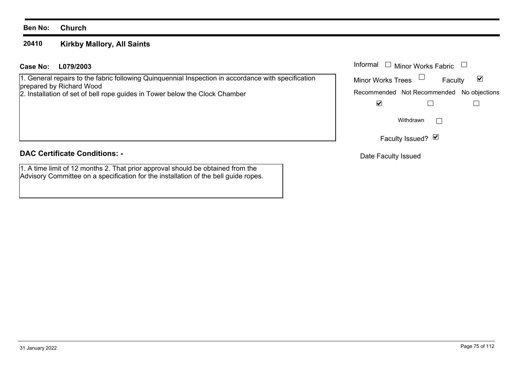#### **20410Kirkby Mallory, All Saints**

# **L079/2003Case No:** Informal

1. General repairs to the fabric following Quinquennial Inspection in accordance with specification prepared by Richard Wood

2. Installation of set of bell rope guides in Tower below the Clock Chamber

# **DAC Certificate Conditions: -**

1. A time limit of 12 months 2. That prior approval should be obtained from the Advisory Committee on a specification for the installation of the bell guide ropes.

|                          | Informal ❑  Minor Works Fabric |                                           |
|--------------------------|--------------------------------|-------------------------------------------|
| <b>Minor Works Trees</b> |                                | M<br>Faculty                              |
|                          |                                | Recommended Not Recommended No objections |
|                          |                                |                                           |
|                          | Withdrawn                      |                                           |
|                          | Faculty Issued? Ø              |                                           |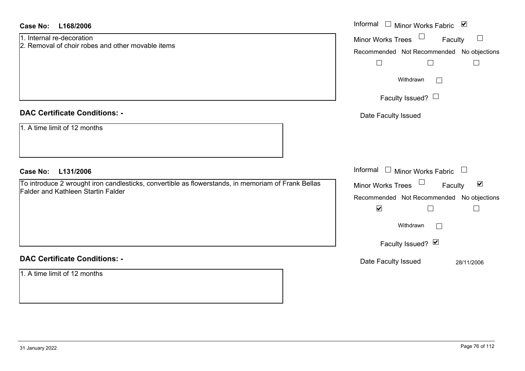| Case No:<br>L168/2006                                                                                                                           | Informal □ Minor Works Fabric ☑                      |
|-------------------------------------------------------------------------------------------------------------------------------------------------|------------------------------------------------------|
| 1. Internal re-decoration<br>2. Removal of choir robes and other movable items                                                                  | Minor Works Trees<br>Faculty<br>$\Box$               |
|                                                                                                                                                 | Recommended Not Recommended No objections            |
|                                                                                                                                                 | $\Box$<br>$\Box$<br>$\mathbb{R}^n$                   |
|                                                                                                                                                 | Withdrawn                                            |
|                                                                                                                                                 | Faculty Issued? $\Box$                               |
| <b>DAC Certificate Conditions: -</b>                                                                                                            | Date Faculty Issued                                  |
| 1. A time limit of 12 months                                                                                                                    |                                                      |
| <b>Case No:</b><br>L131/2006                                                                                                                    | Informal $\Box$ Minor Works Fabric $\Box$            |
| To introduce 2 wrought iron candlesticks, convertible as flowerstands, in memoriam of Frank Bellas<br><b>Falder and Kathleen Startin Falder</b> | Minor Works Trees<br>$\blacktriangledown$<br>Faculty |
|                                                                                                                                                 | Recommended Not Recommended No objections            |
|                                                                                                                                                 | $\blacktriangledown$<br>$\Box$<br>$\mathbb{R}^n$     |
|                                                                                                                                                 | Withdrawn                                            |
|                                                                                                                                                 | Faculty Issued? Ø                                    |
| <b>DAC Certificate Conditions: -</b>                                                                                                            | Date Faculty Issued<br>28/11/2006                    |
| 1. A time limit of 12 months                                                                                                                    |                                                      |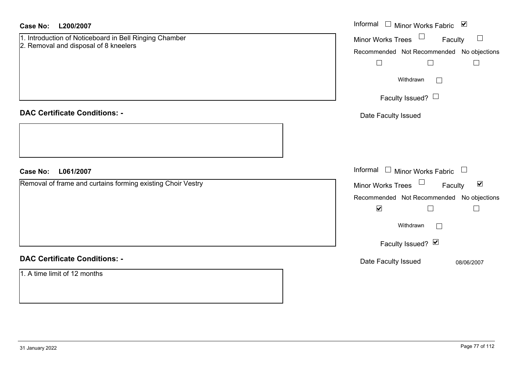| <b>Case No:</b><br>L200/2007                                                                    | Informal □ Minor Works Fabric ⊠                             |
|-------------------------------------------------------------------------------------------------|-------------------------------------------------------------|
| 1. Introduction of Noticeboard in Bell Ringing Chamber<br>2. Removal and disposal of 8 kneelers | Minor Works Trees <sup>1</sup><br>Faculty                   |
|                                                                                                 | Recommended Not Recommended No objections                   |
|                                                                                                 | $\Box$<br>$\Box$<br>$\Box$                                  |
|                                                                                                 | Withdrawn<br>$\Box$                                         |
|                                                                                                 | Faculty Issued?                                             |
| <b>DAC Certificate Conditions: -</b>                                                            | Date Faculty Issued                                         |
|                                                                                                 |                                                             |
|                                                                                                 |                                                             |
| <b>Case No:</b><br>L061/2007                                                                    | Informal $\Box$ Minor Works Fabric $\Box$                   |
| Removal of frame and curtains forming existing Choir Vestry                                     | Minor Works Trees $\Box$<br>$\blacktriangledown$<br>Faculty |
|                                                                                                 | Recommended Not Recommended No objections                   |
|                                                                                                 | $\blacktriangledown$<br>$\Box$<br>$\Box$                    |
|                                                                                                 | Withdrawn<br>$\Box$                                         |
|                                                                                                 | Faculty Issued? Ø                                           |
| <b>DAC Certificate Conditions: -</b>                                                            | Date Faculty Issued<br>08/06/2007                           |
| 1. A time limit of 12 months                                                                    |                                                             |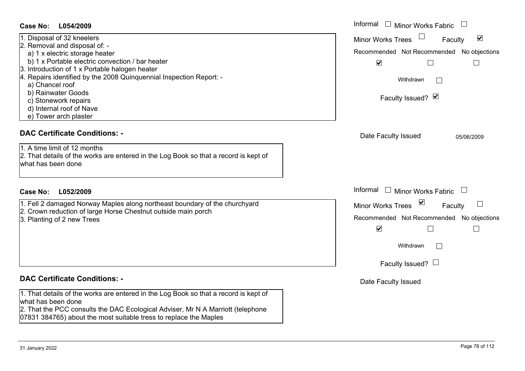| <b>Case No:</b><br>L054/2009                                                                                                                                                                                                                                                                                                                                                                  | Informal $\Box$ Minor Works Fabric $\Box$                                                                                                                                                       |
|-----------------------------------------------------------------------------------------------------------------------------------------------------------------------------------------------------------------------------------------------------------------------------------------------------------------------------------------------------------------------------------------------|-------------------------------------------------------------------------------------------------------------------------------------------------------------------------------------------------|
| 1. Disposal of 32 kneelers<br>2. Removal and disposal of: -<br>a) 1 x electric storage heater<br>b) 1 x Portable electric convection / bar heater<br>3. Introduction of 1 x Portable halogen heater<br>Repairs identified by the 2008 Quinquennial Inspection Report: -<br>a) Chancel roof<br>b) Rainwater Goods<br>c) Stonework repairs<br>d) Internal roof of Nave<br>e) Tower arch plaster | $\blacktriangledown$<br><b>Minor Works Trees</b><br>Faculty<br>Recommended Not Recommended No objections<br>$\blacktriangledown$<br>$\Box$<br>$\Box$<br>Withdrawn<br>Faculty Issued? Ø          |
| <b>DAC Certificate Conditions: -</b><br>1. A time limit of 12 months<br>2. That details of the works are entered in the Log Book so that a record is kept of<br>what has been done                                                                                                                                                                                                            | Date Faculty Issued<br>05/06/2009                                                                                                                                                               |
| <b>Case No:</b><br>L052/2009                                                                                                                                                                                                                                                                                                                                                                  | Informal<br>$\Box$ Minor Works Fabric $\Box$                                                                                                                                                    |
| 1. Fell 2 damaged Norway Maples along northeast boundary of the churchyard<br>2. Crown reduction of large Horse Chestnut outside main porch<br>3. Planting of 2 new Trees                                                                                                                                                                                                                     | $\vee$<br><b>Minor Works Trees</b><br>Faculty<br>Recommended Not Recommended No objections<br>$\blacktriangledown$<br>$\overline{\phantom{a}}$<br>$\Box$<br>Withdrawn<br>Faculty Issued? $\Box$ |
| <b>DAC Certificate Conditions: -</b>                                                                                                                                                                                                                                                                                                                                                          | Date Faculty Issued                                                                                                                                                                             |
| 1. That details of the works are entered in the Log Book so that a record is kept of<br>what has been done<br>2. That the PCC consults the DAC Ecological Adviser, Mr N A Marriott (telephone                                                                                                                                                                                                 |                                                                                                                                                                                                 |

07831 384765) about the most suitable tress to replace the Maples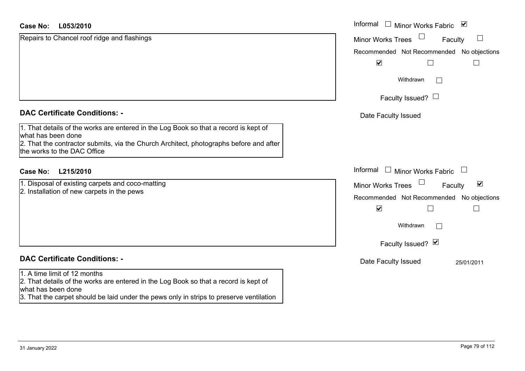| <b>Case No:</b><br>L053/2010                                                                                 | Informal □ Minor Works Fabric 凶                             |
|--------------------------------------------------------------------------------------------------------------|-------------------------------------------------------------|
| Repairs to Chancel roof ridge and flashings                                                                  | $\sqcup$<br>Minor Works Trees<br>Faculty                    |
|                                                                                                              | Recommended Not Recommended No objections                   |
|                                                                                                              | $\blacktriangledown$                                        |
|                                                                                                              | Withdrawn<br>$\Box$                                         |
|                                                                                                              | Faculty Issued? $\Box$                                      |
| <b>DAC Certificate Conditions: -</b>                                                                         | Date Faculty Issued                                         |
| 1. That details of the works are entered in the Log Book so that a record is kept of                         |                                                             |
| what has been done<br>2. That the contractor submits, via the Church Architect, photographs before and after |                                                             |
| the works to the DAC Office                                                                                  |                                                             |
| <b>Case No:</b><br>L215/2010                                                                                 | Informal<br>$\Box$ Minor Works Fabric                       |
| 1. Disposal of existing carpets and coco-matting                                                             | $\blacktriangledown$<br><b>Minor Works Trees</b><br>Faculty |
| 2. Installation of new carpets in the pews                                                                   | Recommended Not Recommended No objections                   |
|                                                                                                              | $\blacktriangledown$<br>$\mathbf{I}$                        |
|                                                                                                              | Withdrawn<br>$\mathbb{R}^n$                                 |
|                                                                                                              | Faculty Issued? Ø                                           |
| <b>DAC Certificate Conditions: -</b>                                                                         | Date Faculty Issued<br>25/01/2011                           |
| 1. A time limit of 12 months                                                                                 |                                                             |
| 2. That details of the works are entered in the Log Book so that a record is kept of<br>what has been done   |                                                             |
| 3. That the carpet should be laid under the pews only in strips to preserve ventilation                      |                                                             |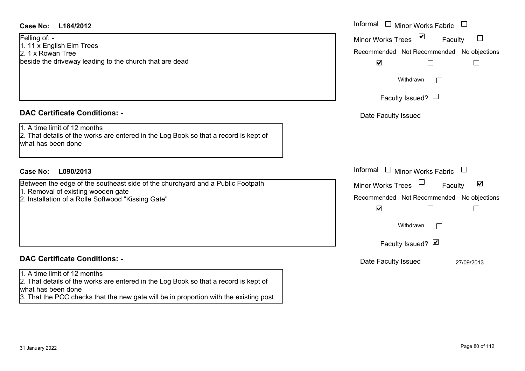## **L184/2012Case No:** Informal

Felling of: - 1. 11 x English Elm Trees 2. 1 x Rowan Treebeside the driveway leading to the church that are dead

# **DAC Certificate Conditions: -**

1. A time limit of 12 months

2. That details of the works are entered in the Log Book so that a record is kept of what has been done

# **L090/2013Case No:** Informal

Between the edge of the southeast side of the churchyard and a Public Footpath 1. Removal of existing wooden gate

2. Installation of a Rolle Softwood "Kissing Gate"

# **DAC Certificate Conditions: -**

## 1. A time limit of 12 months

2. That details of the works are entered in the Log Book so that a record is kept of what has been done

3. That the PCC checks that the new gate will be in proportion with the existing post

| Informal<br><b>Minor Works Fabric</b>                             |  |
|-------------------------------------------------------------------|--|
| ⊻<br><b>Minor Works Trees</b><br>Faculty                          |  |
| Recommended Not Recommended No objections<br>$\blacktriangledown$ |  |
| Withdrawn                                                         |  |
| Faculty Issued?                                                   |  |
| Date Faculty Issued                                               |  |
|                                                                   |  |
| Informal<br><b>Minor Works Fabric</b>                             |  |
| ⊻<br><b>Minor Works Trees</b><br>Faculty                          |  |
| Recommended Not Recommended No objections<br>$\blacktriangledown$ |  |
| Withdrawn                                                         |  |
| Faculty Issued? Ø                                                 |  |
| Date Faculty Issued<br>27/09/2013                                 |  |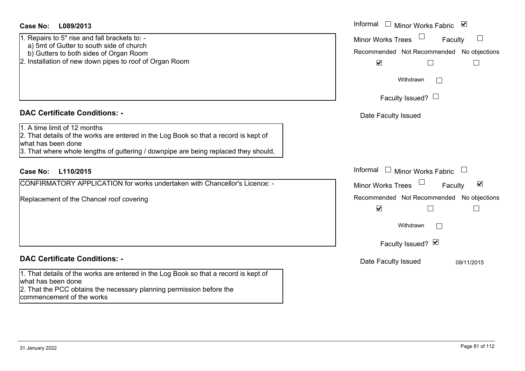| <b>Case No:</b> | L089/2013 |
|-----------------|-----------|
|-----------------|-----------|

- 1. Repairs to 5" rise and fall brackets to: -
- a) 5mt of Gutter to south side of church
- b) Gutters to both sides of Organ Room
- 2. Installation of new down pipes to roof of Organ Room

#### **DAC Certificate Conditions: -**

1. A time limit of 12 months

2. That details of the works are entered in the Log Book so that a record is kept of what has been done

3. That where whole lengths of guttering / downpipe are being replaced they should,

# **L110/2015Case No:** Informal

CONFIRMATORY APPLICATION for works undertaken with Chancellor's Licence: -

Replacement of the Chancel roof covering

# **DAC Certificate Conditions: -**

1. That details of the works are entered in the Log Book so that a record is kept of what has been done

2. That the PCC obtains the necessary planning permission before the commencement of the works

| L089/2013                                                                                                                                                                                    | Informal □ Minor Works Fabric<br>⊻                   |
|----------------------------------------------------------------------------------------------------------------------------------------------------------------------------------------------|------------------------------------------------------|
| s to 5" rise and fall brackets to: -<br>of Gutter to south side of church                                                                                                                    | $\Box$<br><b>Minor Works Trees</b><br>Faculty        |
| ters to both sides of Organ Room                                                                                                                                                             | Recommended Not Recommended No objections            |
| ation of new down pipes to roof of Organ Room                                                                                                                                                | $\blacktriangledown$                                 |
|                                                                                                                                                                                              | Withdrawn<br>$\vert \ \ \vert$                       |
|                                                                                                                                                                                              | Faculty Issued? $\Box$                               |
| rtificate Conditions: -                                                                                                                                                                      | Date Faculty Issued                                  |
| limit of 12 months<br>etails of the works are entered in the Log Book so that a record is kept of<br>been done<br>here whole lengths of guttering / downpipe are being replaced they should, |                                                      |
| L110/2015                                                                                                                                                                                    | Informal □ Minor Works Fabric                        |
| MATORY APPLICATION for works undertaken with Chancellor's Licence: -                                                                                                                         | $\blacktriangledown$<br>Minor Works Trees<br>Faculty |
| nent of the Chancel roof covering                                                                                                                                                            | Recommended Not Recommended No objections            |
|                                                                                                                                                                                              | $\blacktriangledown$<br>$\overline{\phantom{a}}$     |
|                                                                                                                                                                                              | Withdrawn                                            |
|                                                                                                                                                                                              | Faculty Issued? Ø                                    |
| rtificate Conditions: -                                                                                                                                                                      | Date Faculty Issued<br>09/11/2015                    |
| etails of the works are entered in the Log Book so that a record is kent of                                                                                                                  |                                                      |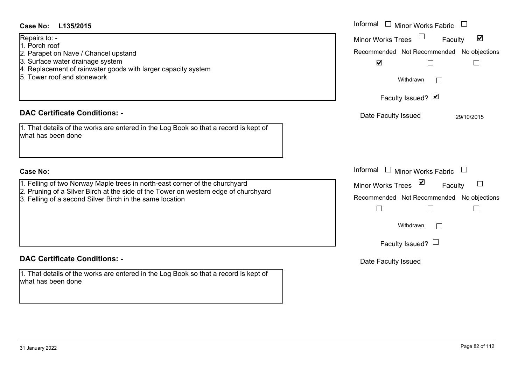| <b>Case No:</b><br>L135/2015                                                                                                                                                                                                   | Informal<br>$\Box$ Minor Works Fabric                                                                                                                                                        |
|--------------------------------------------------------------------------------------------------------------------------------------------------------------------------------------------------------------------------------|----------------------------------------------------------------------------------------------------------------------------------------------------------------------------------------------|
| Repairs to: -<br>1. Porch roof<br>2. Parapet on Nave / Chancel upstand<br>3. Surface water drainage system<br>4. Replacement of rainwater goods with larger capacity system<br>5. Tower roof and stonework                     | $\blacktriangledown$<br><b>Minor Works Trees</b><br>Faculty<br>Recommended Not Recommended No objections<br>$\blacktriangledown$<br>$\Box$<br>Withdrawn<br>$\mathbf{L}$<br>Faculty Issued? Ø |
| <b>DAC Certificate Conditions: -</b>                                                                                                                                                                                           | Date Faculty Issued<br>29/10/2015                                                                                                                                                            |
| 1. That details of the works are entered in the Log Book so that a record is kept of<br>what has been done                                                                                                                     |                                                                                                                                                                                              |
| <b>Case No:</b>                                                                                                                                                                                                                | Informal $\Box$ Minor Works Fabric                                                                                                                                                           |
| 1. Felling of two Norway Maple trees in north-east corner of the churchyard<br>2. Pruning of a Silver Birch at the side of the Tower on western edge of churchyard<br>3. Felling of a second Silver Birch in the same location | Minor Works Trees <b>■</b><br>Faculty<br>Recommended Not Recommended No objections<br>Withdrawn<br>Faculty Issued? $\Box$                                                                    |
| <b>DAC Certificate Conditions: -</b>                                                                                                                                                                                           | Date Faculty Issued                                                                                                                                                                          |
| 1. That details of the works are entered in the Log Book so that a record is kept of<br>what has been done                                                                                                                     |                                                                                                                                                                                              |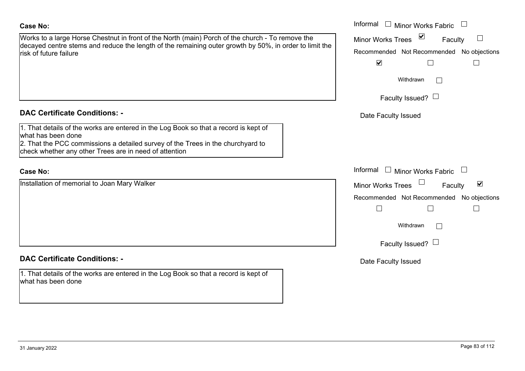Works to a large Horse Chestnut in front of the North (main) Porch of the church - To remove the decayed centre stems and reduce the length of the remaining outer growth by 50%, in order to limit risk of future failure

# **DAC Certificate Conditions: -**

1. That details of the works are entered in the Log Book so that a record is kept of what has been done 2. That the PCC commissions a detailed survey of the Trees in the churchyard to

check whether any other Trees are in need of attention

#### **Case No:**

Installation of memorial to Joan Mary Walker

# **DAC Certificate Conditions: -**

1. That details of the works are entered in the Log Book so that a record is kept of what has been done

| a large Horse Chestnut in front of the North (main) Porch of the church - To remove the<br>centre stems and reduce the length of the remaining outer growth by 50%, in order to limit the<br>ure failure:           | Informal □ Minor Works Fabric<br>$\triangledown$<br><b>Minor Works Trees</b><br>$\Box$<br>Faculty<br>Recommended Not Recommended No objections<br>$\blacktriangledown$ |
|---------------------------------------------------------------------------------------------------------------------------------------------------------------------------------------------------------------------|------------------------------------------------------------------------------------------------------------------------------------------------------------------------|
|                                                                                                                                                                                                                     | Withdrawn<br>Faculty Issued?                                                                                                                                           |
| rtificate Conditions: -                                                                                                                                                                                             | Date Faculty Issued                                                                                                                                                    |
| etails of the works are entered in the Log Book so that a record is kept of<br>been done<br>e PCC commissions a detailed survey of the Trees in the churchyard to<br>ether any other Trees are in need of attention |                                                                                                                                                                        |
|                                                                                                                                                                                                                     | Informal $\Box$ Minor Works Fabric                                                                                                                                     |
| on of memorial to Joan Mary Walker                                                                                                                                                                                  | $\blacktriangledown$<br>Minor Works Trees<br>Faculty                                                                                                                   |
|                                                                                                                                                                                                                     | Recommended Not Recommended No objections<br>$\overline{\phantom{a}}$                                                                                                  |
|                                                                                                                                                                                                                     | Withdrawn                                                                                                                                                              |
|                                                                                                                                                                                                                     | Faculty Issued?                                                                                                                                                        |
| rtificate Conditions: -                                                                                                                                                                                             | Date Faculty Issued                                                                                                                                                    |
| etails of the works are entered in the Log Book so that a record is kent of                                                                                                                                         |                                                                                                                                                                        |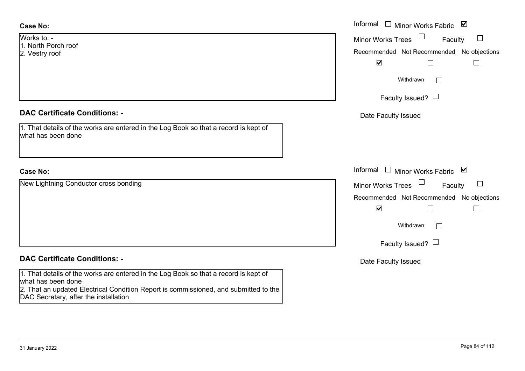Works to: -1. North Porch roof2. Vestry roof

## **DAC Certificate Conditions: -**

| 1. That details of the works are entered in the Log Book so that a record is kept of |  |  |  |  |
|--------------------------------------------------------------------------------------|--|--|--|--|
| what has been done                                                                   |  |  |  |  |

# **Case No:**

New Lightning Conductor cross bonding

# **DAC Certificate Conditions: -**

1. That details of the works are entered in the Log Book so that a record is kept of what has been done

2. That an updated Electrical Condition Report is commissioned, and submitted to the DAC Secretary, after the installation

|                                                                                          | Informal □ Minor Works Fabric ☑                                   |
|------------------------------------------------------------------------------------------|-------------------------------------------------------------------|
| Porch roof                                                                               | Minor Works Trees $\Box$<br>Faculty<br>$\sqcup$                   |
| roof                                                                                     | Recommended Not Recommended No objections<br>$\blacktriangledown$ |
|                                                                                          | Withdrawn                                                         |
|                                                                                          | Faculty Issued? $\Box$                                            |
| rtificate Conditions: -                                                                  | Date Faculty Issued                                               |
| etails of the works are entered in the Log Book so that a record is kept of<br>been done |                                                                   |
|                                                                                          | Informal $\Box$ Minor Works Fabric $\Box$                         |
| thing Conductor cross bonding                                                            | Minor Works Trees<br>$\Box$<br>Faculty                            |
|                                                                                          | Recommended Not Recommended No objections<br>$\blacktriangledown$ |
|                                                                                          | Withdrawn<br>Г                                                    |
|                                                                                          | Faculty Issued?                                                   |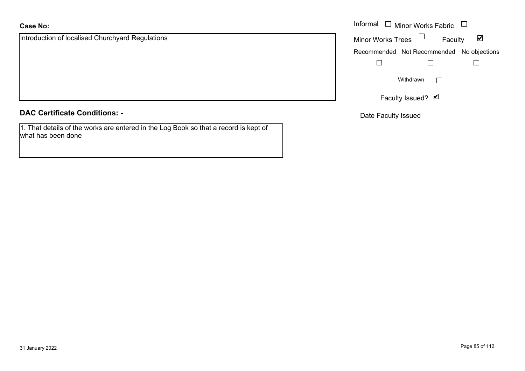Introduction of localised Churchyard Regulations

**DAC Certificate Conditions: -**

1. That details of the works are entered in the Log Book so that a record is kept of what has been done

|                                         | Informal $\Box$ Minor Works Fabric $\Box$                   |
|-----------------------------------------|-------------------------------------------------------------|
| ion of localised Churchyard Regulations | Minor Works Trees $\Box$<br>$\blacktriangledown$<br>Faculty |
|                                         | Recommended Not Recommended No objections                   |
|                                         |                                                             |
|                                         | Withdrawn                                                   |
|                                         | Faculty Issued? Ø                                           |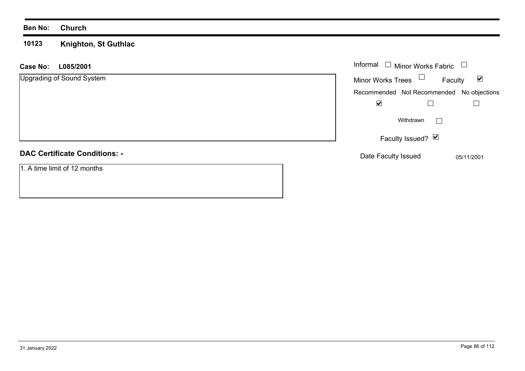#### **10123 Knighton, St Guthlac**

| L085/2001<br><b>Case No:</b>         | Informal $\Box$ Minor Works Fabric                          |
|--------------------------------------|-------------------------------------------------------------|
| Upgrading of Sound System            | Minor Works Trees $\Box$<br>$\blacktriangledown$<br>Faculty |
|                                      | Recommended Not Recommended No objections                   |
|                                      | $\blacktriangledown$                                        |
|                                      | Withdrawn<br>$\vert \ \ \vert$                              |
|                                      | Faculty Issued? Ø                                           |
| <b>DAC Certificate Conditions: -</b> | Date Faculty Issued<br>05/11/2001                           |
| 1. A time limit of 12 months         |                                                             |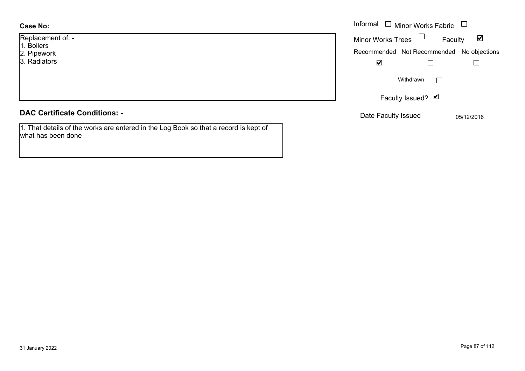Replacement of: -

- 1. Boilers
- 2. Pipework
- 3. Radiators

#### **DAC Certificate Conditions: -**

1. That details of the works are entered in the Log Book so that a record is kept of what has been done

|            |                          | Informal $\Box$ Minor Works Fabric $\Box$ |                      |
|------------|--------------------------|-------------------------------------------|----------------------|
| nent of: - | Minor Works Trees $\Box$ | Faculty                                   | $\blacktriangledown$ |
| ork        |                          | Recommended Not Recommended No objections |                      |
| ors        | $\blacktriangledown$     |                                           |                      |
|            |                          | Withdrawn<br>$\mathbf{L}$                 |                      |
|            |                          | Faculty Issued? Ø                         |                      |
|            |                          |                                           |                      |

Date Faculty Issued 05/12/2016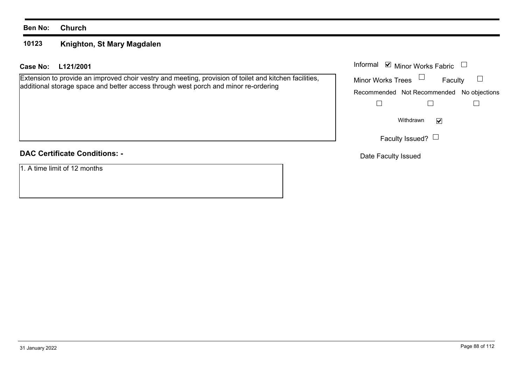#### **10123Knighton, St Mary Magdalen**

# **L121/2001Case No:** Informal

Extension to provide an improved choir vestry and meeting, provision of toilet and kitchen facilities, additional storage space and better access through west porch and minor re-ordering

# **DAC Certificate Conditions: -**

1. A time limit of 12 months

| Informal ■ Minor Works Fabric |                                           |  |  |  |  |
|-------------------------------|-------------------------------------------|--|--|--|--|
| <b>Minor Works Trees</b>      | Faculty                                   |  |  |  |  |
|                               | Recommended Not Recommended No objections |  |  |  |  |
|                               |                                           |  |  |  |  |
| Withdrawn                     |                                           |  |  |  |  |
|                               | Faculty Issued?                           |  |  |  |  |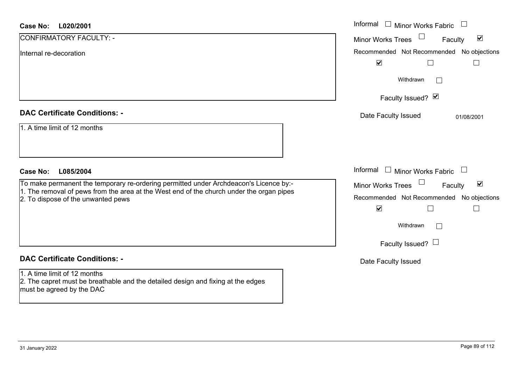| <b>Case No:</b><br>L020/2001                                                                                                                                                                                            | Informal<br>$\Box$<br>Minor Works Fabric                                                                                                                                   |
|-------------------------------------------------------------------------------------------------------------------------------------------------------------------------------------------------------------------------|----------------------------------------------------------------------------------------------------------------------------------------------------------------------------|
| CONFIRMATORY FACULTY: -                                                                                                                                                                                                 | $\blacktriangledown$<br>Minor Works Trees<br>Faculty                                                                                                                       |
| Internal re-decoration                                                                                                                                                                                                  | Recommended Not Recommended No objections<br>$\blacktriangledown$                                                                                                          |
|                                                                                                                                                                                                                         | Withdrawn<br>$\sim$                                                                                                                                                        |
|                                                                                                                                                                                                                         | Faculty Issued? Ø                                                                                                                                                          |
| <b>DAC Certificate Conditions: -</b>                                                                                                                                                                                    | Date Faculty Issued<br>01/08/2001                                                                                                                                          |
| 1. A time limit of 12 months                                                                                                                                                                                            |                                                                                                                                                                            |
| <b>Case No:</b><br>L085/2004                                                                                                                                                                                            | Informal $\Box$ Minor Works Fabric $\Box$                                                                                                                                  |
| To make permanent the temporary re-ordering permitted under Archdeacon's Licence by:-<br>1. The removal of pews from the area at the West end of the church under the organ pipes<br>2. To dispose of the unwanted pews | Minor Works Trees<br>$\blacktriangledown$<br>Faculty<br>Recommended Not Recommended No objections<br>$\blacktriangledown$<br>Withdrawn<br>$\Box$<br>Faculty Issued? $\Box$ |
| <b>DAC Certificate Conditions: -</b>                                                                                                                                                                                    | Date Faculty Issued                                                                                                                                                        |
| 1. A time limit of 12 months<br>2. The capret must be breathable and the detailed design and fixing at the edges                                                                                                        |                                                                                                                                                                            |

must be agreed by the DAC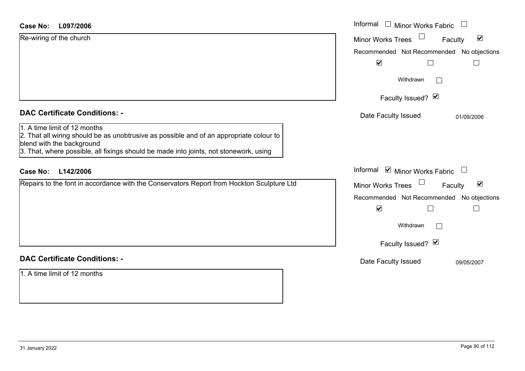| <b>Case No:</b><br>L097/2006                                                                                                                                                                                                                  | Informal $\Box$ Minor Works Fabric                          |
|-----------------------------------------------------------------------------------------------------------------------------------------------------------------------------------------------------------------------------------------------|-------------------------------------------------------------|
| Re-wiring of the church                                                                                                                                                                                                                       | $\blacktriangledown$<br><b>Minor Works Trees</b><br>Faculty |
|                                                                                                                                                                                                                                               | Recommended Not Recommended No objections                   |
|                                                                                                                                                                                                                                               | $\blacktriangledown$                                        |
|                                                                                                                                                                                                                                               | Withdrawn                                                   |
|                                                                                                                                                                                                                                               | Faculty Issued? Ø                                           |
| <b>DAC Certificate Conditions: -</b>                                                                                                                                                                                                          | Date Faculty Issued<br>01/09/2006                           |
| 1. A time limit of 12 months<br>2. That all wiring should be as unobtrusive as possible and of an appropriate colour to<br>blend with the background<br>3. That, where possible, all fixings should be made into joints, not stonework, using |                                                             |
| L142/2006<br><b>Case No:</b>                                                                                                                                                                                                                  | Informal ⊠ Minor Works Fabric $\Box$                        |
| Repairs to the font in accordance with the Conservators Report from Hockton Sculpture Ltd                                                                                                                                                     | $\blacktriangledown$<br><b>Minor Works Trees</b><br>Faculty |
|                                                                                                                                                                                                                                               | Recommended Not Recommended No objections                   |
|                                                                                                                                                                                                                                               | $\blacktriangledown$<br>$\mathbf{L}$                        |
|                                                                                                                                                                                                                                               | Withdrawn                                                   |
|                                                                                                                                                                                                                                               | Faculty Issued? Ø                                           |
| <b>DAC Certificate Conditions: -</b>                                                                                                                                                                                                          | Date Faculty Issued<br>09/05/2007                           |
| 1. A time limit of 12 months                                                                                                                                                                                                                  |                                                             |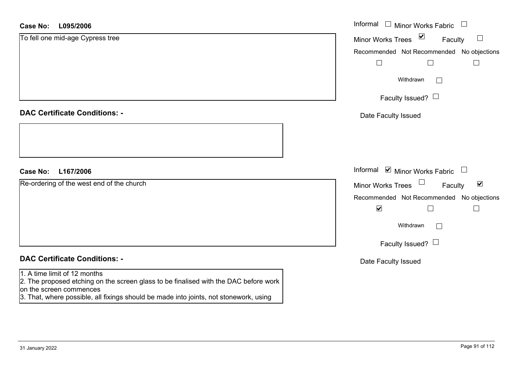| <b>Case No:</b><br>L095/2006                                                                                                                                                                                                             | Informal $\quad \Box$ Minor Works Fabric                                 |
|------------------------------------------------------------------------------------------------------------------------------------------------------------------------------------------------------------------------------------------|--------------------------------------------------------------------------|
| To fell one mid-age Cypress tree                                                                                                                                                                                                         | $\overline{\mathbf{v}}$<br>$\Box$<br><b>Minor Works Trees</b><br>Faculty |
|                                                                                                                                                                                                                                          | Recommended Not Recommended No objections                                |
|                                                                                                                                                                                                                                          |                                                                          |
|                                                                                                                                                                                                                                          | Withdrawn<br>$\mathbf{I}$                                                |
|                                                                                                                                                                                                                                          | Faculty Issued? $\Box$                                                   |
| <b>DAC Certificate Conditions: -</b>                                                                                                                                                                                                     | Date Faculty Issued                                                      |
|                                                                                                                                                                                                                                          |                                                                          |
| <b>Case No:</b><br>L167/2006                                                                                                                                                                                                             | Informal Ø Minor Works Fabric □                                          |
| Re-ordering of the west end of the church                                                                                                                                                                                                | $\blacktriangledown$<br><b>Minor Works Trees</b><br>Faculty              |
|                                                                                                                                                                                                                                          | Recommended Not Recommended No objections                                |
|                                                                                                                                                                                                                                          | $\blacktriangledown$                                                     |
|                                                                                                                                                                                                                                          | Withdrawn                                                                |
|                                                                                                                                                                                                                                          | Faculty Issued? $\Box$                                                   |
| <b>DAC Certificate Conditions: -</b>                                                                                                                                                                                                     | Date Faculty Issued                                                      |
| 1. A time limit of 12 months<br>2. The proposed etching on the screen glass to be finalised with the DAC before work<br>on the screen commences<br>3. That, where possible, all fixings should be made into joints, not stonework, using |                                                                          |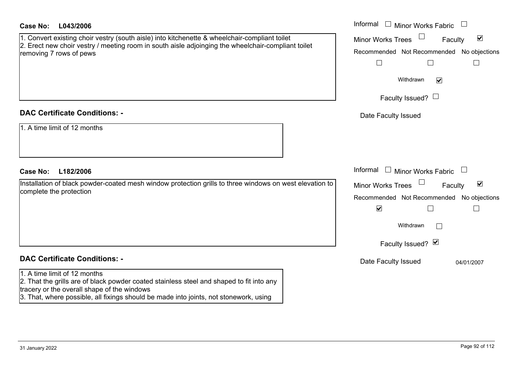| Case No: | L043/2006 |
|----------|-----------|
|----------|-----------|

## **DAC Certificate Conditions: -**

|  |  |  |  |  | 1. A time limit of 12 months |
|--|--|--|--|--|------------------------------|
|--|--|--|--|--|------------------------------|

# **DAC Certificate Conditions: -**

## 1. A time limit of 12 months

2. That the grills are of black powder coated stainless steel and shaped to fit into any tracery or the overall shape of the windows

3. That, where possible, all fixings should be made into joints, not stonework, using

| <b>Case No:</b><br>L043/2006                                                                                                                                                                                                   | Informal $\Box$ Minor Works Fabric $\Box$                                                                                                                   |
|--------------------------------------------------------------------------------------------------------------------------------------------------------------------------------------------------------------------------------|-------------------------------------------------------------------------------------------------------------------------------------------------------------|
| 1. Convert existing choir vestry (south aisle) into kitchenette & wheelchair-compliant toilet<br>2. Erect new choir vestry / meeting room in south aisle adjoinging the wheelchair-compliant toilet<br>removing 7 rows of pews | $\blacktriangledown$<br><b>Minor Works Trees</b><br>Faculty<br>Recommended Not Recommended No objections                                                    |
|                                                                                                                                                                                                                                | Withdrawn<br>$\blacktriangledown$<br>Faculty Issued? $\Box$                                                                                                 |
| <b>DAC Certificate Conditions: -</b>                                                                                                                                                                                           | Date Faculty Issued                                                                                                                                         |
| 1. A time limit of 12 months<br>L182/2006<br><b>Case No:</b>                                                                                                                                                                   | Informal $\Box$ Minor Works Fabric $\Box$                                                                                                                   |
| Installation of black powder-coated mesh window protection grills to three windows on west elevation to<br>complete the protection                                                                                             | $\blacktriangledown$<br>Minor Works Trees<br>Faculty<br>Recommended Not Recommended No objections<br>$\blacktriangledown$<br>Withdrawn<br>Faculty Issued? Ø |
| <b>DAC Certificate Conditions: -</b>                                                                                                                                                                                           | Date Faculty Issued<br>04/01/2007                                                                                                                           |
| 1. A time limit of 12 months                                                                                                                                                                                                   |                                                                                                                                                             |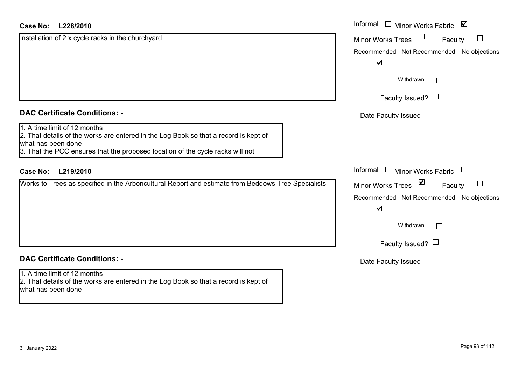| Installation of 2 x cycle racks in the churchyard                                                                                                                                                                            | <b>Minor Works Trees</b><br>$\Box$<br>Faculty       |
|------------------------------------------------------------------------------------------------------------------------------------------------------------------------------------------------------------------------------|-----------------------------------------------------|
|                                                                                                                                                                                                                              |                                                     |
|                                                                                                                                                                                                                              | Recommended Not Recommended No objections           |
|                                                                                                                                                                                                                              | $\blacktriangledown$                                |
|                                                                                                                                                                                                                              | Withdrawn<br>$\Box$                                 |
|                                                                                                                                                                                                                              | Faculty Issued? $\Box$                              |
| <b>DAC Certificate Conditions: -</b>                                                                                                                                                                                         | Date Faculty Issued                                 |
| 1. A time limit of 12 months<br>2. That details of the works are entered in the Log Book so that a record is kept of<br>what has been done<br>3. That the PCC ensures that the proposed location of the cycle racks will not |                                                     |
| <b>Case No:</b><br>L219/2010                                                                                                                                                                                                 | Informal<br><b>Minor Works Fabric</b>               |
| Works to Trees as specified in the Arboricultural Report and estimate from Beddows Tree Specialists                                                                                                                          | ⊻<br>$\perp$<br><b>Minor Works Trees</b><br>Faculty |
|                                                                                                                                                                                                                              | Recommended Not Recommended No objections           |
|                                                                                                                                                                                                                              | $\blacktriangledown$<br>L                           |
|                                                                                                                                                                                                                              | Withdrawn<br>$\Box$                                 |
|                                                                                                                                                                                                                              | Faculty Issued? L                                   |
|                                                                                                                                                                                                                              |                                                     |
| <b>DAC Certificate Conditions: -</b>                                                                                                                                                                                         | Date Faculty Issued                                 |

L.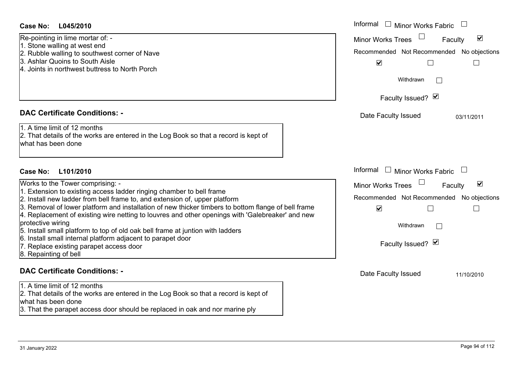- 1. Stone walling at west end
- 2. Rubble walling to southwest corner of Nave
- 3. Ashlar Quoins to South Aisle
- 4. Joints in northwest buttress to North Porch

## **DAC Certificate Conditions: -**

- 1. Extension to existing access ladder ringing chamber to bell frame
- 2. Install new ladder from bell frame to, and extension of, upper platform

- 5. Install small platform to top of old oak bell frame at juntion with ladders
- 6. Install small internal platform adjacent to parapet door
- 7. Replace existing parapet access door
- 8. Repainting of bell

# **DAC Certificate Conditions: -**

1. A time limit of 12 months

2. That details of the works are entered in the Log Book so that a record is kept of what has been done

3. That the parapet access door should be replaced in oak and nor marine ply

| <b>Case No:</b><br>L045/2010                                                                                                                                                                                                                                                                                                                                                                                                                                                                                                                                                                                                                | Informal □ Minor Works Fabric                                                                                                                               |
|---------------------------------------------------------------------------------------------------------------------------------------------------------------------------------------------------------------------------------------------------------------------------------------------------------------------------------------------------------------------------------------------------------------------------------------------------------------------------------------------------------------------------------------------------------------------------------------------------------------------------------------------|-------------------------------------------------------------------------------------------------------------------------------------------------------------|
| Re-pointing in lime mortar of: -<br>1. Stone walling at west end<br>2. Rubble walling to southwest corner of Nave<br>3. Ashlar Quoins to South Aisle<br>4. Joints in northwest buttress to North Porch                                                                                                                                                                                                                                                                                                                                                                                                                                      | $\blacktriangledown$<br><b>Minor Works Trees</b><br>Faculty<br>Recommended Not Recommended No objections<br>$\blacktriangledown$<br>Withdrawn               |
|                                                                                                                                                                                                                                                                                                                                                                                                                                                                                                                                                                                                                                             | Faculty Issued? Ø                                                                                                                                           |
| <b>DAC Certificate Conditions: -</b>                                                                                                                                                                                                                                                                                                                                                                                                                                                                                                                                                                                                        | Date Faculty Issued<br>03/11/2011                                                                                                                           |
| 1. A time limit of 12 months<br>2. That details of the works are entered in the Log Book so that a record is kept of<br>what has been done                                                                                                                                                                                                                                                                                                                                                                                                                                                                                                  |                                                                                                                                                             |
| <b>Case No:</b><br>L101/2010                                                                                                                                                                                                                                                                                                                                                                                                                                                                                                                                                                                                                | Informal $\Box$ Minor Works Fabric                                                                                                                          |
| Works to the Tower comprising: -<br>1. Extension to existing access ladder ringing chamber to bell frame<br>2. Install new ladder from bell frame to, and extension of, upper platform<br>3. Removal of lower platform and installation of new thicker timbers to bottom flange of bell frame<br>4. Replacement of existing wire netting to louvres and other openings with 'Galebreaker' and new<br>protective wiring<br>5. Install small platform to top of old oak bell frame at juntion with ladders<br>6. Install small internal platform adjacent to parapet door<br>7. Replace existing parapet access door<br>8. Repainting of bell | $\blacktriangledown$<br>Minor Works Trees<br>Faculty<br>Recommended Not Recommended No objections<br>$\blacktriangledown$<br>Withdrawn<br>Faculty Issued? Ø |
| <b>DAC Certificate Conditions: -</b>                                                                                                                                                                                                                                                                                                                                                                                                                                                                                                                                                                                                        | Date Faculty Issued<br>11/10/2010                                                                                                                           |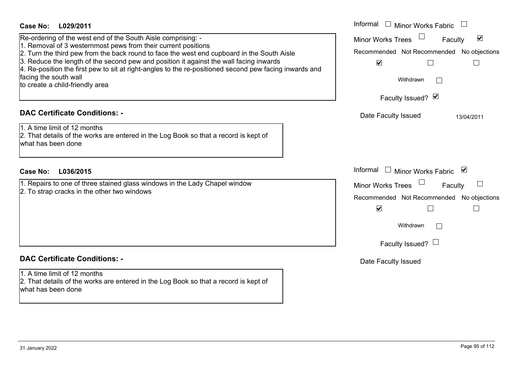| <b>Case No:</b><br>L029/2011                                                                                                                                                                                                                                                                                                                                                                                                                                                                | Informal $\Box$ Minor Works Fabric                                                                                                                                          |
|---------------------------------------------------------------------------------------------------------------------------------------------------------------------------------------------------------------------------------------------------------------------------------------------------------------------------------------------------------------------------------------------------------------------------------------------------------------------------------------------|-----------------------------------------------------------------------------------------------------------------------------------------------------------------------------|
| Re-ordering of the west end of the South Aisle comprising: -<br>1. Removal of 3 westernmost pews from their current positions<br>2. Turn the third pew from the back round to face the west end cupboard in the South Aisle<br>3. Reduce the length of the second pew and position it against the wall facing inwards<br>4. Re-position the first pew to sit at right-angles to the re-positioned second pew facing inwards and<br>facing the south wall<br>to create a child-friendly area | Minor Works Trees<br>$\blacktriangledown$<br>Faculty<br>Recommended Not Recommended No objections<br>$\blacktriangledown$<br>⊔<br>$\Box$<br>Withdrawn<br>Faculty Issued? Ø  |
| <b>DAC Certificate Conditions: -</b><br>1. A time limit of 12 months<br>2. That details of the works are entered in the Log Book so that a record is kept of<br>what has been done                                                                                                                                                                                                                                                                                                          | Date Faculty Issued<br>13/04/2011                                                                                                                                           |
| <b>Case No:</b><br>L036/2015                                                                                                                                                                                                                                                                                                                                                                                                                                                                | Informal<br>$\Box$ Minor Works Fabric $\Box$                                                                                                                                |
| 1. Repairs to one of three stained glass windows in the Lady Chapel window<br>2. To strap cracks in the other two windows                                                                                                                                                                                                                                                                                                                                                                   | <b>Minor Works Trees</b><br>Faculty<br>Recommended Not Recommended No objections<br>$\blacktriangledown$<br>$\Box$<br>$\mathbb{R}^n$<br>Withdrawn<br>Faculty Issued? $\Box$ |
| <b>DAC Certificate Conditions: -</b><br>1. A time limit of 12 months<br>2. That details of the works are entered in the Log Book so that a record is kept of<br>lwhat has been done                                                                                                                                                                                                                                                                                                         | Date Faculty Issued                                                                                                                                                         |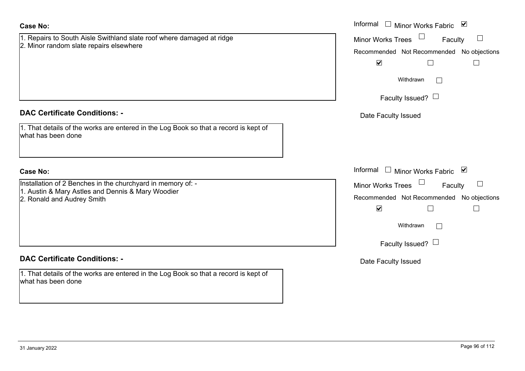| <b>Case No:</b>                                                                                                                                | Informal $\Box$ Minor Works Fabric $\Box$                                                                                                                                  |
|------------------------------------------------------------------------------------------------------------------------------------------------|----------------------------------------------------------------------------------------------------------------------------------------------------------------------------|
| 1. Repairs to South Aisle Swithland slate roof where damaged at ridge<br>2. Minor random slate repairs elsewhere                               | $\Box$<br><b>Minor Works Trees</b><br>$\Box$<br>Faculty<br>Recommended Not Recommended No objections<br>$\blacktriangledown$<br>$\mathbf{L}$<br>Withdrawn<br>$\mathcal{A}$ |
|                                                                                                                                                | Faculty Issued? $\Box$                                                                                                                                                     |
| <b>DAC Certificate Conditions: -</b>                                                                                                           | Date Faculty Issued                                                                                                                                                        |
| 1. That details of the works are entered in the Log Book so that a record is kept of<br>what has been done                                     |                                                                                                                                                                            |
| <b>Case No:</b>                                                                                                                                | Informal $\Box$ Minor Works Fabric $\Box$                                                                                                                                  |
| Installation of 2 Benches in the churchyard in memory of: -<br>1. Austin & Mary Astles and Dennis & Mary Woodier<br>2. Ronald and Audrey Smith | Minor Works Trees<br>$\Box$<br>Faculty<br>Recommended Not Recommended No objections<br>$\blacktriangledown$<br>$\Box$<br>$\Box$                                            |
|                                                                                                                                                | Withdrawn<br>$\mathbf{I}$                                                                                                                                                  |
|                                                                                                                                                | Faculty Issued? $\Box$                                                                                                                                                     |
| <b>DAC Certificate Conditions: -</b>                                                                                                           | Date Faculty Issued                                                                                                                                                        |
| 1. That details of the works are entered in the Log Book so that a record is kept of<br>what has been done                                     |                                                                                                                                                                            |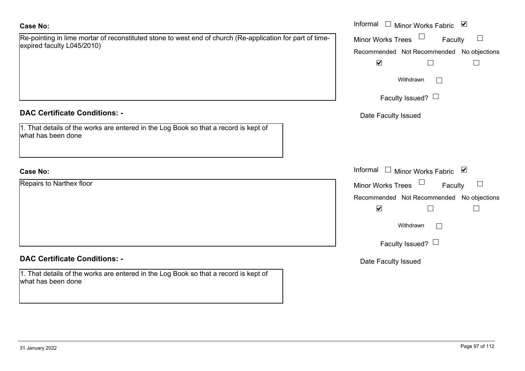| Re-pointing in lime mortar of reconstituted stone to west end of church (Re-application for part of time- |  |
|-----------------------------------------------------------------------------------------------------------|--|
| expired faculty L045/2010)                                                                                |  |
|                                                                                                           |  |

## **DAC Certificate Conditions: -**

| 1. That details of the works are entered in the Log Book so that a record is kept of |  |
|--------------------------------------------------------------------------------------|--|
| what has been done                                                                   |  |

# **Case No:**

Repairs to Narthex floor

# **DAC Certificate Conditions: -**

1. That details of the works are entered in the Log Book so that a record is kept of what has been done

|                                                                                                                       | Informal<br>$\blacktriangledown$<br>$\Box$<br><b>Minor Works Fabric</b> |
|-----------------------------------------------------------------------------------------------------------------------|-------------------------------------------------------------------------|
| ng in lime mortar of reconstituted stone to west end of church (Re-application for part of time-<br>aculty L045/2010) | $\Box$<br><b>Minor Works Trees</b><br>Faculty<br>$\Box$                 |
|                                                                                                                       | Recommended Not Recommended No objections                               |
|                                                                                                                       | $\blacktriangledown$                                                    |
|                                                                                                                       | Withdrawn                                                               |
|                                                                                                                       | Faculty Issued? $\Box$                                                  |
| rtificate Conditions: -                                                                                               | Date Faculty Issued                                                     |
| etails of the works are entered in the Log Book so that a record is kept of<br>been done                              |                                                                         |
|                                                                                                                       | Informal □ Minor Works Fabric<br>$\blacktriangledown$                   |
| o Narthex floor                                                                                                       | Minor Works Trees<br>$\Box$<br>Faculty                                  |
|                                                                                                                       | Recommended Not Recommended No objections                               |
|                                                                                                                       | $\blacktriangledown$                                                    |
|                                                                                                                       | Withdrawn                                                               |
|                                                                                                                       | Faculty Issued? $\Box$                                                  |
| $\mathcal{A}$ , and $\mathcal{A}$ and $\mathcal{A}$ and $\mathcal{A}$                                                 |                                                                         |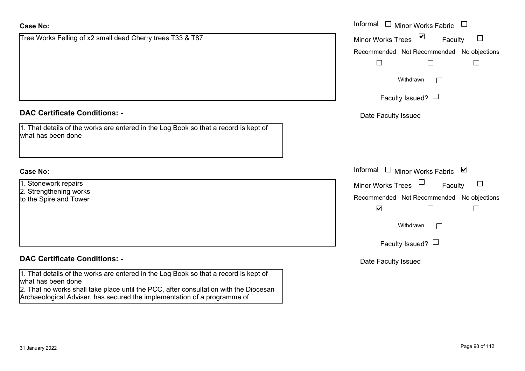| <b>Case No:</b>                                                                                                                                                   | Informal<br>$\Box$ Minor Works Fabric                 |
|-------------------------------------------------------------------------------------------------------------------------------------------------------------------|-------------------------------------------------------|
| Tree Works Felling of x2 small dead Cherry trees T33 & T87                                                                                                        | ⊻<br><b>Minor Works Trees</b><br>$\Box$<br>Faculty    |
|                                                                                                                                                                   | Recommended Not Recommended No objections             |
|                                                                                                                                                                   | $\Box$<br>$\overline{\phantom{a}}$<br>$\Box$          |
|                                                                                                                                                                   | Withdrawn<br>$\vert \ \ \vert$                        |
|                                                                                                                                                                   | Faculty Issued? $\Box$                                |
| <b>DAC Certificate Conditions: -</b>                                                                                                                              | Date Faculty Issued                                   |
| 1. That details of the works are entered in the Log Book so that a record is kept of<br>what has been done                                                        |                                                       |
|                                                                                                                                                                   |                                                       |
| <b>Case No:</b>                                                                                                                                                   | Informal<br>$\Box$ Minor Works Fabric $\Box$          |
| 1. Stonework repairs                                                                                                                                              | <b>Minor Works Trees</b><br>Faculty                   |
| 2. Strengthening works<br>to the Spire and Tower                                                                                                                  | Recommended Not Recommended No objections             |
|                                                                                                                                                                   | $\blacktriangledown$<br>$\overline{\phantom{a}}$<br>L |
|                                                                                                                                                                   | Withdrawn<br>$\vert \ \ \vert$                        |
|                                                                                                                                                                   | Faculty Issued? $\Box$                                |
| <b>DAC Certificate Conditions: -</b>                                                                                                                              | Date Faculty Issued                                   |
| 1. That details of the works are entered in the Log Book so that a record is kept of<br>what has been done                                                        |                                                       |
| 2. That no works shall take place until the PCC, after consultation with the Diocesan<br>Archaeological Adviser, has secured the implementation of a programme of |                                                       |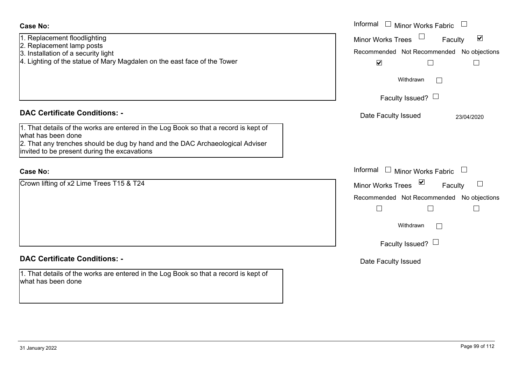| <b>Case No:</b>                                                                                                                                                                                                                             | Informal<br>$\Box$ Minor Works Fabric<br>$\Box$                                                          |
|---------------------------------------------------------------------------------------------------------------------------------------------------------------------------------------------------------------------------------------------|----------------------------------------------------------------------------------------------------------|
| 1. Replacement floodlighting<br>2. Replacement lamp posts<br>3. Installation of a security light                                                                                                                                            | $\blacktriangledown$<br><b>Minor Works Trees</b><br>Faculty<br>Recommended Not Recommended No objections |
| 4. Lighting of the statue of Mary Magdalen on the east face of the Tower                                                                                                                                                                    | $\blacktriangledown$<br>$\Box$<br>Withdrawn                                                              |
|                                                                                                                                                                                                                                             | Faculty Issued? $\Box$                                                                                   |
| <b>DAC Certificate Conditions: -</b>                                                                                                                                                                                                        | Date Faculty Issued<br>23/04/2020                                                                        |
| 1. That details of the works are entered in the Log Book so that a record is kept of<br>what has been done<br>2. That any trenches should be dug by hand and the DAC Archaeological Adviser<br>invited to be present during the excavations |                                                                                                          |
| <b>Case No:</b>                                                                                                                                                                                                                             | Informal $\Box$ Minor Works Fabric $\Box$                                                                |
| Crown lifting of x2 Lime Trees T15 & T24                                                                                                                                                                                                    | Minor Works Trees ⊠<br>Faculty                                                                           |
|                                                                                                                                                                                                                                             | Recommended Not Recommended No objections                                                                |
|                                                                                                                                                                                                                                             | $\Box$<br>$\Box$<br>$\Box$                                                                               |
|                                                                                                                                                                                                                                             | Withdrawn<br>$\Box$                                                                                      |
|                                                                                                                                                                                                                                             | Faculty Issued? $\Box$                                                                                   |
| <b>DAC Certificate Conditions: -</b>                                                                                                                                                                                                        | Date Faculty Issued                                                                                      |
| 1. That details of the works are entered in the Log Book so that a record is kept of<br>what has been done                                                                                                                                  |                                                                                                          |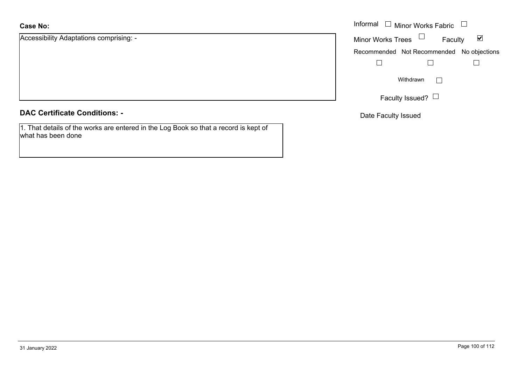Accessibility Adaptations comprising: -

|  |  | <b>DAC Certificate Conditions: -</b> |  |
|--|--|--------------------------------------|--|
|--|--|--------------------------------------|--|

1. That details of the works are entered in the Log Book so that a record is kept of what has been done

|                                 | Informal $\Box$ Minor Works Fabric $\Box$ |
|---------------------------------|-------------------------------------------|
| ility Adaptations comprising: - | Minor Works Trees $\Box$<br>⊻<br>Faculty  |
|                                 | Recommended Not Recommended No objections |
|                                 |                                           |
|                                 | Withdrawn<br>$\mathbf{L}$                 |
|                                 | Faculty Issued? $L$                       |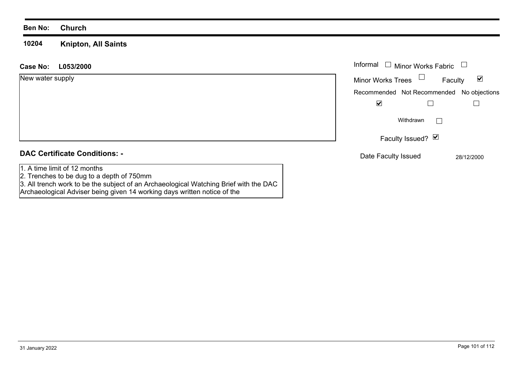#### **10204 Knipton, All Saints**

| L053/2000<br>Case No:                                                     | Informal $\Box$<br><b>Minor Works Fabric</b>                |
|---------------------------------------------------------------------------|-------------------------------------------------------------|
| New water supply                                                          | Minor Works Trees $\Box$<br>$\blacktriangledown$<br>Faculty |
|                                                                           | Recommended Not Recommended No objections                   |
|                                                                           | $\blacktriangledown$                                        |
|                                                                           | Withdrawn<br>$\mathbf{I}$                                   |
|                                                                           | Faculty Issued? Ø                                           |
| <b>DAC Certificate Conditions: -</b>                                      | Date Faculty Issued<br>28/12/2000                           |
| 1. A time limit of 12 months<br>2. Trenches to be dug to a depth of 750mm |                                                             |

3. All trench work to be the subject of an Archaeological Watching Brief with the DAC

Archaeological Adviser being given 14 working days written notice of the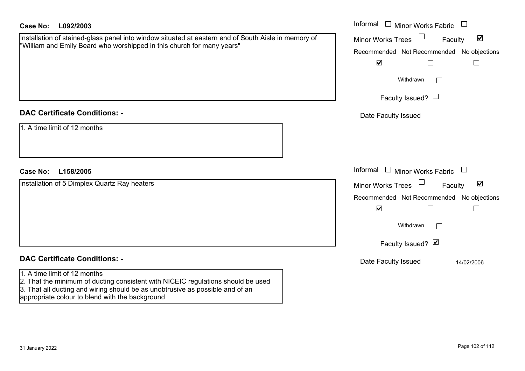| <b>Case No:</b><br>L092/2003                                                                                                                                                                                                                         | Informal $\square$<br>Minor Works Fabric                                                                                                         |
|------------------------------------------------------------------------------------------------------------------------------------------------------------------------------------------------------------------------------------------------------|--------------------------------------------------------------------------------------------------------------------------------------------------|
| Installation of stained-glass panel into window situated at eastern end of South Aisle in memory of<br>"William and Emily Beard who worshipped in this church for many years"                                                                        | $\blacktriangledown$<br><b>Minor Works Trees</b><br>Faculty<br>Recommended Not Recommended No objections<br>$\blacktriangledown$<br>$\mathbf{L}$ |
|                                                                                                                                                                                                                                                      | Withdrawn<br>$\Box$<br>Faculty Issued? $\Box$                                                                                                    |
| <b>DAC Certificate Conditions: -</b>                                                                                                                                                                                                                 | Date Faculty Issued                                                                                                                              |
| 1. A time limit of 12 months                                                                                                                                                                                                                         |                                                                                                                                                  |
| <b>Case No:</b><br>L158/2005                                                                                                                                                                                                                         | Informal<br>$\Box$<br><b>Minor Works Fabric</b><br>$\Box$                                                                                        |
| Installation of 5 Dimplex Quartz Ray heaters                                                                                                                                                                                                         | $\blacktriangledown$<br><b>Minor Works Trees</b><br>Faculty                                                                                      |
|                                                                                                                                                                                                                                                      | Recommended Not Recommended No objections                                                                                                        |
|                                                                                                                                                                                                                                                      | $\blacktriangledown$                                                                                                                             |
|                                                                                                                                                                                                                                                      | Withdrawn<br>$\Box$                                                                                                                              |
|                                                                                                                                                                                                                                                      | Faculty Issued? Ø                                                                                                                                |
| <b>DAC Certificate Conditions: -</b>                                                                                                                                                                                                                 | Date Faculty Issued<br>14/02/2006                                                                                                                |
| 1. A time limit of 12 months<br>2. That the minimum of ducting consistent with NICEIC regulations should be used<br>3. That all ducting and wiring should be as unobtrusive as possible and of an<br>appropriate colour to blend with the background |                                                                                                                                                  |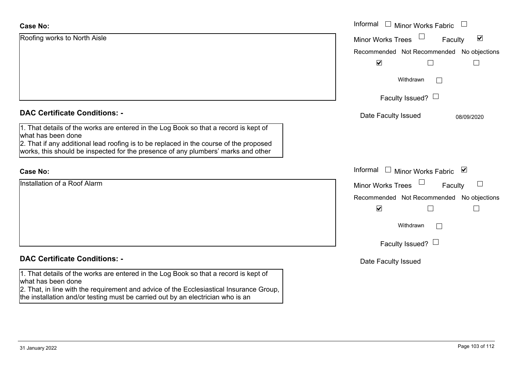| <b>Case No:</b>                                                                                                                                                             | Informal □ Minor Works Fabric<br>$\begin{array}{c} \hline \end{array}$ |
|-----------------------------------------------------------------------------------------------------------------------------------------------------------------------------|------------------------------------------------------------------------|
| Roofing works to North Aisle                                                                                                                                                | $\blacktriangledown$<br><b>Minor Works Trees</b><br>Faculty            |
|                                                                                                                                                                             | Recommended Not Recommended No objections                              |
|                                                                                                                                                                             | $\blacktriangledown$                                                   |
|                                                                                                                                                                             | Withdrawn<br>$\mathbf{L}$                                              |
|                                                                                                                                                                             | Faculty Issued? $\Box$                                                 |
| <b>DAC Certificate Conditions: -</b>                                                                                                                                        | Date Faculty Issued<br>08/09/2020                                      |
| 1. That details of the works are entered in the Log Book so that a record is kept of<br>what has been done                                                                  |                                                                        |
| 2. That if any additional lead roofing is to be replaced in the course of the proposed<br>works, this should be inspected for the presence of any plumbers' marks and other |                                                                        |
| <b>Case No:</b>                                                                                                                                                             | Informal<br>□ Minor Works Fabric $\vert \mathbf{v} \vert$              |
| Installation of a Roof Alarm                                                                                                                                                | <b>Minor Works Trees</b><br>Faculty<br>$\Box$                          |
|                                                                                                                                                                             | Recommended Not Recommended No objections                              |
|                                                                                                                                                                             | $\blacktriangledown$                                                   |
|                                                                                                                                                                             | Withdrawn<br>$\Box$                                                    |
|                                                                                                                                                                             | Faculty Issued? $\Box$                                                 |
| <b>DAC Certificate Conditions: -</b>                                                                                                                                        | Date Faculty Issued                                                    |
| 1. That details of the works are entered in the Log Book so that a record is kept of<br>what has been done                                                                  |                                                                        |
| 2. That, in line with the requirement and advice of the Ecclesiastical Insurance Group,<br>the installation and/or testing must be carried out by an electrician who is an  |                                                                        |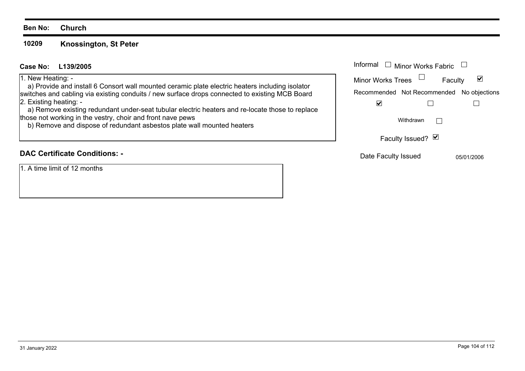#### **10209Knossington, St Peter**

## **L139/2005Case No:** Informal

#### 1. New Heating: -

 a) Provide and install 6 Consort wall mounted ceramic plate electric heaters including isolator switches and cabling via existing conduits / new surface drops connected to existing MCB Board 2. Existing heating: -

 a) Remove existing redundant under-seat tubular electric heaters and re-locate those to replace those not working in the vestry, choir and front nave pews

b) Remove and dispose of redundant asbestos plate wall mounted heaters

# **DAC Certificate Conditions: -**

1. A time limit of 12 months

| Informal<br>$\Box$ Minor Works Fabric     |            |  |
|-------------------------------------------|------------|--|
| <b>Minor Works Trees</b>                  | Faculty    |  |
| Recommended Not Recommended No objections |            |  |
|                                           |            |  |
| Withdrawn                                 |            |  |
| Faculty Issued? Ø                         |            |  |
| Date Faculty Issued                       | 05/01/2006 |  |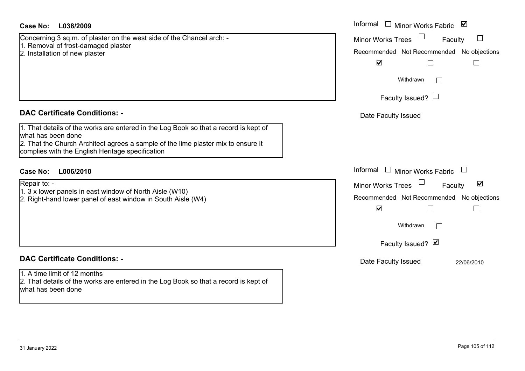| Case No:<br>L038/2009                                                                                                                      | Informal $\Box$ Minor Works Fabric $\Box$            |  |  |
|--------------------------------------------------------------------------------------------------------------------------------------------|------------------------------------------------------|--|--|
| Concerning 3 sq.m. of plaster on the west side of the Chancel arch: -                                                                      | $\Box$<br><b>Minor Works Trees</b><br>Faculty        |  |  |
| 1. Removal of frost-damaged plaster<br>2. Installation of new plaster                                                                      | Recommended Not Recommended No objections            |  |  |
|                                                                                                                                            | $\blacktriangledown$                                 |  |  |
|                                                                                                                                            | Withdrawn<br>$\Box$                                  |  |  |
|                                                                                                                                            | Faculty Issued? $\Box$                               |  |  |
| <b>DAC Certificate Conditions: -</b>                                                                                                       | Date Faculty Issued                                  |  |  |
| 1. That details of the works are entered in the Log Book so that a record is kept of<br>what has been done                                 |                                                      |  |  |
| 2. That the Church Architect agrees a sample of the lime plaster mix to ensure it                                                          |                                                      |  |  |
| complies with the English Heritage specification                                                                                           |                                                      |  |  |
| <b>Case No:</b><br>L006/2010                                                                                                               | Informal $\Box$ Minor Works Fabric $\Box$            |  |  |
| Repair to: -                                                                                                                               | Minor Works Trees<br>$\blacktriangledown$<br>Faculty |  |  |
| 1. 3 x lower panels in east window of North Aisle (W10)<br>2. Right-hand lower panel of east window in South Aisle (W4)                    | Recommended Not Recommended No objections            |  |  |
|                                                                                                                                            | $\blacktriangledown$                                 |  |  |
|                                                                                                                                            | Withdrawn<br>$\vert \ \ \vert$                       |  |  |
|                                                                                                                                            | Faculty Issued? Ø                                    |  |  |
| <b>DAC Certificate Conditions: -</b>                                                                                                       | Date Faculty Issued<br>22/06/2010                    |  |  |
| 1. A time limit of 12 months<br>2. That details of the works are entered in the Log Book so that a record is kept of<br>what has been done |                                                      |  |  |
|                                                                                                                                            |                                                      |  |  |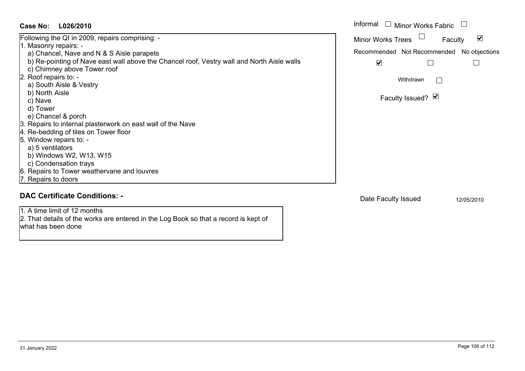| Case No:<br>L026/2010                                                                                                     | Informal<br><b>Minor Works Fabric</b>                       |
|---------------------------------------------------------------------------------------------------------------------------|-------------------------------------------------------------|
| Following the QI in 2009, repairs comprising: -                                                                           | $\blacktriangledown$<br><b>Minor Works Trees</b><br>Faculty |
| 1. Masonry repairs: -                                                                                                     |                                                             |
| a) Chancel, Nave and N & S Aisle parapets                                                                                 | Recommended Not Recommended<br>No objections                |
| b) Re-pointing of Nave east wall above the Chancel roof, Vestry wall and North Aisle walls<br>c) Chimney above Tower roof | $\overline{\mathbf{v}}$<br>L<br>└                           |
| 2. Roof repairs to: -                                                                                                     | Withdrawn<br>$\vert \ \ \vert$                              |
| a) South Aisle & Vestry                                                                                                   |                                                             |
| b) North Aisle                                                                                                            |                                                             |
| c) Nave                                                                                                                   | Faculty Issued? Ø                                           |
| d) Tower                                                                                                                  |                                                             |
| e) Chancel & porch                                                                                                        |                                                             |
| 3. Repairs to internal plasterwork on east wall of the Nave                                                               |                                                             |
| 4. Re-bedding of tiles on Tower floor                                                                                     |                                                             |
| 5. Window repairs to: -                                                                                                   |                                                             |
| a) 5 ventilators                                                                                                          |                                                             |
| b) Windows W2, W13, W15                                                                                                   |                                                             |
| c) Condensation trays                                                                                                     |                                                             |
| 6. Repairs to Tower weathervane and louvres                                                                               |                                                             |
| 7. Repairs to doors                                                                                                       |                                                             |
| <b>DAC Certificate Conditions: -</b>                                                                                      | Date Faculty Issued<br>12/05/2010                           |
| 1. A time limit of 12 months                                                                                              |                                                             |
| 2. That details of the works are entered in the Log Book so that a record is kept of<br>what has been done                |                                                             |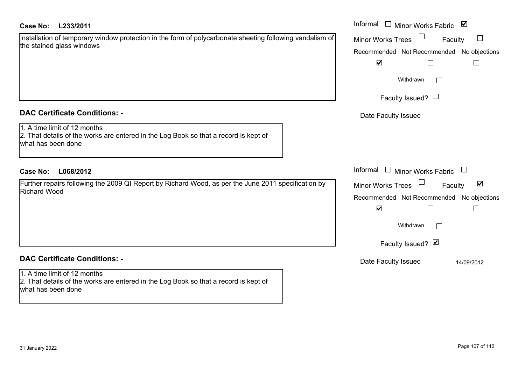# **L233/2011Case No:** Informal

| Installation of temporary window protection in the form of polycarbonate sheeting following vandalism of |  |  |  |
|----------------------------------------------------------------------------------------------------------|--|--|--|
| the stained glass windows                                                                                |  |  |  |

# **DAC Certificate Conditions: -**

# 1. A time limit of 12 months

 2. That details of the works are entered in the Log Book so that a record is kept of what has been done

# **L068/2012Case No:** Informal

Further repairs following the 2009 QI Report by Richard Wood, as per the June 2011 specification by Richard Wood

# **DAC Certificate Conditions: -**

#### 1. A time limit of 12 months 2. That details of the works are entered in the Log Book so that a record is kept of what has been done

|    | Informal<br>☑<br>Minor Works Fabric                                                   |
|----|---------------------------------------------------------------------------------------|
| οf | <b>Minor Works Trees</b><br>Faculty<br>Recommended Not Recommended No objections<br>V |
|    | Withdrawn<br>Faculty Issued? $\Box$                                                   |
|    | Date Faculty Issued                                                                   |
|    | Informal<br><b>Minor Works Fabric</b>                                                 |
|    | ⊻<br><b>Minor Works Trees</b><br>Faculty                                              |
|    | Recommended Not Recommended No objections<br>$\blacktriangledown$                     |
|    | Withdrawn                                                                             |
|    | Faculty Issued? Ø                                                                     |
|    | Date Faculty Issued<br>14/09/2012                                                     |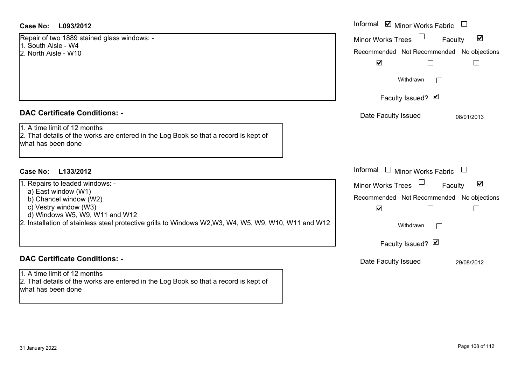# **DAC Certificate Conditions: -**

- a) East window (W1)
- b) Chancel window (W2)
- c) Vestry window (W3)
- d) Windows W5, W9, W11 and W12

# **DAC Certificate Conditions: -**

1. A time limit of 12 months2. That details of the works are entered in the Log Book so that a record is kept of what has been done

| <b>Case No:</b><br>L093/2012                                                                                                                                                                                                                       | Informal Ø Minor Works Fabric U                                                                                                                  |
|----------------------------------------------------------------------------------------------------------------------------------------------------------------------------------------------------------------------------------------------------|--------------------------------------------------------------------------------------------------------------------------------------------------|
| Repair of two 1889 stained glass windows: -<br>1. South Aisle - W4<br>2. North Aisle - W10                                                                                                                                                         | $\blacktriangledown$<br><b>Minor Works Trees</b><br>Faculty<br>Recommended Not Recommended No objections<br>$\blacktriangledown$                 |
|                                                                                                                                                                                                                                                    | Withdrawn<br>Faculty Issued? Ø                                                                                                                   |
| <b>DAC Certificate Conditions: -</b>                                                                                                                                                                                                               | Date Faculty Issued<br>08/01/2013                                                                                                                |
| 1. A time limit of 12 months<br>2. That details of the works are entered in the Log Book so that a record is kept of<br>what has been done                                                                                                         |                                                                                                                                                  |
| Case No:<br>L133/2012                                                                                                                                                                                                                              | Informal $\Box$ Minor Works Fabric                                                                                                               |
| 1. Repairs to leaded windows: -<br>a) East window (W1)<br>b) Chancel window (W2)<br>c) Vestry window (W3)<br>d) Windows W5, W9, W11 and W12<br>2. Installation of stainless steel protective grills to Windows W2,W3, W4, W5, W9, W10, W11 and W12 | Minor Works Trees<br>$\blacktriangledown$<br>Faculty<br>Recommended Not Recommended No objections<br>$\blacktriangledown$<br>Withdrawn<br>$\Box$ |
|                                                                                                                                                                                                                                                    | Faculty Issued? Ø                                                                                                                                |
| <b>DAC Certificate Conditions: -</b>                                                                                                                                                                                                               | Date Faculty Issued<br>29/08/2012                                                                                                                |
| 1. A time limit of 12 months                                                                                                                                                                                                                       |                                                                                                                                                  |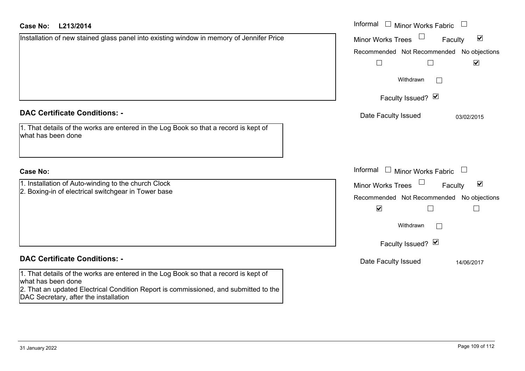### **L213/2014Cε**

| <b>Case No:</b><br>L213/2014                                                                                                                                                                       | Informal<br>$\overline{\phantom{a}}$<br><b>Minor Works Fabric</b> |
|----------------------------------------------------------------------------------------------------------------------------------------------------------------------------------------------------|-------------------------------------------------------------------|
| Installation of new stained glass panel into existing window in memory of Jennifer Price                                                                                                           | $\blacktriangledown$<br>Minor Works Trees<br>Faculty              |
|                                                                                                                                                                                                    | Recommended Not Recommended No objections                         |
|                                                                                                                                                                                                    | $\blacktriangledown$                                              |
|                                                                                                                                                                                                    | Withdrawn<br>$\mathbf{L}$                                         |
|                                                                                                                                                                                                    | Faculty Issued? Ø                                                 |
| <b>DAC Certificate Conditions: -</b>                                                                                                                                                               | Date Faculty Issued<br>03/02/2015                                 |
| 1. That details of the works are entered in the Log Book so that a record is kept of<br>what has been done                                                                                         |                                                                   |
| <b>Case No:</b>                                                                                                                                                                                    | Informal $\Box$ Minor Works Fabric                                |
| 1. Installation of Auto-winding to the church Clock<br>2. Boxing-in of electrical switchgear in Tower base                                                                                         | $\blacktriangledown$<br><b>Minor Works Trees</b><br>Faculty       |
|                                                                                                                                                                                                    | Recommended Not Recommended No objections                         |
|                                                                                                                                                                                                    | $\blacktriangledown$<br>$\overline{\phantom{0}}$                  |
|                                                                                                                                                                                                    | Withdrawn<br>$\Box$                                               |
|                                                                                                                                                                                                    | Faculty Issued? Ø                                                 |
| <b>DAC Certificate Conditions: -</b>                                                                                                                                                               | Date Faculty Issued<br>14/06/2017                                 |
| 1. That details of the works are entered in the Log Book so that a record is kept of<br>what has been done<br>2. That an updated Electrical Condition Report is commissioned, and submitted to the |                                                                   |

DAC Secretary, after the installation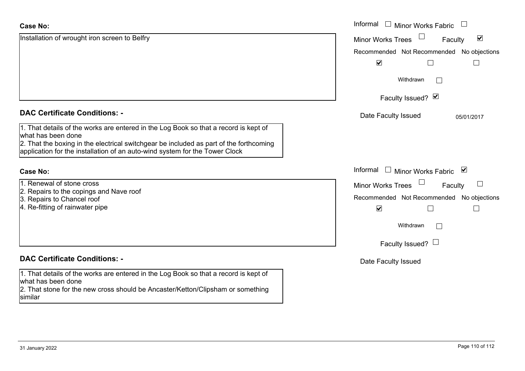| <b>Case No:</b>                                                                                                  | Informal<br>$\Box$<br><b>Minor Works Fabric</b>             |
|------------------------------------------------------------------------------------------------------------------|-------------------------------------------------------------|
| Installation of wrought iron screen to Belfry                                                                    | $\blacktriangledown$<br><b>Minor Works Trees</b><br>Faculty |
|                                                                                                                  | Recommended Not Recommended No objections                   |
|                                                                                                                  | $\blacktriangledown$                                        |
|                                                                                                                  | Withdrawn                                                   |
|                                                                                                                  | Faculty Issued? Ø                                           |
| <b>DAC Certificate Conditions: -</b>                                                                             | Date Faculty Issued<br>05/01/2017                           |
| 1. That details of the works are entered in the Log Book so that a record is kept of<br>what has been done       |                                                             |
| 2. That the boxing in the electrical switchgear be included as part of the forthcoming                           |                                                             |
| application for the installation of an auto-wind system for the Tower Clock                                      |                                                             |
| <b>Case No:</b>                                                                                                  | Informal $\square$<br><b>Minor Works Fabric</b><br>⊻        |
| 1. Renewal of stone cross                                                                                        | <b>Minor Works Trees</b><br>Faculty                         |
| 2. Repairs to the copings and Nave roof<br>3. Repairs to Chancel roof                                            | Recommended Not Recommended No objections                   |
| 4. Re-fitting of rainwater pipe                                                                                  | $\blacktriangledown$                                        |
|                                                                                                                  | Withdrawn<br>$\Box$                                         |
|                                                                                                                  | Faculty Issued? $\Box$                                      |
| <b>DAC Certificate Conditions: -</b>                                                                             | Date Faculty Issued                                         |
| 1. That details of the works are entered in the Log Book so that a record is kept of                             |                                                             |
| what has been done<br>2. That stone for the new cross should be Ancaster/Ketton/Clipsham or something<br>similar |                                                             |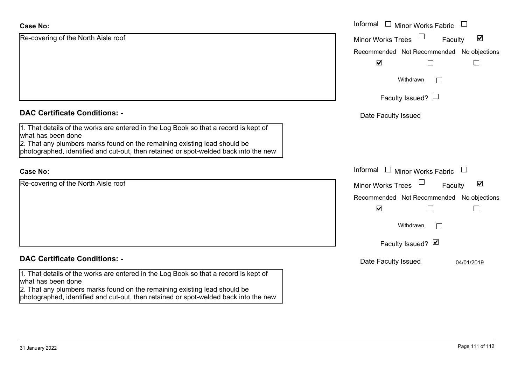| <b>Case No:</b>                                                                                                                                                   | Informal □ Minor Works Fabric<br>$\begin{array}{c} \boxed{1} \\ \boxed{1} \end{array}$ |
|-------------------------------------------------------------------------------------------------------------------------------------------------------------------|----------------------------------------------------------------------------------------|
| Re-covering of the North Aisle roof                                                                                                                               | $\blacktriangledown$<br><b>Minor Works Trees</b><br>Faculty                            |
|                                                                                                                                                                   | Recommended Not Recommended No objections                                              |
|                                                                                                                                                                   | $\blacktriangledown$                                                                   |
|                                                                                                                                                                   | Withdrawn<br>$\mathbf{1}$                                                              |
|                                                                                                                                                                   | Faculty Issued? $\Box$                                                                 |
| <b>DAC Certificate Conditions: -</b>                                                                                                                              | Date Faculty Issued                                                                    |
| 1. That details of the works are entered in the Log Book so that a record is kept of<br>what has been done                                                        |                                                                                        |
| 2. That any plumbers marks found on the remaining existing lead should be<br>photographed, identified and cut-out, then retained or spot-welded back into the new |                                                                                        |
| <b>Case No:</b>                                                                                                                                                   | Informal □ Minor Works Fabric<br>$\Box$                                                |
| Re-covering of the North Aisle roof                                                                                                                               | $\blacktriangledown$<br><b>Minor Works Trees</b><br>Faculty                            |
|                                                                                                                                                                   | Recommended Not Recommended No objections                                              |
|                                                                                                                                                                   | $\blacktriangledown$                                                                   |
|                                                                                                                                                                   | Withdrawn<br>$\mathbb{R}$                                                              |
|                                                                                                                                                                   | Faculty Issued? Ø                                                                      |
| <b>DAC Certificate Conditions: -</b>                                                                                                                              | Date Faculty Issued<br>04/01/2019                                                      |
| 1. That details of the works are entered in the Log Book so that a record is kept of<br>what has been done                                                        |                                                                                        |
| 2. That any plumbers marks found on the remaining existing lead should be<br>photographed, identified and cut-out, then retained or spot-welded back into the new |                                                                                        |